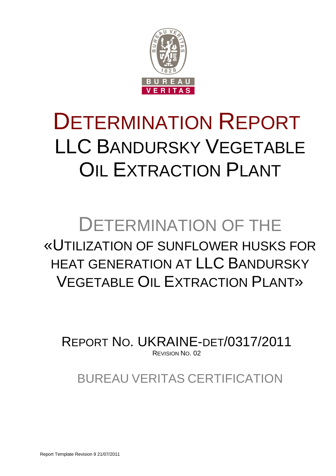

# DETERMINATION REPORT LLC BANDURSKY VEGETABLE OIL EXTRACTION PLANT

# DETERMINATION OF THE «UTILIZATION OF SUNFLOWER HUSKS FOR HEAT GENERATION AT LLC BANDURSKY VEGETABLE OIL EXTRACTION PLANT»

REPORT NO. UKRAINE-DET/0317/2011 REVISION NO. 02

BUREAU VERITAS CERTIFICATION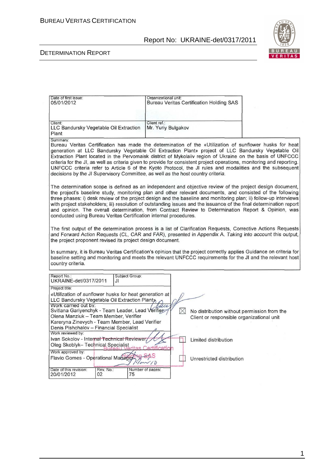| Date of first issue:<br>05/01/2012                                                                                                                                                                                                                                                                                                                                                                                                                                                                                                                                                                                                                               | Organizational unit:               | <b>Bureau Veritas Certification Holding SAS</b>         |  |  |  |  |  |
|------------------------------------------------------------------------------------------------------------------------------------------------------------------------------------------------------------------------------------------------------------------------------------------------------------------------------------------------------------------------------------------------------------------------------------------------------------------------------------------------------------------------------------------------------------------------------------------------------------------------------------------------------------------|------------------------------------|---------------------------------------------------------|--|--|--|--|--|
| Client:<br>LLC Bandursky Vegetable Oil Extraction<br>Plant                                                                                                                                                                                                                                                                                                                                                                                                                                                                                                                                                                                                       | Client ref.:<br>Mr. Yuriy Bulgakov |                                                         |  |  |  |  |  |
| Summary:<br>Bureau Veritas Certification has made the determination of the «Utilization of sunflower husks for heat<br>generation at LLC Bandursky Vegetable Oil Extraction Plant» project of LLC Bandursky Vegetable Oil<br>Extraction Plant located in the Pervomaisk district of Mykolaiiv region of Ukraine on the basis of UNFCCC<br>criteria for the JI, as well as criteria given to provide for consistent project operations, monitoring and reporting.<br>UNFCCC criteria refer to Article 6 of the Kyoto Protocol, the JI rules and modalities and the subsequent<br>decisions by the JI Supervisory Committee, as well as the host country criteria. |                                    |                                                         |  |  |  |  |  |
| The determination scope is defined as an independent and objective review of the project design document,<br>the project's baseline study, monitoring plan and other relevant documents, and consisted of the following<br>three phases: i) desk review of the project design and the baseline and monitoring plan; ii) follow-up interviews<br>with project stakeholders; iii) resolution of outstanding issues and the issuance of the final determination report<br>and opinion. The overall determination, from Contract Review to Determination Report & Opinion, was<br>conducted using Bureau Veritas Certification internal procedures.                  |                                    |                                                         |  |  |  |  |  |
| The first output of the determination process is a list of Clarification Requests, Corrective Actions Requests<br>and Forward Action Requests (CL, CAR and FAR), presented in Appendix A. Taking into account this output,<br>the project proponent revised its project design document.<br>In summary, it is Bureau Veritas Certification's opinion that the project correctly applies Guidance on criteria for<br>baseline setting and monitoring and meets the relevant UNFCCC requirements for the JI and the relevant host<br>country criteria.                                                                                                             |                                    |                                                         |  |  |  |  |  |
| Report No.:<br>Subject Group:<br>UKRAINE-det/0317/2011<br>JI<br>Project title:                                                                                                                                                                                                                                                                                                                                                                                                                                                                                                                                                                                   |                                    |                                                         |  |  |  |  |  |
| «Utilization of sunflower husks for heat generation at                                                                                                                                                                                                                                                                                                                                                                                                                                                                                                                                                                                                           |                                    |                                                         |  |  |  |  |  |
| LLC Bandursky Vegetable Oil Extraction Planty<br>Work carried out by:                                                                                                                                                                                                                                                                                                                                                                                                                                                                                                                                                                                            | sice                               |                                                         |  |  |  |  |  |
| Svitlana Gariyenchyk - Team Leader, Lead Verifier                                                                                                                                                                                                                                                                                                                                                                                                                                                                                                                                                                                                                |                                    | $\times$<br>No distribution without permission from the |  |  |  |  |  |
| Olena Manziuk - Team Member, Verifier<br>Kareryna Zinevych - Team Member, Lead Verifier                                                                                                                                                                                                                                                                                                                                                                                                                                                                                                                                                                          |                                    | Client or responsible organizational unit               |  |  |  |  |  |
| Denis Pishchalov - Financial Specialist                                                                                                                                                                                                                                                                                                                                                                                                                                                                                                                                                                                                                          |                                    |                                                         |  |  |  |  |  |
| Work reviewed by:<br>Ivan Sokolov - Internal Technical Reviewer,                                                                                                                                                                                                                                                                                                                                                                                                                                                                                                                                                                                                 |                                    |                                                         |  |  |  |  |  |
| Limited distribution<br>Oleg Skoblyk- Technical Specialist                                                                                                                                                                                                                                                                                                                                                                                                                                                                                                                                                                                                       |                                    |                                                         |  |  |  |  |  |
| ification<br>Work approved by:                                                                                                                                                                                                                                                                                                                                                                                                                                                                                                                                                                                                                                   |                                    |                                                         |  |  |  |  |  |
| Flavio Gomes - Operational Manager                                                                                                                                                                                                                                                                                                                                                                                                                                                                                                                                                                                                                               |                                    | Unrestricted distribution                               |  |  |  |  |  |
| Date of this revision:<br>Rev. No.:<br>20/01/2012<br>02<br>75                                                                                                                                                                                                                                                                                                                                                                                                                                                                                                                                                                                                    | Number of pages:                   |                                                         |  |  |  |  |  |

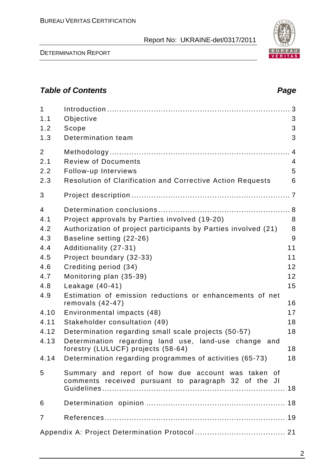2

# **Table of Contents Page 2014**

| $\mathbf{1}$<br>1.1<br>1.2<br>1.3                               | Objective<br>Scope<br>Determination team                                                                                                                                                                                                                                                                  | 3<br>3<br>3                         |
|-----------------------------------------------------------------|-----------------------------------------------------------------------------------------------------------------------------------------------------------------------------------------------------------------------------------------------------------------------------------------------------------|-------------------------------------|
| $\overline{2}$<br>2.1<br>2.2<br>2.3                             | <b>Review of Documents</b><br>Follow-up Interviews<br><b>Resolution of Clarification and Corrective Action Requests</b>                                                                                                                                                                                   | $\overline{4}$<br>5<br>6            |
| 3                                                               |                                                                                                                                                                                                                                                                                                           |                                     |
| $\overline{4}$<br>4.1<br>4.2<br>4.3<br>4.4<br>4.5<br>4.6<br>4.7 | Project approvals by Parties involved (19-20)<br>Authorization of project participants by Parties involved (21)<br>Baseline setting (22-26)<br>Additionality (27-31)<br>Project boundary (32-33)<br>Crediting period (34)<br>Monitoring plan (35-39)                                                      | 8<br>8<br>9<br>11<br>11<br>12<br>12 |
| 4.8<br>4.9                                                      | Leakage (40-41)<br>Estimation of emission reductions or enhancements of net                                                                                                                                                                                                                               | 15                                  |
| 4.10<br>4.11<br>4.12<br>4.13                                    | removals $(42-47)$<br>Environmental impacts (48)<br>Stakeholder consultation (49)<br>Determination regarding small scale projects (50-57)<br>Determination regarding land use, land-use change and<br>forestry (LULUCF) projects (58-64)<br>4.14 Determination regarding programmes of activities (65-73) | 16<br>17<br>18<br>18<br>18<br>18    |
| 5                                                               | Summary and report of how due account was taken of<br>comments received pursuant to paragraph 32 of the JI                                                                                                                                                                                                |                                     |
| 6                                                               |                                                                                                                                                                                                                                                                                                           |                                     |
| $\overline{7}$                                                  |                                                                                                                                                                                                                                                                                                           |                                     |
|                                                                 |                                                                                                                                                                                                                                                                                                           |                                     |

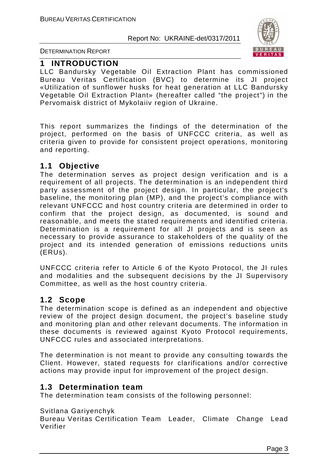

DETERMINATION REPORT

#### **1 INTRODUCTION**

LLC Bandursky Vegetable Oil Extraction Plant has commissioned Bureau Veritas Certification (BVC) to determine its JI project «Utilization of sunflower husks for heat generation at LLC Bandursky Vegetable Oil Extraction Plant» (hereafter called "the project") in the Pervomaisk district of Mykolaiiv region of Ukraine.

This report summarizes the findings of the determination of the project, performed on the basis of UNFCCC criteria, as well as criteria given to provide for consistent project operations, monitoring and reporting.

#### **1.1 Objective**

The determination serves as project design verification and is a requirement of all projects. The determination is an independent third party assessment of the project design. In particular, the project's baseline, the monitoring plan (MP), and the project's compliance with relevant UNFCCC and host country criteria are determined in order to confirm that the project design, as documented, is sound and reasonable, and meets the stated requirements and identified criteria. Determination is a requirement for all JI projects and is seen as necessary to provide assurance to stakeholders of the quality of the project and its intended generation of emissions reductions units (ERUs).

UNFCCC criteria refer to Article 6 of the Kyoto Protocol, the JI rules and modalities and the subsequent decisions by the JI Supervisory Committee, as well as the host country criteria.

#### **1.2 Scope**

The determination scope is defined as an independent and objective review of the project design document, the project's baseline study and monitoring plan and other relevant documents. The information in these documents is reviewed against Kyoto Protocol requirements, UNFCCC rules and associated interpretations.

The determination is not meant to provide any consulting towards the Client. However, stated requests for clarifications and/or corrective actions may provide input for improvement of the project design.

#### **1.3 Determination team**

The determination team consists of the following personnel:

#### Svitlana Gariyenchyk

Bureau Veritas Certification Team Leader, Climate Change Lead Verifier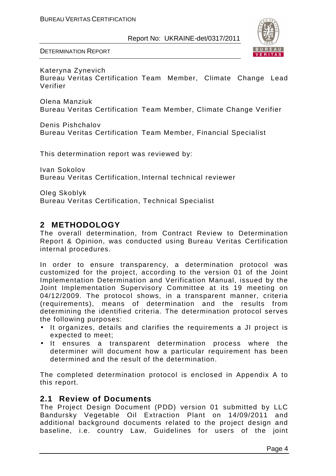

Kateryna Zynevich Bureau Veritas Certification Team Member, Climate Change Lead Verifier

Olena Manziuk Bureau Veritas Certification Team Member, Climate Change Verifier

Denis Pishchalov Bureau Veritas Certification Team Member, Financial Specialist

This determination report was reviewed by:

Ivan Sokolov Bureau Veritas Certification, Internal technical reviewer

Oleg Skoblyk Bureau Veritas Certification, Technical Specialist

#### **2 METHODOLOGY**

The overall determination, from Contract Review to Determination Report & Opinion, was conducted using Bureau Veritas Certification internal procedures.

In order to ensure transparency, a determination protocol was customized for the project, according to the version 01 of the Joint Implementation Determination and Verification Manual, issued by the Joint Implementation Supervisory Committee at its 19 meeting on 04/12/2009. The protocol shows, in a transparent manner, criteria (requirements), means of determination and the results from determining the identified criteria. The determination protocol serves the following purposes:

- It organizes, details and clarifies the requirements a JI project is expected to meet;
- It ensures a transparent determination process where the determiner will document how a particular requirement has been determined and the result of the determination.

The completed determination protocol is enclosed in Appendix A to this report.

#### **2.1 Review of Documents**

The Project Design Document (PDD) version 01 submitted by LLC Bandursky Vegetable Oil Extraction Plant on 14/09/2011 and additional background documents related to the project design and baseline, i.e. country Law, Guidelines for users of the joint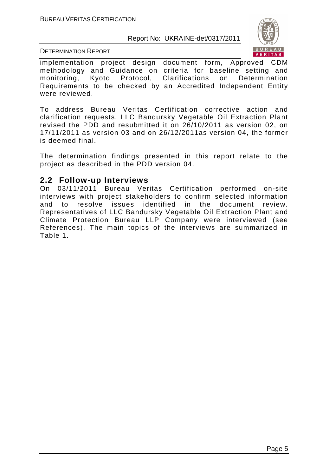

DETERMINATION REPORT

implementation project design document form, Approved CDM methodology and Guidance on criteria for baseline setting and monitoring, Kyoto Protocol, Clarifications on Determination Requirements to be сhecked by an Accredited Independent Entity were reviewed.

To address Bureau Veritas Certification corrective action and clarification requests, LLC Bandursky Vegetable Oil Extraction Plant revised the PDD and resubmitted it on 26/10/2011 as version 02, on 17/11/2011 as version 03 and on 26/12/2011as version 04, the former is deemed final.

The determination findings presented in this report relate to the project as described in the PDD version 04.

#### **2.2 Follow-up Interviews**

On 03/11/2011 Bureau Veritas Certification performed on-site interviews with project stakeholders to confirm selected information and to resolve issues identified in the document review. Representatives of LLC Bandursky Vegetable Oil Extraction Plant and Climate Protection Bureau LLP Company were interviewed (see References). The main topics of the interviews are summarized in Table 1.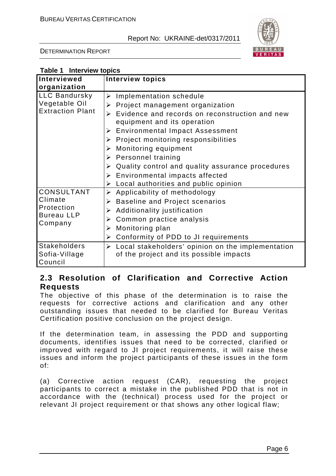

DETERMINATION REPORT

| Table 1 Interview topics                                                   |                                                                                                                                                                                                                                                                                                                                                                                                                                                                                |  |  |  |
|----------------------------------------------------------------------------|--------------------------------------------------------------------------------------------------------------------------------------------------------------------------------------------------------------------------------------------------------------------------------------------------------------------------------------------------------------------------------------------------------------------------------------------------------------------------------|--|--|--|
| <b>Interviewed</b>                                                         | <b>Interview topics</b>                                                                                                                                                                                                                                                                                                                                                                                                                                                        |  |  |  |
| organization                                                               |                                                                                                                                                                                                                                                                                                                                                                                                                                                                                |  |  |  |
| <b>LLC Bandursky</b><br>Vegetable Oil<br><b>Extraction Plant</b>           | Implementation schedule<br>➤<br>Project management organization<br>➤<br>Evidence and records on reconstruction and new<br>$\blacktriangleright$<br>equipment and its operation<br><b>Environmental Impact Assessment</b><br>➤<br>Project monitoring responsibilities<br>➤<br>Monitoring equipment<br>➤<br>Personnel training<br>➤<br>Quality control and quality assurance procedures<br>➤<br>Environmental impacts affected<br>➤<br>Local authorities and public opinion<br>➤ |  |  |  |
| <b>CONSULTANT</b><br>Climate<br>Protection<br><b>Bureau LLP</b><br>Company | Applicability of methodology<br>➤<br><b>Baseline and Project scenarios</b><br>➤<br>Additionality justification<br>➤<br>Common practice analysis<br>➤<br>Monitoring plan<br>➤<br>Conformity of PDD to JI requirements<br>➤                                                                                                                                                                                                                                                      |  |  |  |
| <b>Stakeholders</b><br>Sofia-Village<br>Council                            | Local stakeholders' opinion on the implementation<br>➤<br>of the project and its possible impacts                                                                                                                                                                                                                                                                                                                                                                              |  |  |  |

#### **2.3 Resolution of Clarification and Corrective Action Requests**

The objective of this phase of the determination is to raise the requests for corrective actions and clarification and any other outstanding issues that needed to be clarified for Bureau Veritas Certification positive conclusion on the project design.

If the determination team, in assessing the PDD and supporting documents, identifies issues that need to be corrected, clarified or improved with regard to JI project requirements, it will raise these issues and inform the project participants of these issues in the form of:

(a) Corrective action request (CAR), requesting the project participants to correct a mistake in the published PDD that is not in accordance with the (technical) process used for the project or relevant JI project requirement or that shows any other logical flaw;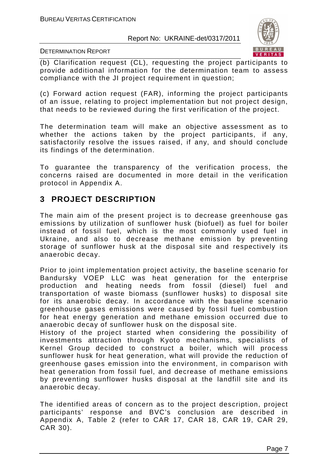

DETERMINATION REPORT

(b) Clarification request (CL), requesting the project participants to provide additional information for the determination team to assess compliance with the JI project requirement in question;

(c) Forward action request (FAR), informing the project participants of an issue, relating to project implementation but not project design, that needs to be reviewed during the first verification of the project.

The determination team will make an objective assessment as to whether the actions taken by the project participants, if any, satisfactorily resolve the issues raised, if any, and should conclude its findings of the determination.

To guarantee the transparency of the verification process, the concerns raised are documented in more detail in the verification protocol in Appendix A.

#### **3 PROJECT DESCRIPTION**

The main aim of the present project is to decrease greenhouse gas emissions by utilization of sunflower husk (biofuel) as fuel for boiler instead of fossil fuel, which is the most commonly used fuel in Ukraine, and also to decrease methane emission by preventing storage of sunflower husk at the disposal site and respectively its anaerobic decay.

Prior to joint implementation project activity, the baseline scenario for Bandursky VOEP LLC was heat generation for the enterprise production and heating needs from fossil (diesel) fuel and transportation of waste biomass (sunflower husks) to disposal site for its anaerobic decay. In accordance with the baseline scenario greenhouse gases emissions were caused by fossil fuel combustion for heat energy generation and methane emission occurred due to anaerobic decay of sunflower husk on the disposal site.

History of the project started when considering the possibility of investments attraction through Kyoto mechanisms, specialists of Kernel Group decided to construct a boiler, which will process sunflower husk for heat generation, what will provide the reduction of greenhouse gases emission into the environment, in comparison with heat generation from fossil fuel, and decrease of methane emissions by preventing sunflower husks disposal at the landfill site and its anaerobic decay.

The identified areas of concern as to the project description, project participants' response and BVC's conclusion are described in Appendix A, Table 2 (refer to CAR 17, CAR 18, CAR 19, CAR 29, CAR 30).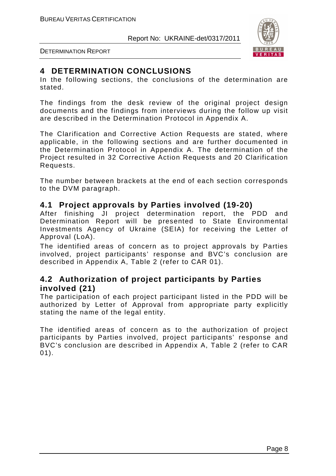

DETERMINATION REPORT

#### **4 DETERMINATION CONCLUSIONS**

In the following sections, the conclusions of the determination are stated.

The findings from the desk review of the original project design documents and the findings from interviews during the follow up visit are described in the Determination Protocol in Appendix A.

The Clarification and Corrective Action Requests are stated, where applicable, in the following sections and are further documented in the Determination Protocol in Appendix A. The determination of the Project resulted in 32 Corrective Action Requests and 20 Clarification Requests.

The number between brackets at the end of each section corresponds to the DVM paragraph.

#### **4.1 Project approvals by Parties involved (19-20)**

After finishing JI project determination report, the PDD and Determination Report will be presented to State Environmental Investments Agency of Ukraine (SEIA) for receiving the Letter of Approval (LoA).

The identified areas of concern as to project approvals by Parties involved, project participants' response and BVC's conclusion are described in Appendix A, Table 2 (refer to CAR 01).

#### **4.2 Authorization of project participants by Parties involved (21)**

The participation of each project participant listed in the PDD will be authorized by Letter of Approval from appropriate party explicitly stating the name of the legal entity.

The identified areas of concern as to the authorization of project participants by Parties involved, project participants' response and BVC's conclusion are described in Appendix A, Table 2 (refer to CAR 01).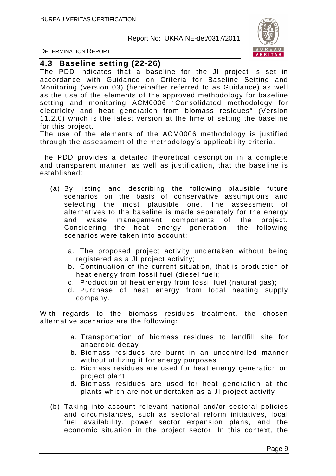

DETERMINATION REPORT

#### **4.3 Baseline setting (22-26)**

The PDD indicates that a baseline for the JI project is set in accordance with Guidance on Criteria for Baseline Setting and Monitoring (version 03) (hereinafter referred to as Guidance) as well as the use of the elements of the approved methodology for baseline setting and monitoring ACM0006 "Consolidated methodology for electricity and heat generation from biomass residues" (Version 11.2.0) which is the latest version at the time of setting the baseline for this project.

The use of the elements of the ACM0006 methodology is justified through the assessment of the methodology's applicability criteria.

The PDD provides a detailed theoretical description in a complete and transparent manner, as well as justification, that the baseline is established:

- (a) By listing and describing the following plausible future scenarios on the basis of conservative assumptions and selecting the most plausible one. The assessment of alternatives to the baseline is made separately for the energy and waste management components of the project. Considering the heat energy generation, the following scenarios were taken into account:
	- a. The proposed project activity undertaken without being registered as a JI project activity;
	- b. Continuation of the current situation, that is production of heat energy from fossil fuel (diesel fuel);
	- c. Production of heat energy from fossil fuel (natural gas);
	- d. Purchase of heat energy from local heating supply company.

With regards to the biomass residues treatment, the chosen alternative scenarios are the following:

- a. Transportation of biomass residues to landfill site for anaerobic decay
- b. Biomass residues are burnt in an uncontrolled manner without utilizing it for energy purposes
- c. Biomass residues are used for heat energy generation on project plant
- d. Biomass residues are used for heat generation at the plants which are not undertaken as a JI project activity
- (b) Taking into account relevant national and/or sectoral policies and circumstances, such as sectoral reform initiatives, local fuel availability, power sector expansion plans, and the economic situation in the project sector. In this context, the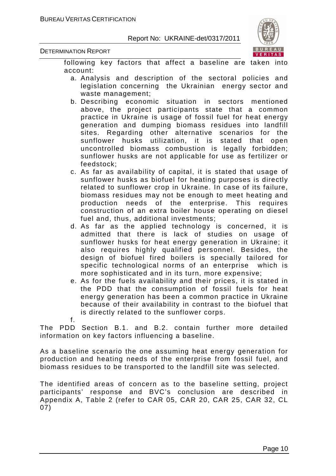

following key factors that affect a baseline are taken into account:

- a. Analysis and description of the sectoral policies and legislation concerning the Ukrainian energy sector and waste management;
- b. Describing economic situation in sectors mentioned above, the project participants state that a common practice in Ukraine is usage of fossil fuel for heat energy generation and dumping biomass residues into landfill sites. Regarding other alternative scenarios for the sunflower husks utilization, it is stated that open uncontrolled biomass combustion is legally forbidden; sunflower husks are not applicable for use as fertilizer or feedstock;
- c. As far as availability of capital, it is stated that usage of sunflower husks as biofuel for heating purposes is directly related to sunflower crop in Ukraine. In case of its failure, biomass residues may not be enough to meet heating and production needs of the enterprise. This requires construction of an extra boiler house operating on diesel fuel and, thus, additional investments;
- d. As far as the applied technology is concerned, it is admitted that there is lack of studies on usage of sunflower husks for heat energy generation in Ukraine; it also requires highly qualified personnel. Besides, the design of biofuel fired boilers is specially tailored for specific technological norms of an enterprise which is more sophisticated and in its turn, more expensive;
- e. As for the fuels availability and their prices, it is stated in the PDD that the consumption of fossil fuels for heat energy generation has been a common practice in Ukraine because of their availability in contrast to the biofuel that is directly related to the sunflower corps.
- f.

The PDD Section B.1. and B.2. contain further more detailed information on key factors influencing a baseline.

As a baseline scenario the one assuming heat energy generation for production and heating needs of the enterprise from fossil fuel, and biomass residues to be transported to the landfill site was selected.

The identified areas of concern as to the baseline setting, project participants' response and BVC's conclusion are described in Appendix A, Table 2 (refer to CAR 05, CAR 20, CAR 25, CAR 32, CL 07)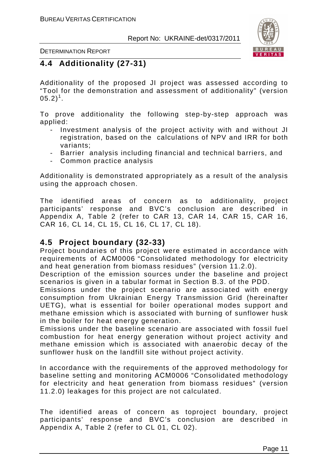

### **4.4 Additionality (27-31)**

Additionality of the proposed JI project was assessed according to "Tool for the demonstration and assessment of additionality" (version  $(05.2)^1$ .

To prove additionality the following step-by-step approach was applied:

- Investment analysis of the project activity with and without JI registration, based on the calculations of NPV and IRR for both variants;
- Barrier analysis including financial and technical barriers, and
- Common practice analysis

Additionality is demonstrated appropriately as a result of the analysis using the approach chosen.

The identified areas of concern as to additionality, project participants' response and BVC's conclusion are described in Appendix A, Table 2 (refer to CAR 13, CAR 14, CAR 15, CAR 16, CAR 16, CL 14, CL 15, CL 16, CL 17, CL 18).

#### **4.5 Project boundary (32-33)**

Project boundaries of this project were estimated in accordance with requirements of АСМ0006 "Consolidated methodology for electricity and heat generation from biomass residues" (version 11.2.0).

Description of the emission sources under the baseline and project scenarios is given in a tabular format in Section B.3. of the PDD.

Emissions under the project scenario are associated with energy consumption from Ukrainian Energy Transmission Grid (hereinafter UETG), what is essential for boiler operational modes support and methane emission which is associated with burning of sunflower husk in the boiler for heat energy generation.

Emissions under the baseline scenario are associated with fossil fuel combustion for heat energy generation without project activity and methane emission which is associated with anaerobic decay of the sunflower husk on the landfill site without project activity.

In accordance with the requirements of the approved methodology for baseline setting and monitoring АСМ0006 "Consolidated methodology for electricity and heat generation from biomass residues" (version 11.2.0) leakages for this project are not calculated.

The identified areas of concern as toproject boundary, project participants' response and BVC's conclusion are described in Appendix A, Table 2 (refer to CL 01, CL 02).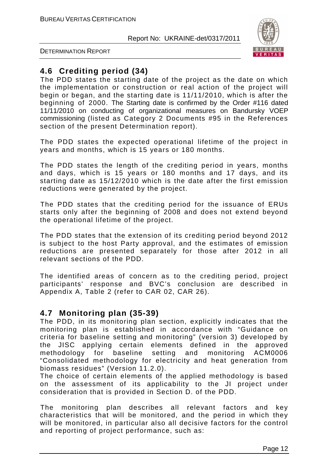

DETERMINATION REPORT

#### **4.6 Crediting period (34)**

The PDD states the starting date of the project as the date on which the implementation or construction or real action of the project will begin or began, and the starting date is 11/11/2010, which is after the beginning of 2000. The Starting date is confirmed by the Order #116 dated 11/11/2010 on conducting of organizational measures on Bandursky VOEP commissioning (listed as Category 2 Documents #95 in the References section of the present Determination report).

The PDD states the expected operational lifetime of the project in years and months, which is 15 years or 180 months.

The PDD states the length of the crediting period in years, months and days, which is 15 years or 180 months and 17 days, and its starting date as 15/12/2010 which is the date after the first emission reductions were generated by the project.

The PDD states that the crediting period for the issuance of ERUs starts only after the beginning of 2008 and does not extend beyond the operational lifetime of the project.

The PDD states that the extension of its crediting period beyond 2012 is subject to the host Party approval, and the estimates of emission reductions are presented separately for those after 2012 in all relevant sections of the PDD.

The identified areas of concern as to the crediting period, project participants' response and BVC's conclusion are described in Appendix A, Table 2 (refer to CAR 02, CAR 26).

#### **4.7 Monitoring plan (35-39)**

The PDD, in its monitoring plan section, explicitly indicates that the monitoring plan is established in accordance with "Guidance on criteria for baseline setting and monitoring" (version 3) developed by the JISC applying certain elements defined in the approved methodology for baseline setting and monitoring ACM0006 "Consolidated methodology for electricity and heat generation from biomass residues" (Version 11.2.0).

The choice of certain elements of the applied methodology is based on the assessment of its applicability to the JI project under consideration that is provided in Section D. of the PDD.

The monitoring plan describes all relevant factors and key characteristics that will be monitored, and the period in which they will be monitored, in particular also all decisive factors for the control and reporting of project performance, such as: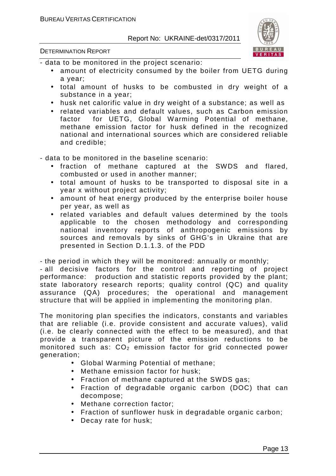

DETERMINATION REPORT

- data to be monitored in the project scenario:

- amount of electricity consumed by the boiler from UETG during a year;
- total amount of husks to be combusted in dry weight of a substance in a year;
- husk net calorific value in dry weight of a substance; as well as
- related variables and default values, such as Carbon emission factor for UETG, Global Warming Potential of methane, methane emission factor for husk defined in the recognized national and international sources which are considered reliable and credible;

- data to be monitored in the baseline scenario:

- fraction of methane captured at the SWDS and flared, combusted or used in another manner;
- total amount of husks to be transported to disposal site in a year x without project activity;
- amount of heat energy produced by the enterprise boiler house per year, as well as
- related variables and default values determined by the tools applicable to the chosen methodology and corresponding national inventory reports of anthropogenic emissions by sources and removals by sinks of GHG's in Ukraine that are presented in Section D.1.1.3. of the PDD

- the period in which they will be monitored: annually or monthly;

- all decisive factors for the control and reporting of project performance: production and statistic reports provided by the plant; state laboratory research reports; quality control (QC) and quality assurance (QA) procedures; the operational and management structure that will be applied in implementing the monitoring plan.

The monitoring plan specifies the indicators, constants and variables that are reliable (i.e. provide consistent and accurate values), valid (i.e. be clearly connected with the effect to be measured), and that provide a transparent picture of the emission reductions to be monitored such as:  $CO<sub>2</sub>$  emission factor for grid connected power generation;

- Global Warming Potential of methane;
- Methane emission factor for husk;
- Fraction of methane captured at the SWDS gas;
- Fraction of degradable organic carbon (DOC) that can decompose;
- Methane correction factor;
- Fraction of sunflower husk in degradable organic carbon;
- Decay rate for husk;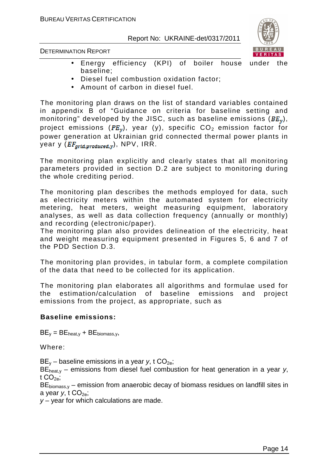

DETERMINATION REPORT

- Energy efficiency (KPI) of boiler house under the baseline;
- Diesel fuel combustion oxidation factor;
- Amount of carbon in diesel fuel.

The monitoring plan draws on the list of standard variables contained in appendix B of "Guidance on criteria for baseline setting and monitoring" developed by the JISC, such as baseline emissions ( $BE<sub>v</sub>$ ), project emissions ( $PE<sub>x</sub>$ ), year (y), specific  $CO<sub>2</sub>$  emission factor for power generation at Ukrainian grid connected thermal power plants in year y  $(EF_{grid, produced, y})$ , NPV, IRR.

The monitoring plan explicitly and clearly states that all monitoring parameters provided in section D.2 are subject to monitoring during the whole crediting period.

The monitoring plan describes the methods employed for data, such as electricity meters within the automated system for electricity metering, heat meters, weight measuring equipment, laboratory analyses, as well as data collection frequency (annually or monthly) and recording (electronic/paper).

The monitoring plan also provides delineation of the electricity, heat and weight measuring equipment presented in Figures 5, 6 and 7 of the PDD Section D.3.

The monitoring plan provides, in tabular form, a complete compilation of the data that need to be collected for its application.

The monitoring plan elaborates all algorithms and formulae used for the estimation/calculation of baseline emissions and project emissions from the project, as appropriate, such as

#### **Baseline emissions:**

 $BE_v = BE_{heat,v} + BE_{biomass.v}$ 

Where:

 $BE_v$  – baseline emissions in a year y, t  $CO_{2e}$ ;

 $BE<sub>heat,v</sub>$  – emissions from diesel fuel combustion for heat generation in a year y, t  $CO<sub>2</sub>$ :

 $BE_{\text{biomass.v}}$  – emission from anaerobic decay of biomass residues on landfill sites in a year  $v, t$  CO<sub>2e</sub>;

 $y -$  year for which calculations are made.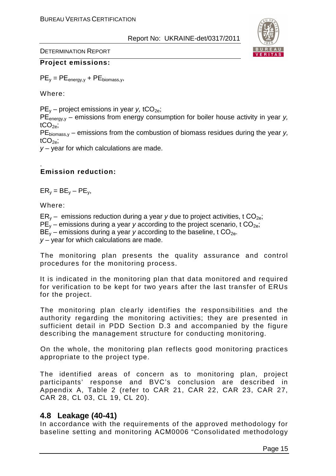

#### **Project emissions:**

 $PE_v = PE_{\text{energy},v} + PE_{\text{biomass},v}$ 

Where:

 $PE_v$  – project emissions in year y, tCO<sub>2e</sub>;

 $PE<sub>energy</sub>$  – emissions from energy consumption for boiler house activity in year y,  $tCO<sub>2e</sub>$ :

 $PE_{\text{biomass } y}$  – emissions from the combustion of biomass residues during the year y, tCO $_{2e}$ ;

 $y -$  year for which calculations are made.

#### . **Emission reduction:**

 $ER_v = BE_v - PE_v$ ,

Where:

 $ER_v$  – emissions reduction during a year y due to project activities, t  $CO_{2e}$ ;  $PE<sub>v</sub>$  – emissions during a year y according to the project scenario, t CO<sub>2e</sub>;  $BE<sub>v</sub>$  – emissions during a year y according to the baseline, t CO<sub>2e</sub>.  $y -$  year for which calculations are made.

The monitoring plan presents the quality assurance and control procedures for the monitoring process.

It is indicated in the monitoring plan that data monitored and required for verification to be kept for two years after the last transfer of ERUs for the project.

The monitoring plan clearly identifies the responsibilities and the authority regarding the monitoring activities; they are presented in sufficient detail in PDD Section D.3 and accompanied by the figure describing the management structure for conducting monitoring.

On the whole, the monitoring plan reflects good monitoring practices appropriate to the project type.

The identified areas of concern as to monitoring plan, project participants' response and BVC's conclusion are described in Appendix A, Table 2 (refer to CAR 21, CAR 22, CAR 23, CAR 27, CAR 28, CL 03, CL 19, CL 20).

#### **4.8 Leakage (40-41)**

In accordance with the requirements of the approved methodology for baseline setting and monitoring АСМ0006 "Consolidated methodology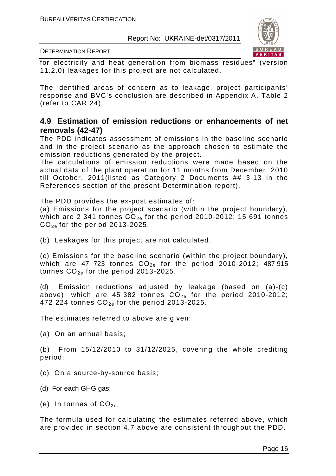

DETERMINATION REPORT

for electricity and heat generation from biomass residues" (version 11.2.0) leakages for this project are not calculated.

The identified areas of concern as to leakage, project participants' response and BVC's conclusion are described in Appendix A, Table 2 (refer to CAR 24).

#### **4.9 Estimation of emission reductions or enhancements of net removals (42-47)**

The PDD indicates assessment of emissions in the baseline scenario and in the project scenario as the approach chosen to estimate the emission reductions generated by the project.

The calculations of emission reductions were made based on the actual data of the plant operation for 11 months from December, 2010 till October, 2011(listed as Category 2 Documents ## 3-13 in the References section of the present Determination report).

The PDD provides the ex-post estimates of:

(a) Emissions for the project scenario (within the project boundary), which are 2 341 tonnes  $CO_{2e}$  for the period 2010-2012; 15 691 tonnes  $CO_{2e}$  for the period 2013-2025.

(b) Leakages for this project are not calculated.

(c) Emissions for the baseline scenario (within the project boundary), which are 47 723 tonnes  $CO_{2e}$  for the period 2010-2012; 487 915 tonnes  $CO_{2e}$  for the period 2013-2025.

(d) Emission reductions adjusted by leakage (based on (a)-(c) above), which are 45 382 tonnes  $CO_{2e}$  for the period 2010-2012; 472 224 tonnes  $CO_{2e}$  for the period 2013-2025.

The estimates referred to above are given:

(a) On an annual basis;

(b) From 15/12/2010 to 31/12/2025, covering the whole crediting period;

- (c) On a source-by-source basis;
- (d) For each GHG gas;
- (e) In tonnes of  $CO_{2e}$ .

The formula used for calculating the estimates referred above, which are provided in section 4.7 above are consistent throughout the PDD.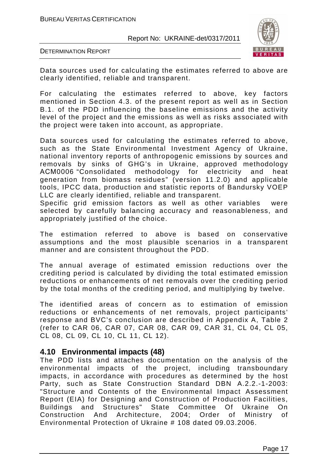

DETERMINATION REPORT

Data sources used for calculating the estimates referred to above are clearly identified, reliable and transparent.

For calculating the estimates referred to above, key factors mentioned in Section 4.3. of the present report as well as in Section B.1. of the PDD influencing the baseline emissions and the activity level of the project and the emissions as well as risks associated with the project were taken into account, as appropriate.

Data sources used for calculating the estimates referred to above, such as the State Environmental Investment Agency of Ukraine, national inventory reports of anthropogenic emissions by sources and removals by sinks of GHG's in Ukraine, approved methodology АСМ0006 "Consolidated methodology for electricity and heat generation from biomass residues" (version 11.2.0) and applicable tools, IPCC data, production and statistic reports of Bandursky VOEP LLC are clearly identified, reliable and transparent.

Specific grid emission factors as well as other variables were selected by carefully balancing accuracy and reasonableness, and appropriately justified of the choice.

The estimation referred to above is based on conservative assumptions and the most plausible scenarios in a transparent manner and are consistent throughout the PDD.

The annual average of estimated emission reductions over the crediting period is calculated by dividing the total estimated emission reductions or enhancements of net removals over the crediting period by the total months of the crediting period, and multiplying by twelve.

The identified areas of concern as to estimation of emission reductions or enhancements of net removals, project participants' response and BVC's conclusion are described in Appendix A, Table 2 (refer to CAR 06, CAR 07, CAR 08, CAR 09, CAR 31, CL 04, CL 05, CL 08, CL 09, CL 10, CL 11, CL 12).

#### **4.10 Environmental impacts (48)**

The PDD lists and attaches documentation on the analysis of the environmental impacts of the project, including transboundary impacts, in accordance with procedures as determined by the host Party, such as State Construction Standard DBN A.2.2.-1-2003: "Structure and Contents of the Environmental Impact Assessment Report (EIA) for Designing and Construction of Production Facilities, Buildings and Structures" State Committee Of Ukraine On Construction And Architecture, 2004; Order of Ministry of Environmental Protection of Ukraine # 108 dated 09.03.2006.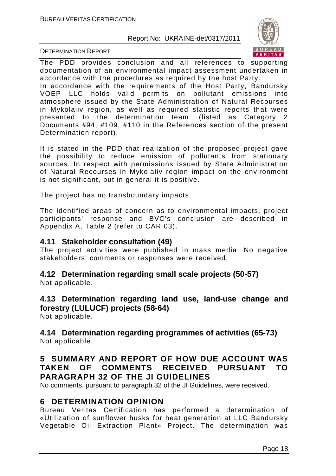

DETERMINATION REPORT

The PDD provides conclusion and all references to supporting documentation of an environmental impact assessment undertaken in accordance with the procedures as required by the host Party.

In accordance with the requirements of the Host Party, Bandursky VOEP LLC holds valid permits on pollutant emissions into atmosphere issued by the State Administration of Natural Recourses in Mykolaiiv region, as well as required statistic reports that were presented to the determination team. (listed as Category 2 Documents #94, #109, #110 in the References section of the present Determination report).

It is stated in the PDD that realization of the proposed project gave the possibility to reduce emission of pollutants from stationary sources. In respect with permissions issued by State Administration of Natural Recourses in Mykolaiiv region impact on the environment is not significant, but in general it is positive.

The project has no transboundary impacts.

The identified areas of concern as to environmental impacts, project participants' response and BVC's conclusion are described in Appendix A, Table 2 (refer to CAR 03).

#### **4.11 Stakeholder consultation (49)**

The project activities were published in mass media. No negative stakeholders' comments or responses were received.

# **4.12 Determination regarding small scale projects (50-57)**

Not applicable.

# **4.13 Determination regarding land use, land-use change and forestry (LULUCF) projects (58-64)**

Not applicable.

#### **4.14 Determination regarding programmes of activities (65-73)**  Not applicable.

#### **5 SUMMARY AND REPORT OF HOW DUE ACCOUNT WAS TAKEN OF COMMENTS RECEIVED PURSUANT TO PARAGRAPH 32 OF THE JI GUIDELINES**

No comments, pursuant to paragraph 32 of the JI Guidelines, were received.

#### **6 DETERMINATION OPINION**

Bureau Veritas Certification has performed a determination of «Utilization of sunflower husks for heat generation at LLC Bandursky Vegetable Oil Extraction Plant» Project. The determination was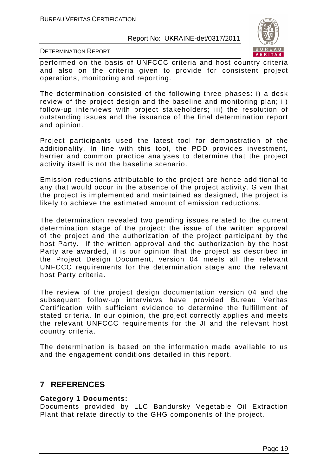

DETERMINATION REPORT

performed on the basis of UNFCCC criteria and host country criteria and also on the criteria given to provide for consistent project operations, monitoring and reporting.

The determination consisted of the following three phases: i) a desk review of the project design and the baseline and monitoring plan; ii) follow-up interviews with project stakeholders; iii) the resolution of outstanding issues and the issuance of the final determination report and opinion.

Project participants used the latest tool for demonstration of the additionality. In line with this tool, the PDD provides investment, barrier and common practice analyses to determine that the project activity itself is not the baseline scenario.

Emission reductions attributable to the project are hence additional to any that would occur in the absence of the project activity. Given that the project is implemented and maintained as designed, the project is likely to achieve the estimated amount of emission reductions.

The determination revealed two pending issues related to the current determination stage of the project: the issue of the written approval of the project and the authorization of the project participant by the host Party. If the written approval and the authorization by the host Party are awarded, it is our opinion that the project as described in the Project Design Document, version 04 meets all the relevant UNFCCC requirements for the determination stage and the relevant host Party criteria.

The review of the project design documentation version 04 and the subsequent follow-up interviews have provided Bureau Veritas Certification with sufficient evidence to determine the fulfillment of stated criteria. In our opinion, the project correctly applies and meets the relevant UNFCCC requirements for the JI and the relevant host country criteria.

The determination is based on the information made available to us and the engagement conditions detailed in this report.

#### **7 REFERENCES**

#### **Category 1 Documents:**

Documents provided by LLC Bandursky Vegetable Oil Extraction Plant that relate directly to the GHG components of the project.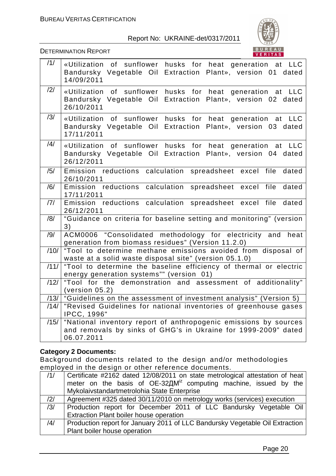

DETERMINATION REPORT

| /1/  | «Utilization of sunflower husks for heat generation at LLC<br>Bandursky Vegetable Oil Extraction Plant», version 01 dated<br>14/09/2011          |
|------|--------------------------------------------------------------------------------------------------------------------------------------------------|
| /2/  | «Utilization of sunflower husks for heat generation at LLC<br>Bandursky Vegetable Oil Extraction Plant», version 02 dated<br>26/10/2011          |
| /3/  | «Utilization of sunflower husks for heat generation at LLC<br>Bandursky Vegetable Oil Extraction Plant», version 03 dated<br>17/11/2011          |
| /4/  | «Utilization of sunflower husks for heat generation at LLC<br>Bandursky Vegetable Oil Extraction Plant», version 04 dated<br>26/12/2011          |
| /5/  | Emission reductions calculation<br>spreadsheet excel file<br>dated<br>26/10/2011                                                                 |
| /6/  | Emission reductions calculation spreadsheet excel file dated<br>17/11/2011                                                                       |
| 7    | Emission reductions calculation<br>spreadsheet excel file dated<br>26/12/2011                                                                    |
| /8/  | "Guidance on criteria for baseline setting and monitoring" (version<br>3)                                                                        |
| /9/  | ACM0006 "Consolidated methodology for electricity and heat<br>generation from biomass residues" (Version 11.2.0)                                 |
| /10/ | "Tool to determine methane emissions avoided from disposal of<br>waste at a solid waste disposal site" (version 05.1.0)                          |
| /11/ | "Tool to determine the baseline efficiency of thermal or electric<br>energy generation systems"" (version 01)                                    |
| /12/ | "Tool for the demonstration and assessment of additionality"<br>(version 05.2)                                                                   |
|      | $/13/$ "Guidelines on the assessment of investment analysis" (Version 5)                                                                         |
|      | /14/ Tevised Guidelines for national inventories of greenhouse gases<br><b>IPCC, 1996"</b>                                                       |
| /15/ | "National inventory report of anthropogenic emissions by sources<br>and removals by sinks of GHG's in Ukraine for 1999-2009" dated<br>06.07.2011 |

#### **Category 2 Documents:**

Background documents related to the design and/or methodologies employed in the design or other reference documents.

| /1/ | Certificate #2162 dated 12/08/2011 on state metrological attestation of heat |  |  |  |
|-----|------------------------------------------------------------------------------|--|--|--|
|     | meter on the basis of OE-32AM <sup>iz</sup> computing machine, issued by the |  |  |  |
|     | Mykolaivstandartmetrolohia State Enterprise                                  |  |  |  |
| /2/ | Agreement #325 dated 30/11/2010 on metrology works (services) execution      |  |  |  |
| /3/ | Production report for December 2011 of LLC Bandursky Vegetable Oil           |  |  |  |
|     | Extraction Plant boiler house operation                                      |  |  |  |
| /4/ | Production report for January 2011 of LLC Bandursky Vegetable Oil Extraction |  |  |  |
|     | Plant boiler house operation                                                 |  |  |  |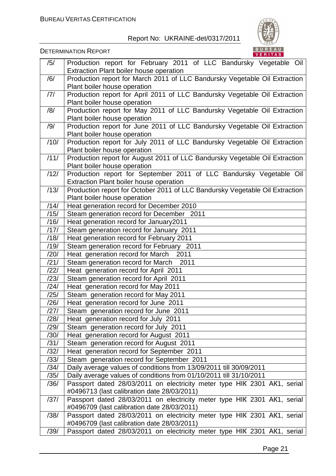

| /5/               | Production report for February 2011 of LLC Bandursky Vegetable Oil           |
|-------------------|------------------------------------------------------------------------------|
|                   | Extraction Plant boiler house operation                                      |
| /6/               | Production report for March 2011 of LLC Bandursky Vegetable Oil Extraction   |
|                   | Plant boiler house operation                                                 |
| 7                 | Production report for April 2011 of LLC Bandursky Vegetable Oil Extraction   |
|                   | Plant boiler house operation                                                 |
| /8/               | Production report for May 2011 of LLC Bandursky Vegetable Oil Extraction     |
|                   | Plant boiler house operation                                                 |
| /9/               | Production report for June 2011 of LLC Bandursky Vegetable Oil Extraction    |
|                   | Plant boiler house operation                                                 |
| /10/              | Production report for July 2011 of LLC Bandursky Vegetable Oil Extraction    |
|                   | Plant boiler house operation                                                 |
| /11/              | Production report for August 2011 of LLC Bandursky Vegetable Oil Extraction  |
|                   | Plant boiler house operation                                                 |
| /12/              | Production report for September 2011 of LLC Bandursky Vegetable Oil          |
|                   | Extraction Plant boiler house operation                                      |
| /13/              | Production report for October 2011 of LLC Bandursky Vegetable Oil Extraction |
|                   | Plant boiler house operation                                                 |
| /14/              | Heat generation record for December 2010                                     |
| /15/              | Steam generation record for December 2011                                    |
| /16/              | Heat generation record for January2011                                       |
| /17/              | Steam generation record for January 2011                                     |
| /18/              | Heat generation record for February 2011                                     |
| /19/              | Steam generation record for February 2011                                    |
| /20/              | Heat generation record for March 2011                                        |
| /21/              | Steam generation record for March 2011                                       |
| /22/              | Heat generation record for April 2011                                        |
| /23/              | Steam generation record for April 2011                                       |
| $\overline{1}/24$ | Heat generation record for May 2011                                          |
| /25/              | Steam generation record for May 2011                                         |
| /26/              | Heat generation record for June 2011                                         |
| $\overline{27/}$  | Steam generation record for June 2011                                        |
| /28/              | Heat generation record for July 2011                                         |
| /29/              | Steam generation record for July 2011                                        |
| /30/              | Heat generation record for August 2011                                       |
| /31/              | Steam generation record for August 2011                                      |
| /32/              | Heat generation record for September 2011                                    |
| /33/              | Steam generation record for September 2011                                   |
| /34/              | Daily average values of conditions from 13/09/2011 till 30/09/2011           |
| /35/              | Daily average values of conditions from 01/10/2011 till 31/10/2011           |
| /36/              | Passport dated 28/03/2011 on electricity meter type HIK 2301 AK1, serial     |
|                   | #0496713 (last calibration date 28/03/2011)                                  |
| /37/              | Passport dated 28/03/2011 on electricity meter type HIK 2301 AK1, serial     |
|                   | #0496709 (last calibration date 28/03/2011)                                  |
| /38/              | Passport dated 28/03/2011 on electricity meter type HIK 2301 AK1, serial     |
|                   | #0496709 (last calibration date 28/03/2011)                                  |
| /39/              | Passport dated 28/03/2011 on electricity meter type HIK 2301 AK1, serial     |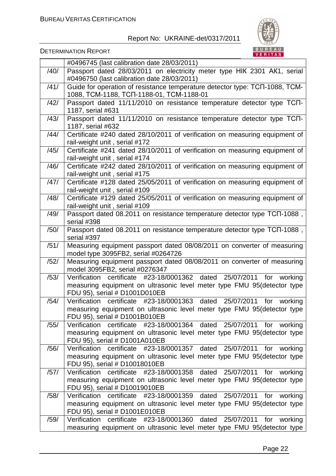

|      | #0496745 (last calibration date 28/03/2011)                                                                  |
|------|--------------------------------------------------------------------------------------------------------------|
| /40/ | Passport dated 28/03/2011 on electricity meter type HIK 2301 AK1, serial                                     |
|      | #0496750 (last calibration date 28/03/2011)                                                                  |
| /41/ | Guide for operation of resistance temperature detector type: TCN-1088, TCM-                                  |
|      | 1088, TCM-1188, TCN-1188-01, TCM-1188-01                                                                     |
| /42/ | Passport dated 11/11/2010 on resistance temperature detector type TCN-                                       |
|      | 1187, serial #631                                                                                            |
| /43/ | Passport dated 11/11/2010 on resistance temperature detector type TCN-                                       |
|      | 1187, serial #632                                                                                            |
| /44/ | Certificate #240 dated 28/10/2011 of verification on measuring equipment of                                  |
|      | rail-weight unit, serial #172                                                                                |
| /45/ | Certificate #241 dated 28/10/2011 of verification on measuring equipment of                                  |
|      | rail-weight unit, serial #174                                                                                |
| /46/ | Certificate #242 dated 28/10/2011 of verification on measuring equipment of                                  |
|      | rail-weight unit, serial #175                                                                                |
| /47/ | Certificate #128 dated 25/05/2011 of verification on measuring equipment of<br>rail-weight unit, serial #109 |
| /48/ | Certificate #129 dated 25/05/2011 of verification on measuring equipment of                                  |
|      | rail-weight unit, serial #109                                                                                |
| /49/ | Passport dated 08.2011 on resistance temperature detector type TCN-1088,                                     |
|      | serial #398                                                                                                  |
| /50/ | Passport dated 08.2011 on resistance temperature detector type TCN-1088,                                     |
|      | serial #397                                                                                                  |
| /51/ | Measuring equipment passport dated 08/08/2011 on converter of measuring                                      |
|      | model type 3095FB2, serial #0264726                                                                          |
| /52/ | Measuring equipment passport dated 08/08/2011 on converter of measuring                                      |
|      | model 3095FB2, serial #0276347                                                                               |
| /53/ | Verification certificate #23-18/0001362 dated 25/07/2011 for working                                         |
|      | measuring equipment on ultrasonic level meter type FMU 95 (detector type                                     |
| /54/ | FDU 95), serial # D1001D010EB<br>25/07/2011<br>certificate<br>#23-18/0001363 dated<br>Verification<br>for    |
|      | working<br>measuring equipment on ultrasonic level meter type FMU 95(detector type                           |
|      | FDU 95), serial # D1001B010EB                                                                                |
| /55/ | #23-18/0001364 dated 25/07/2011 for working<br>Verification certificate                                      |
|      | measuring equipment on ultrasonic level meter type FMU 95(detector type                                      |
|      | FDU 95), serial # D1001A010EB                                                                                |
| /56/ | Verification certificate #23-18/0001357 dated 25/07/2011 for working                                         |
|      | measuring equipment on ultrasonic level meter type FMU 95 (detector type                                     |
|      | FDU 95), serial # D10018010EB                                                                                |
| /57/ | Verification certificate #23-18/0001358 dated 25/07/2011 for working                                         |
|      | measuring equipment on ultrasonic level meter type FMU 95(detector type                                      |
|      | FDU 95), serial # D10019010EB                                                                                |
| /58/ | Verification certificate #23-18/0001359 dated 25/07/2011 for working                                         |
|      | measuring equipment on ultrasonic level meter type FMU 95 (detector type                                     |
|      | FDU 95), serial # D1001E010EB                                                                                |
| /59/ | Verification certificate #23-18/0001360 dated<br>25/07/2011 for working                                      |
|      | measuring equipment on ultrasonic level meter type FMU 95 (detector type                                     |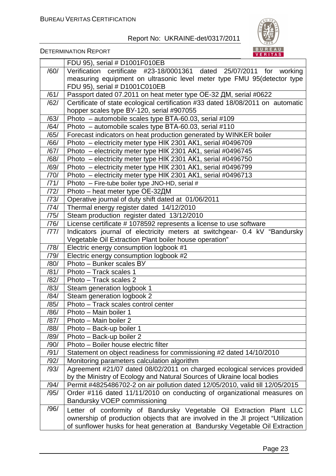

|              | FDU 95), serial # D1001F010EB                                                    |  |  |  |  |  |
|--------------|----------------------------------------------------------------------------------|--|--|--|--|--|
| /60/         | Verification certificate #23-18/0001361 dated 25/07/2011 for working             |  |  |  |  |  |
|              | measuring equipment on ultrasonic level meter type FMU 95(detector type          |  |  |  |  |  |
|              | FDU 95), serial # D1001C010EB                                                    |  |  |  |  |  |
| 761/         | Passport dated 07.2011 on heat meter type OE-32 AM, serial #0622                 |  |  |  |  |  |
| /62/         | Certificate of state ecological certification #33 dated 18/08/2011 on automatic  |  |  |  |  |  |
|              | hopper scales type BY-120, serial #907055                                        |  |  |  |  |  |
| /63/         | Photo - automobile scales type BTA-60.03, serial #109                            |  |  |  |  |  |
| /64/         | Photo - automobile scales type BTA-60.03, serial #110                            |  |  |  |  |  |
| /65/         | Forecast indicators on heat production generated by WINKER boiler                |  |  |  |  |  |
| /66/         | Photo - electricity meter type HIK 2301 AK1, serial #0496709                     |  |  |  |  |  |
| /67/         | Photo - electricity meter type HIK 2301 AK1, serial #0496745                     |  |  |  |  |  |
| /68/         | Photo - electricity meter type HIK 2301 AK1, serial #0496750                     |  |  |  |  |  |
| /69/         | Photo - electricity meter type HIK 2301 AK1, serial #0496799                     |  |  |  |  |  |
| /70/         | Photo - electricity meter type HIK 2301 AK1, serial #0496713                     |  |  |  |  |  |
| /71/         | Photo $-$ Fire-tube boiler type JNO-HD, serial #                                 |  |  |  |  |  |
| /72/         | Photo – heat meter type OE-32ДМ                                                  |  |  |  |  |  |
| /73/         | Operative journal of duty shift dated at 01/06/2011                              |  |  |  |  |  |
| /74/         | Thermal energy register dated 14/12/2010                                         |  |  |  |  |  |
| /75/         | Steam production register dated 13/12/2010                                       |  |  |  |  |  |
| /76/         | License certificate # 1078592 represents a license to use software               |  |  |  |  |  |
| /77/         | Indicators journal of electricity meters at switchgear- 0.4 kV "Bandursky        |  |  |  |  |  |
|              | Vegetable Oil Extraction Plant boiler house operation"                           |  |  |  |  |  |
| /78/         | Electric energy consumption logbook #1                                           |  |  |  |  |  |
| /79/         | Electric energy consumption logbook #2                                           |  |  |  |  |  |
| /80/         | Photo - Bunker scales BY                                                         |  |  |  |  |  |
| /81/         | Photo - Track scales 1                                                           |  |  |  |  |  |
| /82/<br>/83/ | Photo - Track scales 2                                                           |  |  |  |  |  |
| /84/         | Steam generation logbook 1                                                       |  |  |  |  |  |
| /85/         | Steam generation logbook 2<br>Photo - Track scales control center                |  |  |  |  |  |
| /86/         | Photo - Main boiler 1                                                            |  |  |  |  |  |
| /87/         | Photo - Main boiler 2                                                            |  |  |  |  |  |
| /88/         | Photo - Back-up boiler 1                                                         |  |  |  |  |  |
| /89/         | Photo - Back-up boiler 2                                                         |  |  |  |  |  |
| /90/         | Photo - Boiler house electric filter                                             |  |  |  |  |  |
| /91/         | Statement on object readiness for commissioning #2 dated 14/10/2010              |  |  |  |  |  |
| /92/         | Monitoring parameters calculation algorithm                                      |  |  |  |  |  |
| /93/         | Agreement #21/07 dated 08/02/2011 on charged ecological services provided        |  |  |  |  |  |
|              | by the Ministry of Ecology and Natural Sources of Ukraine local bodies           |  |  |  |  |  |
| /94/         | Permit #4825486702-2 on air pollution dated 12/05/2010, valid till 12/05/2015    |  |  |  |  |  |
| /95/         | Order #116 dated 11/11/2010 on conducting of organizational measures on          |  |  |  |  |  |
|              | Bandursky VOEP commissioning                                                     |  |  |  |  |  |
| /96/         | Letter of conformity of Bandursky Vegetable Oil Extraction Plant LLC             |  |  |  |  |  |
|              | ownership of production objects that are involved in the JI project "Utilization |  |  |  |  |  |
|              | of sunflower husks for heat generation at Bandursky Vegetable Oil Extraction     |  |  |  |  |  |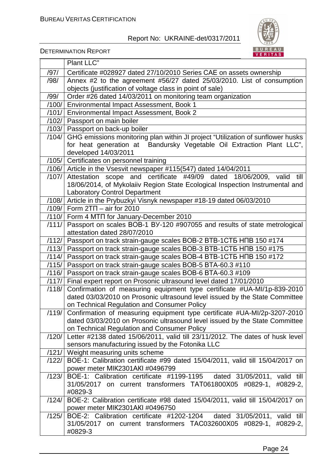



|       | Plant LLC"                                                                                                       |  |  |  |  |
|-------|------------------------------------------------------------------------------------------------------------------|--|--|--|--|
| /97/  | Certificate #028927 dated 27/10/2010 Series CAE on assets ownership                                              |  |  |  |  |
| /98/  | Annex #2 to the agreement #56/27 dated 25/03/2010. List of consumption                                           |  |  |  |  |
|       | objects (justification of voltage class in point of sale)                                                        |  |  |  |  |
| /99/  | Order #26 dated 14/03/2011 on monitoring team organization                                                       |  |  |  |  |
|       | /100/ Environmental Impact Assessment, Book 1                                                                    |  |  |  |  |
| /101/ | Environmental Impact Assessment, Book 2                                                                          |  |  |  |  |
|       | /102/ Passport on main boiler                                                                                    |  |  |  |  |
|       | /103/ Passport on back-up boiler                                                                                 |  |  |  |  |
| /104/ | GHG emissions monitoring plan within JI project "Utilization of sunflower husks                                  |  |  |  |  |
|       | for heat generation at Bandursky Vegetable Oil Extraction Plant LLC",                                            |  |  |  |  |
|       | developed 14/03/2011                                                                                             |  |  |  |  |
|       | /105/ Certificates on personnel training                                                                         |  |  |  |  |
|       | /106/ Article in the Vsesvit newspaper #115(547) dated 14/04/2011                                                |  |  |  |  |
| /107/ | Attestation scope and certificate #49/09 dated 18/06/2009, valid<br>till                                         |  |  |  |  |
|       | 18/06/2014, of Mykolaiiv Region State Ecological Inspection Instrumental and                                     |  |  |  |  |
|       | <b>Laboratory Control Department</b>                                                                             |  |  |  |  |
| /108/ | Article in the Prybuzkyi Visnyk newspaper #18-19 dated 06/03/2010                                                |  |  |  |  |
|       | $/109/$ Form 2TN – air for 2010                                                                                  |  |  |  |  |
|       | /110/ Form 4 MTN for January-December 2010                                                                       |  |  |  |  |
| /111/ | Passport on scales BOB-1 BY-120 #907055 and results of state metrological<br>attestation dated 28/07/2010        |  |  |  |  |
|       | /112/   Passport on track strain-gauge scales BOB-2 BTB-1CT5 HNB 150 #174                                        |  |  |  |  |
|       | /113/   Passport on track strain-gauge scales BOB-3 BTB-1CT5 HNB 150 #175                                        |  |  |  |  |
|       | /114/   Passport on track strain-gauge scales BOB-4 BTB-1CT5 HNB 150 #172                                        |  |  |  |  |
|       | /115/   Passport on track strain-gauge scales BOB-5 BTA-60.3 #110                                                |  |  |  |  |
|       | /116/ Passport on track strain-gauge scales BOB-6 BTA-60.3 #109                                                  |  |  |  |  |
|       | /117/ Final expert report on Prosonic ultrasound level dated 17/01/2010                                          |  |  |  |  |
| /118/ | Confirmation of measuring equipment type certificate #UA-MI/1p-839-2010                                          |  |  |  |  |
|       | dated 03/03/2010 on Prosonic ultrasound level issued by the State Committee                                      |  |  |  |  |
|       | on Technical Regulation and Consumer Policy                                                                      |  |  |  |  |
| /119/ | Confirmation of measuring equipment type certificate #UA-MI/2p-3207-2010                                         |  |  |  |  |
|       | dated 03/03/2010 on Prosonic ultrasound level issued by the State Committee                                      |  |  |  |  |
|       | on Technical Regulation and Consumer Policy                                                                      |  |  |  |  |
| /120/ | Letter #2138 dated 15/06/2011, valid till 23/11/2012. The dates of husk level                                    |  |  |  |  |
|       | sensors manufacturing issued by the Fotonika LLC                                                                 |  |  |  |  |
| /121/ | Weight measuring units scheme                                                                                    |  |  |  |  |
| /122/ | BOE-1: Calibration certificate #99 dated 15/04/2011, valid till 15/04/2017 on<br>power meter MIK2301AKI #0496799 |  |  |  |  |
| /123/ | BOE-1: Calibration certificate #1199-1195 dated 31/05/2011, valid till                                           |  |  |  |  |
|       | 31/05/2017 on current transformers TAT061800X05 #0829-1, #0829-2,                                                |  |  |  |  |
|       | #0829-3                                                                                                          |  |  |  |  |
| /124/ | BOE-2: Calibration certificate #98 dated 15/04/2011, valid till 15/04/2017 on                                    |  |  |  |  |
|       | power meter MIK2301AKI #0496750                                                                                  |  |  |  |  |
| /125/ | BOE-2: Calibration certificate #1202-1204 dated 31/05/2011, valid till                                           |  |  |  |  |
|       | 31/05/2017 on current transformers TAC032600X05 #0829-1, #0829-2,                                                |  |  |  |  |
|       | #0829-3                                                                                                          |  |  |  |  |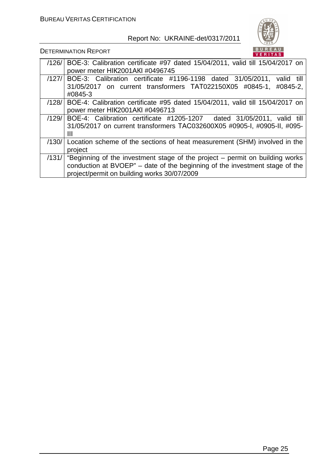

| /126/ | BOE-3: Calibration certificate #97 dated 15/04/2011, valid till 15/04/2017 on        |  |  |  |
|-------|--------------------------------------------------------------------------------------|--|--|--|
|       |                                                                                      |  |  |  |
|       | power meter HIK2001AKI #0496745                                                      |  |  |  |
| /127/ | BOE-3: Calibration certificate #1196-1198 dated 31/05/2011,<br>valid till            |  |  |  |
|       | 31/05/2017 on current transformers TAT022150X05 #0845-1,<br>#0845-2,                 |  |  |  |
|       | #0845-3                                                                              |  |  |  |
|       |                                                                                      |  |  |  |
| /128/ | BOE-4: Calibration certificate #95 dated 15/04/2011, valid till 15/04/2017 on        |  |  |  |
|       | power meter HIK2001AKI #0496713                                                      |  |  |  |
| /129/ | BOE-4: Calibration certificate #1205-1207 dated 31/05/2011, valid till               |  |  |  |
|       | 31/05/2017 on current transformers TAC032600X05 #0905-1, #0905-1, #095-              |  |  |  |
|       | Ш                                                                                    |  |  |  |
|       |                                                                                      |  |  |  |
| /130/ | Location scheme of the sections of heat measurement (SHM) involved in the            |  |  |  |
|       | project                                                                              |  |  |  |
|       | $/131/$ "Beginning of the investment stage of the project – permit on building works |  |  |  |
|       |                                                                                      |  |  |  |
|       | conduction at BVOEP" - date of the beginning of the investment stage of the          |  |  |  |
|       | project/permit on building works 30/07/2009                                          |  |  |  |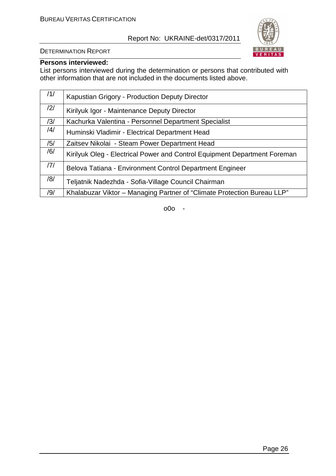

DETERMINATION REPORT

#### **Persons interviewed:**

List persons interviewed during the determination or persons that contributed with other information that are not included in the documents listed above.

| /1/ | Kapustian Grigory - Production Deputy Director                            |
|-----|---------------------------------------------------------------------------|
| /2/ | Kirilyuk Igor - Maintenance Deputy Director                               |
| /3/ | Kachurka Valentina - Personnel Department Specialist                      |
| /4/ | Huminski Vladimir - Electrical Department Head                            |
| /5/ | Zaitsev Nikolai - Steam Power Department Head                             |
| /6/ | Kirilyuk Oleg - Electrical Power and Control Equipment Department Foreman |
| 7   | Belova Tatiana - Environment Control Department Engineer                  |
| /8/ | Teljatnik Nadezhda - Sofia-Village Council Chairman                       |
| /9/ | Khalabuzar Viktor – Managing Partner of "Climate Protection Bureau LLP"   |

1. o0o -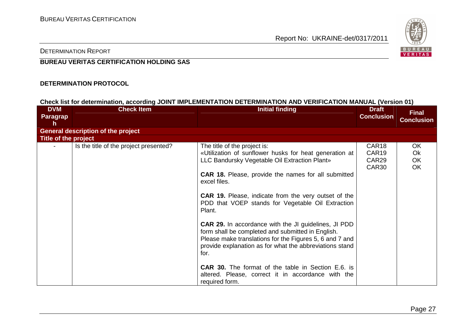

#### DETERMINATION REPORT

#### **BUREAU VERITAS CERTIFICATION HOLDING SAS**

#### **DETERMINATION PROTOCOL**

#### **Check list for determination, according JOINT IMPLEMENTATION DETERMINATION AND VERIFICATION MANUAL (Version 01)**

| <b>DVM</b><br>Paragrap<br>h | <b>Check Item</b>                         | <b>Initial finding</b>                                                                                                                                                                                                                                                                                                                                                                                                                                                                                                                                                                                                                                                                                                                     | <b>Draft</b><br><b>Conclusion</b>                                    | <b>Final</b><br><b>Conclusion</b>         |
|-----------------------------|-------------------------------------------|--------------------------------------------------------------------------------------------------------------------------------------------------------------------------------------------------------------------------------------------------------------------------------------------------------------------------------------------------------------------------------------------------------------------------------------------------------------------------------------------------------------------------------------------------------------------------------------------------------------------------------------------------------------------------------------------------------------------------------------------|----------------------------------------------------------------------|-------------------------------------------|
|                             | <b>General description of the project</b> |                                                                                                                                                                                                                                                                                                                                                                                                                                                                                                                                                                                                                                                                                                                                            |                                                                      |                                           |
| Title of the project        |                                           |                                                                                                                                                                                                                                                                                                                                                                                                                                                                                                                                                                                                                                                                                                                                            |                                                                      |                                           |
|                             | Is the title of the project presented?    | The title of the project is:<br>«Utilization of sunflower husks for heat generation at<br>LLC Bandursky Vegetable Oil Extraction Plant»<br><b>CAR 18.</b> Please, provide the names for all submitted<br>excel files.<br><b>CAR 19.</b> Please, indicate from the very outset of the<br>PDD that VOEP stands for Vegetable Oil Extraction<br>Plant.<br><b>CAR 29.</b> In accordance with the JI guidelines, JI PDD<br>form shall be completed and submitted in English.<br>Please make translations for the Figures 5, 6 and 7 and<br>provide explanation as for what the abbreviations stand<br>for.<br><b>CAR 30.</b> The format of the table in Section E.6. is<br>altered. Please, correct it in accordance with the<br>required form. | CAR <sub>18</sub><br>CAR <sub>19</sub><br>CAR <sub>29</sub><br>CAR30 | OK<br><b>Ok</b><br><b>OK</b><br><b>OK</b> |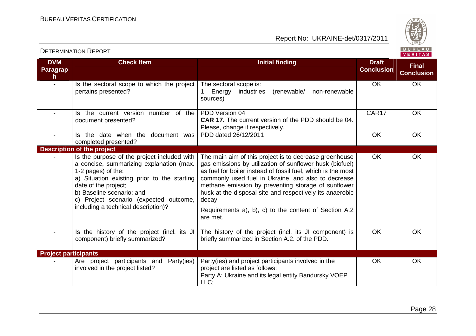

| <b>DVM</b><br><b>Paragrap</b><br>h | <b>Check Item</b>                                                                                                                                                                                                                                                                                  | Initial finding                                                                                                                                                                                                                                                                                                                                                                                                                             | <b>Draft</b><br><b>Conclusion</b> | <b>Final</b><br><b>Conclusion</b> |
|------------------------------------|----------------------------------------------------------------------------------------------------------------------------------------------------------------------------------------------------------------------------------------------------------------------------------------------------|---------------------------------------------------------------------------------------------------------------------------------------------------------------------------------------------------------------------------------------------------------------------------------------------------------------------------------------------------------------------------------------------------------------------------------------------|-----------------------------------|-----------------------------------|
|                                    | Is the sectoral scope to which the project<br>pertains presented?                                                                                                                                                                                                                                  | The sectoral scope is:<br>non-renewable<br>Energy<br>industries<br>(renewable/<br>sources)                                                                                                                                                                                                                                                                                                                                                  | OK                                | OK                                |
|                                    | Is the current version number of the<br>document presented?                                                                                                                                                                                                                                        | PDD Version 04<br><b>CAR 17.</b> The current version of the PDD should be 04.<br>Please, change it respectively.                                                                                                                                                                                                                                                                                                                            | CAR17                             | OK                                |
| $\blacksquare$                     | Is the date when the document was<br>completed presented?                                                                                                                                                                                                                                          | PDD dated 26/12/2011                                                                                                                                                                                                                                                                                                                                                                                                                        | <b>OK</b>                         | OK                                |
|                                    | <b>Description of the project</b>                                                                                                                                                                                                                                                                  |                                                                                                                                                                                                                                                                                                                                                                                                                                             |                                   |                                   |
|                                    | Is the purpose of the project included with<br>a concise, summarizing explanation (max.<br>1-2 pages) of the:<br>a) Situation existing prior to the starting<br>date of the project;<br>b) Baseline scenario; and<br>c) Project scenario (expected outcome,<br>including a technical description)? | The main aim of this project is to decrease greenhouse<br>gas emissions by utilization of sunflower husk (biofuel)<br>as fuel for boiler instead of fossil fuel, which is the most<br>commonly used fuel in Ukraine, and also to decrease<br>methane emission by preventing storage of sunflower<br>husk at the disposal site and respectively its anaerobic<br>decay.<br>Requirements a), b), c) to the content of Section A.2<br>are met. | OK                                | OK                                |
|                                    | Is the history of the project (incl. its JI<br>component) briefly summarized?                                                                                                                                                                                                                      | The history of the project (incl. its JI component) is<br>briefly summarized in Section A.2. of the PDD.                                                                                                                                                                                                                                                                                                                                    | OK                                | OK                                |
| <b>Project participants</b>        |                                                                                                                                                                                                                                                                                                    |                                                                                                                                                                                                                                                                                                                                                                                                                                             |                                   |                                   |
|                                    | Are project participants and Party(ies)<br>involved in the project listed?                                                                                                                                                                                                                         | Party(ies) and project participants involved in the<br>project are listed as follows:<br>Party A: Ukraine and its legal entity Bandursky VOEP<br>LLC;                                                                                                                                                                                                                                                                                       | OK                                | OK                                |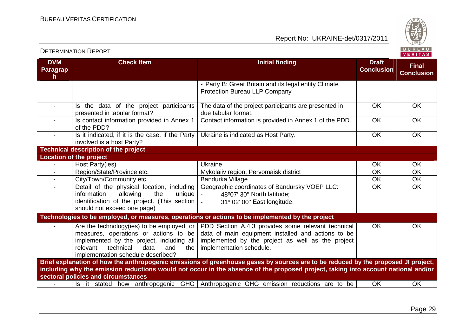Report No: UKRAINE-det/0317/2011



#### **DVM Paragraph Check Item Initial finding Check Item Initial finding Check Item Initial finding Check Item Initial finding Check Item Initial finding Check Item Initial finding Check Item Initial finding Check Item Initial finding Check Conclusion Final Conclusion**- Party B: Great Britain and its legal entity Climate Protection Bureau LLP Company - Is the data of the project participants presented in tabular format? - | Is contact information provided in Annex 1 The data of the project participants are presented in due tabular format. Contact information is provided in Annex 1 of the PDD. | OK | OK OK OK of the PDD? - | Is it indicated, if it is the case, if the Party involved is a host Party? **Technical description of the project** Ukraine is indicated as Host Party. **Location of the project** - Host Party(ies) Ukraine OK OK  $\overline{OK}$ - Region/State/Province etc. Mykolaiiv region, Pervomaisk district CK CK  $\overline{OK}$ City/Town/Community etc.<br>
Detail of the physical location, including Geographic coordinates of Bandursky VOEP LLC: OK  $\overline{OK}$ - **Detail of the physical location, including** information allowing the unique identification of the project. (This section should not exceed one page) Geographic coordinates of Bandursky VOEP LLC: OK OK<br>- 48º07' 30'' North latitude; <br>- 31º 02' 00'' East longitude. 48º07' 30'' North latitude; -**Technologies to be employed, or measures, operations or actions to be implemented by the project** - Are the technology(ies) to be employed, or measures, operations or actions to be implemented by the project, including all the relevant technical data and implementation schedule described? **Brief explanation of how the anthropogenic emissions of greenhouse gases by sources are to be reduced by the proposed JI project,** PDD Section A.4.3 provides some relevant technical data of main equipment installed and actions to be implemented by the project as well as the project implementation schedule. OK OK **including why the emission reductions would not occur in the absence of the proposed project, taking into account national and/or sectoral policies and circumstances** - | Is it stated how anthropogenic GHG Anthropogenic GHG emission reductions are to be | OK | OK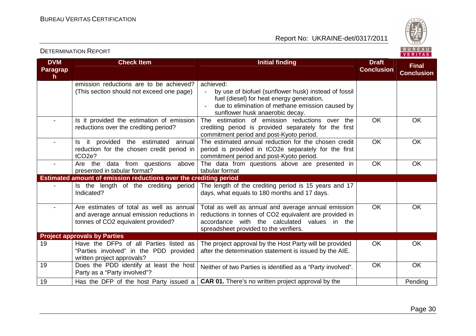

| <b>DVM</b>      | <b>Check Item</b>                                                    | <b>Initial finding</b>                                                                        | <b>Draft</b>      | <b>Final</b>      |
|-----------------|----------------------------------------------------------------------|-----------------------------------------------------------------------------------------------|-------------------|-------------------|
| <b>Paragrap</b> |                                                                      |                                                                                               | <b>Conclusion</b> | <b>Conclusion</b> |
| h               | emission reductions are to be achieved?                              | achieved:                                                                                     |                   |                   |
|                 | (This section should not exceed one page)                            | by use of biofuel (sunflower husk) instead of fossil                                          |                   |                   |
|                 |                                                                      | fuel (diesel) for heat energy generation,                                                     |                   |                   |
|                 |                                                                      | due to elimination of methane emission caused by                                              |                   |                   |
|                 |                                                                      | sunflower husk anaerobic decay.                                                               |                   |                   |
|                 | Is it provided the estimation of emission                            | The estimation of emission reductions over the                                                | <b>OK</b>         | <b>OK</b>         |
|                 | reductions over the crediting period?                                | crediting period is provided separately for the first                                         |                   |                   |
|                 |                                                                      | commitment period and post-Kyoto period.                                                      |                   |                   |
|                 | it provided the estimated annual<br>Is.                              | The estimated annual reduction for the chosen credit                                          | $\overline{OK}$   | OK                |
|                 | reduction for the chosen credit period in                            | period is provided in tCO2e separately for the first                                          |                   |                   |
|                 | tCO <sub>2e</sub> ?<br>Are the                                       | commitment period and post-Kyoto period.                                                      | OK                | OK                |
|                 | data from questions above<br>presented in tabular format?            | The data from questions above are presented in<br>tabular format                              |                   |                   |
|                 | Estimated amount of emission reductions over the crediting period    |                                                                                               |                   |                   |
|                 | Is the length of the crediting period                                | The length of the crediting period is 15 years and 17                                         |                   |                   |
|                 | Indicated?                                                           | days, what equals to 180 months and 17 days.                                                  |                   |                   |
|                 |                                                                      |                                                                                               |                   |                   |
|                 | Are estimates of total as well as annual                             | Total as well as annual and average annual emission                                           | <b>OK</b>         | OK                |
|                 | and average annual emission reductions in                            | reductions in tonnes of CO2 equivalent are provided in                                        |                   |                   |
|                 | tonnes of CO2 equivalent provided?                                   | accordance with the calculated values in the                                                  |                   |                   |
|                 |                                                                      | spreadsheet provided to the verifiers.                                                        |                   |                   |
|                 | <b>Project approvals by Parties</b>                                  |                                                                                               |                   |                   |
| 19              | Have the DFPs of all Parties listed as                               | The project approval by the Host Party will be provided                                       | OK                | OK                |
|                 | "Parties involved" in the PDD provided<br>written project approvals? | after the determination statement is issued by the AIE.                                       |                   |                   |
| 19              | Does the PDD identify at least the host                              |                                                                                               | <b>OK</b>         | OK                |
|                 | Party as a "Party involved"?                                         | Neither of two Parties is identified as a "Party involved".                                   |                   |                   |
| 19              |                                                                      | Has the DFP of the host Party issued a $ $ CAR 01. There's no written project approval by the |                   | Pending           |
|                 |                                                                      |                                                                                               |                   |                   |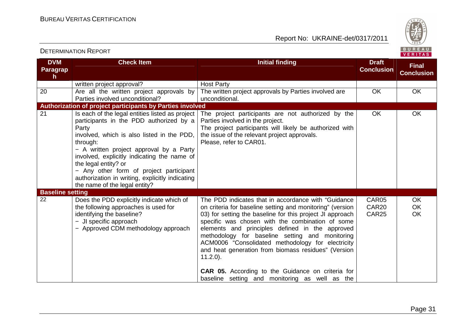Report No: UKRAINE-det/0317/2011



#### **DVM Paragraph Check Item Initial finding Check Item Initial finding Check Item Initial finding Initial finding Draft Conclusion Final Conclusion**written project approval? The written project approvals by Parties involved are 20 Are all the written project approvals by Parties involved unconditional? **Authorization of project participants by Parties involved** unconditional. OK OK The project participants are not authorized by the 21 Is each of the legal entities listed as project participants in the PDD authorized by a Party involved, which is also listed in the PDD, through: − A written project approval by a Party involved, explicitly indicating the name of the legal entity? or − Any other form of project participant authorization in writing, explicitly indicating the name of the legal entity? Parties involved in the project. The project participants will likely be authorized with the issue of the relevant project approvals. Please, refer to CAR01. OK OK **Baseline setting**<br>22 **Does**  22 Does the PDD explicitly indicate which of the following approaches is used for identifying the baseline? − JI specific approach − Approved CDM methodology approach The PDD indicates that in accordance with "Guidance on criteria for baseline setting and monitoring" (version 03) for setting the baseline for this project JI approach specific was chosen with the combination of some elements and principles defined in the approved methodology for baseline setting and monitoring ACM0006 "Consolidated methodology for electricity and heat generation from biomass residues" (Version11.2.0). **CAR 05.** According to the Guidance on criteria for baseline setting and monitoring as well as the CAR05 CAR20 CAR25 OK OK OK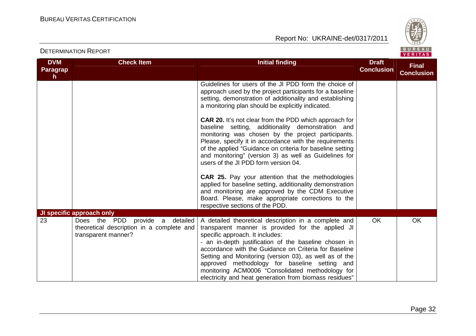

| <b>DETERMINATION REPORT</b>            |                                                                                                                                         |                                                                                                                                                                                                                                                                                                                                                                                                                                                                                                                                                                                                                                                                                                                                                                                                                                                                                                              |                                   | BUREAU<br>VERITAS                 |
|----------------------------------------|-----------------------------------------------------------------------------------------------------------------------------------------|--------------------------------------------------------------------------------------------------------------------------------------------------------------------------------------------------------------------------------------------------------------------------------------------------------------------------------------------------------------------------------------------------------------------------------------------------------------------------------------------------------------------------------------------------------------------------------------------------------------------------------------------------------------------------------------------------------------------------------------------------------------------------------------------------------------------------------------------------------------------------------------------------------------|-----------------------------------|-----------------------------------|
| <b>DVM</b><br>Paragrap<br>$\mathsf{h}$ | <b>Check Item</b>                                                                                                                       | <b>Initial finding</b>                                                                                                                                                                                                                                                                                                                                                                                                                                                                                                                                                                                                                                                                                                                                                                                                                                                                                       | <b>Draft</b><br><b>Conclusion</b> | <b>Final</b><br><b>Conclusion</b> |
|                                        |                                                                                                                                         | Guidelines for users of the JI PDD form the choice of<br>approach used by the project participants for a baseline<br>setting, demonstration of additionality and establishing<br>a monitoring plan should be explicitly indicated.<br><b>CAR 20.</b> It's not clear from the PDD which approach for<br>baseline setting, additionality demonstration and<br>monitoring was chosen by the project participants.<br>Please, specify it in accordance with the requirements<br>of the applied "Guidance on criteria for baseline setting<br>and monitoring" (version 3) as well as Guidelines for<br>users of the JI PDD form version 04.<br><b>CAR 25.</b> Pay your attention that the methodologies<br>applied for baseline setting, additionality demonstration<br>and monitoring are approved by the CDM Executive<br>Board. Please, make appropriate corrections to the<br>respective sections of the PDD. |                                   |                                   |
| 23                                     | <b>JI specific approach only</b><br>Does the PDD provide a detailed<br>theoretical description in a complete and<br>transparent manner? | A detailed theoretical description in a complete and<br>transparent manner is provided for the applied JI<br>specific approach. It includes:<br>- an in-depth justification of the baseline chosen in<br>accordance with the Guidance on Criteria for Baseline<br>Setting and Monitoring (version 03), as well as of the<br>approved methodology for baseline setting and<br>monitoring ACM0006 "Consolidated methodology for<br>electricity and heat generation from biomass residues"                                                                                                                                                                                                                                                                                                                                                                                                                      | <b>OK</b>                         | <b>OK</b>                         |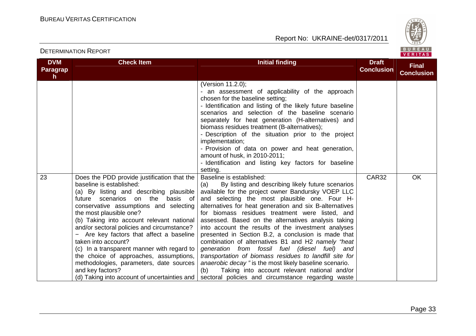

#### **DVM Paragraph Check Item Initial finding Check Item Initial finding Check Item Initial finding Check Item Initial finding Check Item Initial finding Check Item Initial finding Check Item Initial finding Check Item Initial finding Check Conclusion Final Conclusion**(Version 11.2.0); - an assessment of applicability of the approach chosen for the baseline setting; - Identification and listing of the likely future baseline scenarios and selection of the baseline scenario separately for heat generation (H-alternatives) andbiomass residues treatment (B-alternatives); - Description of the situation prior to the projectimplementation; - Provision of data on power and heat generation, amount of husk, in 2010-2011; - Identification and listing key factors for baseline setting. Baseline is established: 23 Does the PDD provide justification that the baseline is established: (a) By listing and describing plausible future scenarios on the basis of conservative assumptions and selecting the most plausible one? (b) Taking into account relevant national and/or sectoral policies and circumstance? − Are key factors that affect a baseline taken into account? (c) In a transparent manner with regard to the choice of approaches, assumptions, methodologies, parameters, date sources and key factors? (d) Taking into account of uncertainties and (a) By listing and describing likely future scenarios available for the project owner Bandursky VOEP LLC and selecting the most plausible one. Four Halternatives for heat generation and six B-alternatives for biomass residues treatment were listed, and assessed. Based on the alternatives analysis taking into account the results of the investment analyses presented in Section B.2, a conclusion is made thatcombination of alternatives B1 and H2 namely "heat generation from fossil fuel (diesel fuel) and transportation of biomass residues to landfill site for anaerobic decay " is the most likely baseline scenario. (b) Taking into account relevant national and/or sectoral policies and circumstance regarding waste CAR32 OK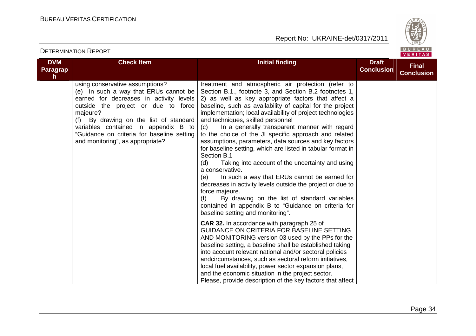Report No: UKRAINE-det/0317/2011



| <b>DVM</b><br>Paragrap<br>h. | <b>Check Item</b>                                                                                                                                                                                                                                                                                                                             | <b>Initial finding</b>                                                                                                                                                                                                                                                                                                                                                                                                                                                                                                                                                                                                                                                                                                                                                                                                                                                                                                                                               | <b>Draft</b><br><b>Conclusion</b> | <b>Final</b><br><b>Conclusion</b> |
|------------------------------|-----------------------------------------------------------------------------------------------------------------------------------------------------------------------------------------------------------------------------------------------------------------------------------------------------------------------------------------------|----------------------------------------------------------------------------------------------------------------------------------------------------------------------------------------------------------------------------------------------------------------------------------------------------------------------------------------------------------------------------------------------------------------------------------------------------------------------------------------------------------------------------------------------------------------------------------------------------------------------------------------------------------------------------------------------------------------------------------------------------------------------------------------------------------------------------------------------------------------------------------------------------------------------------------------------------------------------|-----------------------------------|-----------------------------------|
|                              | using conservative assumptions?<br>(e) In such a way that ERUs cannot be<br>earned for decreases in activity levels<br>outside the project or due to force<br>majeure?<br>By drawing on the list of standard<br>(f)<br>variables contained in appendix B to<br>"Guidance on criteria for baseline setting<br>and monitoring", as appropriate? | treatment and atmospheric air protection (refer to<br>Section B.1., footnote 3, and Section B.2 footnotes 1,<br>2) as well as key appropriate factors that affect a<br>baseline, such as availability of capital for the project<br>implementation; local availability of project technologies<br>and techniques, skilled personnel<br>In a generally transparent manner with regard<br>(C)<br>to the choice of the JI specific approach and related<br>assumptions, parameters, data sources and key factors<br>for baseline setting, which are listed in tabular format in<br>Section B.1<br>Taking into account of the uncertainty and using<br>(d)<br>a conservative.<br>In such a way that ERUs cannot be earned for<br>(e)<br>decreases in activity levels outside the project or due to<br>force majeure.<br>By drawing on the list of standard variables<br>(f)<br>contained in appendix B to "Guidance on criteria for<br>baseline setting and monitoring". |                                   |                                   |
|                              |                                                                                                                                                                                                                                                                                                                                               | <b>CAR 32.</b> In accordance with paragraph 25 of<br>GUIDANCE ON CRITERIA FOR BASELINE SETTING<br>AND MONITORING version 03 used by the PPs for the<br>baseline setting, a baseline shall be established taking<br>into account relevant national and/or sectoral policies<br>andcircumstances, such as sectoral reform initiatives,<br>local fuel availability, power sector expansion plans,<br>and the economic situation in the project sector.<br>Please, provide description of the key factors that affect                                                                                                                                                                                                                                                                                                                                                                                                                                                    |                                   |                                   |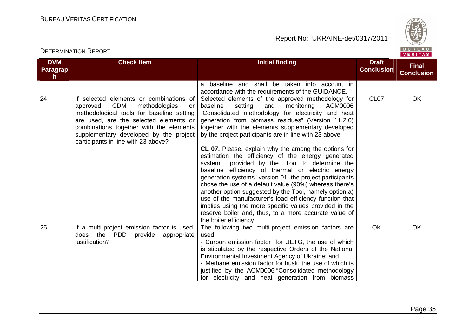Report No: UKRAINE-det/0317/2011



#### **DVM Paragraph Check Item Initial finding Check Item Initial finding Check Item Initial finding Initial finding Draft Conclusion Final Conclusion**a baseline and shall be taken into account in accordance with the requirements of the GUIDANCE. Selected elements of the approved methodology for 24 If selected elements or combinations of approved CDM methodologies or methodological tools for baseline setting are used, are the selected elements or combinations together with the elements supplementary developed by the project participants in line with 23 above? ACM0006 baseline setting and monitoring "Consolidated methodology for electricity and heat generation from biomass residues" (Version 11.2.0) together with the elements supplementary developed by the project participants are in line with 23 above. **CL 07.** Please, explain why the among the options for estimation the efficiency of the energy generated system provided by the "Tool to determine the baseline efficiency of thermal or electric energy generation systems" version 01, the project participants chose the use of a default value (90%) whereas there's another option suggested by the Tool, namely option a) use of the manufacturer's load efficiency function that implies using the more specific values provided in the reserve boiler and, thus, to a more accurate value of the boiler efficiency The following two multi-project emission factors are CL07 OK 25 If a multi-project emission factor is used, does the PDD provide appropriate iustification? used: - Carbon emission factor for UETG, the use of which is stipulated by the respective Orders of the National Environmental Investment Agency of Ukraine; and - Methane emission factor for husk, the use of which is justified by the АСМ0006 "Consolidated methodology for electricity and heat generation from biomass OK OK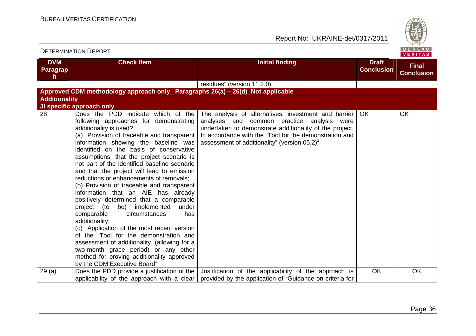

| <b>DETERMINATION REPORT</b>         |                                                                                                                                                                                                                                                                                                                                                                                                                                                                                                                                                                                                                                                                                                                                                                                                                                                                                                                         |                                                                                                                                                                                                                                                                                        |                                   | BUREAU<br><b>VERITAS</b>          |
|-------------------------------------|-------------------------------------------------------------------------------------------------------------------------------------------------------------------------------------------------------------------------------------------------------------------------------------------------------------------------------------------------------------------------------------------------------------------------------------------------------------------------------------------------------------------------------------------------------------------------------------------------------------------------------------------------------------------------------------------------------------------------------------------------------------------------------------------------------------------------------------------------------------------------------------------------------------------------|----------------------------------------------------------------------------------------------------------------------------------------------------------------------------------------------------------------------------------------------------------------------------------------|-----------------------------------|-----------------------------------|
| <b>DVM</b><br><b>Paragrap</b><br>h. | <b>Check Item</b>                                                                                                                                                                                                                                                                                                                                                                                                                                                                                                                                                                                                                                                                                                                                                                                                                                                                                                       | <b>Initial finding</b>                                                                                                                                                                                                                                                                 | <b>Draft</b><br><b>Conclusion</b> | <b>Final</b><br><b>Conclusion</b> |
|                                     |                                                                                                                                                                                                                                                                                                                                                                                                                                                                                                                                                                                                                                                                                                                                                                                                                                                                                                                         | residues" (version 11.2.0)                                                                                                                                                                                                                                                             |                                   |                                   |
|                                     | Approved CDM methodology approach only Paragraphs 26(a) – 26(d) Not applicable                                                                                                                                                                                                                                                                                                                                                                                                                                                                                                                                                                                                                                                                                                                                                                                                                                          |                                                                                                                                                                                                                                                                                        |                                   |                                   |
| <b>Additionality</b>                |                                                                                                                                                                                                                                                                                                                                                                                                                                                                                                                                                                                                                                                                                                                                                                                                                                                                                                                         |                                                                                                                                                                                                                                                                                        |                                   |                                   |
|                                     | JI specific approach only                                                                                                                                                                                                                                                                                                                                                                                                                                                                                                                                                                                                                                                                                                                                                                                                                                                                                               |                                                                                                                                                                                                                                                                                        |                                   |                                   |
| 28                                  | Does the PDD indicate which of the<br>following approaches for demonstrating<br>additionality is used?<br>(a) Provision of traceable and transparent<br>information showing the baseline was<br>identified on the basis of conservative<br>assumptions, that the project scenario is<br>not part of the identified baseline scenario<br>and that the project will lead to emission<br>reductions or enhancements of removals;<br>(b) Provision of traceable and transparent<br>information that an AIE has already<br>positively determined that a comparable<br>project (to be) implemented under<br>comparable<br>circumstances<br>has<br>additionality;<br>(c) Application of the most recent version<br>of the "Tool for the demonstration and<br>assessment of additionality. (allowing for a<br>two-month grace period) or any other<br>method for proving additionality approved<br>by the CDM Executive Board". | The analysis of alternatives, investment and barrier<br>analyses and common practice analysis were<br>undertaken to demonstrate additionality of the project.<br>In accordance with the "Tool for the demonstration and<br>assessment of additionality" (version $05.2$ ) <sup>1</sup> | <b>OK</b>                         | <b>OK</b>                         |
| 29(a)                               | applicability of the approach with a clear                                                                                                                                                                                                                                                                                                                                                                                                                                                                                                                                                                                                                                                                                                                                                                                                                                                                              | Does the PDD provide a justification of the $\vert$ Justification of the applicability of the approach is<br>provided by the application of "Guidance on criteria for                                                                                                                  | OK                                | OK                                |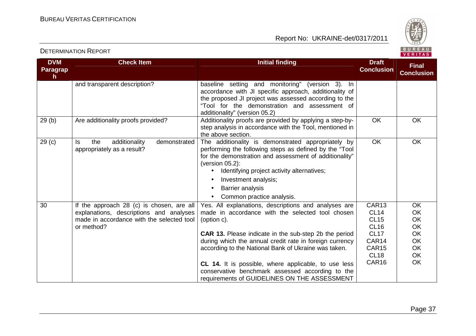

|  |  | <b>P</b> |  |  |  |
|--|--|----------|--|--|--|
|  |  | FRIT     |  |  |  |

| <b>DVM</b>        | <b>Check Item</b>                                                                                                                               | <b>Initial finding</b>                                                                                                                                                                                                                                                                                                                                                                                                        | <b>Draft</b>                                                                                                            | <b>Final</b>                                              |
|-------------------|-------------------------------------------------------------------------------------------------------------------------------------------------|-------------------------------------------------------------------------------------------------------------------------------------------------------------------------------------------------------------------------------------------------------------------------------------------------------------------------------------------------------------------------------------------------------------------------------|-------------------------------------------------------------------------------------------------------------------------|-----------------------------------------------------------|
| <b>Paragrap</b>   |                                                                                                                                                 |                                                                                                                                                                                                                                                                                                                                                                                                                               | <b>Conclusion</b>                                                                                                       | <b>Conclusion</b>                                         |
| h.                | and transparent description?                                                                                                                    | baseline setting and monitoring" (version 3). In                                                                                                                                                                                                                                                                                                                                                                              |                                                                                                                         |                                                           |
|                   |                                                                                                                                                 | accordance with JI specific approach, additionality of<br>the proposed JI project was assessed according to the<br>"Tool for the demonstration and assessment of<br>additionality" (version 05.2)                                                                                                                                                                                                                             |                                                                                                                         |                                                           |
| 29(b)             | Are additionality proofs provided?                                                                                                              | Additionality proofs are provided by applying a step-by-<br>step analysis in accordance with the Tool, mentioned in<br>the above section.                                                                                                                                                                                                                                                                                     | <b>OK</b>                                                                                                               | OK                                                        |
| 29 <sub>(c)</sub> | additionality<br>demonstrated<br>the<br>ls.<br>appropriately as a result?                                                                       | The additionality is demonstrated appropriately by<br>performing the following steps as defined by the "Tool<br>for the demonstration and assessment of additionality"<br>(version $05.2$ ):<br>Identifying project activity alternatives;<br>$\bullet$<br>Investment analysis;<br>$\bullet$<br>Barrier analysis<br>Common practice analysis.                                                                                 | OK                                                                                                                      | OK                                                        |
| 30                | If the approach 28 (c) is chosen, are all<br>explanations, descriptions and analyses<br>made in accordance with the selected tool<br>or method? | Yes. All explanations, descriptions and analyses are<br>made in accordance with the selected tool chosen<br>(option c).<br><b>CAR 13.</b> Please indicate in the sub-step 2b the period<br>during which the annual credit rate in foreign currency<br>according to the National Bank of Ukraine was taken.<br><b>CL 14.</b> It is possible, where applicable, to use less<br>conservative benchmark assessed according to the | CAR13<br><b>CL14</b><br><b>CL15</b><br><b>CL16</b><br><b>CL17</b><br>CAR14<br>CAR <sub>15</sub><br><b>CL18</b><br>CAR16 | OK<br>OK<br>OK<br>OK<br>OK<br>OK<br><b>OK</b><br>OK<br>OK |
|                   |                                                                                                                                                 | requirements of GUIDELINES ON THE ASSESSMENT                                                                                                                                                                                                                                                                                                                                                                                  |                                                                                                                         |                                                           |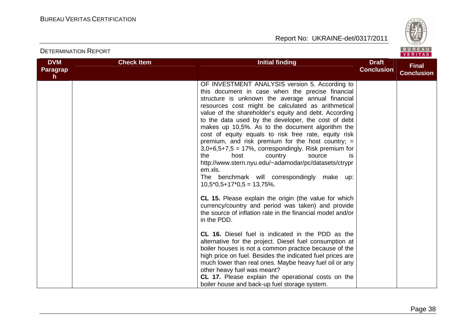

| <b>DVM</b><br>Paragrap<br>h. | <b>Check Item</b> | <b>Initial finding</b>                                                                                                                                                                                                                                                                                                                                                                                                                                                                                                                                                                                                                                                                                                                                     | <b>Draft</b><br><b>Conclusion</b> | <b>Final</b><br><b>Conclusion</b> |
|------------------------------|-------------------|------------------------------------------------------------------------------------------------------------------------------------------------------------------------------------------------------------------------------------------------------------------------------------------------------------------------------------------------------------------------------------------------------------------------------------------------------------------------------------------------------------------------------------------------------------------------------------------------------------------------------------------------------------------------------------------------------------------------------------------------------------|-----------------------------------|-----------------------------------|
|                              |                   | OF INVESTMENT ANALYSIS version 5. According to<br>this document in case when the precise financial<br>structure is unknown the average annual financial<br>resources cost might be calculated as arithmetical<br>value of the shareholder's equity and debt. According<br>to the data used by the developer, the cost of debt<br>makes up 10,5%. As to the document algorithm the<br>cost of equity equals to risk free rate, equity risk<br>premium, and risk premium for the host country; $=$<br>$3,0+6,5+7,5 = 17\%$ , correspondingly. Risk premium for<br>the<br>host<br>country<br>source<br>İS<br>http://www.stern.nyu.edu/~adamodar/pc/datasets/ctrypr<br>em.xls.<br>The benchmark will correspondingly make up:<br>$10,5*0,5+17*0,5 = 13,75\%$ . |                                   |                                   |
|                              |                   | CL 15. Please explain the origin (the value for which<br>currency/country and period was taken) and provide<br>the source of inflation rate in the financial model and/or<br>in the PDD.                                                                                                                                                                                                                                                                                                                                                                                                                                                                                                                                                                   |                                   |                                   |
|                              |                   | <b>CL 16.</b> Diesel fuel is indicated in the PDD as the<br>alternative for the project. Diesel fuel consumption at<br>boiler houses is not a common practice because of the<br>high price on fuel. Besides the indicated fuel prices are<br>much lower than real ones. Maybe heavy fuel oil or any<br>other heavy fuel was meant?<br>CL 17. Please explain the operational costs on the<br>boiler house and back-up fuel storage system.                                                                                                                                                                                                                                                                                                                  |                                   |                                   |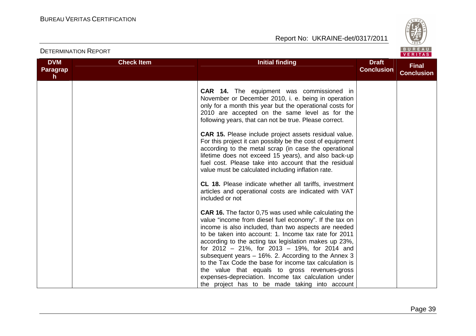

| BUREAU<br><b>DETERMINATION REPORT</b><br><b>VERITAS</b> |                   |                                                                                                                                                                                                                                                                                                                                                                                                                                                                                                                                                                                                                                                                                                                                                                        |                                   |                                   |
|---------------------------------------------------------|-------------------|------------------------------------------------------------------------------------------------------------------------------------------------------------------------------------------------------------------------------------------------------------------------------------------------------------------------------------------------------------------------------------------------------------------------------------------------------------------------------------------------------------------------------------------------------------------------------------------------------------------------------------------------------------------------------------------------------------------------------------------------------------------------|-----------------------------------|-----------------------------------|
| <b>DVM</b><br><b>Paragrap</b><br>h                      | <b>Check Item</b> | <b>Initial finding</b>                                                                                                                                                                                                                                                                                                                                                                                                                                                                                                                                                                                                                                                                                                                                                 | <b>Draft</b><br><b>Conclusion</b> | <b>Final</b><br><b>Conclusion</b> |
|                                                         |                   | <b>CAR 14.</b> The equipment was commissioned in<br>November or December 2010, i. e. being in operation<br>only for a month this year but the operational costs for<br>2010 are accepted on the same level as for the<br>following years, that can not be true. Please correct.<br><b>CAR 15.</b> Please include project assets residual value.<br>For this project it can possibly be the cost of equipment<br>according to the metal scrap (in case the operational<br>lifetime does not exceed 15 years), and also back-up<br>fuel cost. Please take into account that the residual<br>value must be calculated including inflation rate.<br><b>CL 18.</b> Please indicate whether all tariffs, investment<br>articles and operational costs are indicated with VAT |                                   |                                   |
|                                                         |                   | included or not<br><b>CAR 16.</b> The factor 0,75 was used while calculating the<br>value "income from diesel fuel economy". If the tax on<br>income is also included, than two aspects are needed<br>to be taken into account: 1. Income tax rate for 2011<br>according to the acting tax legislation makes up 23%,<br>for 2012 - 21%, for 2013 - 19%, for 2014 and<br>subsequent years $-16\%$ . 2. According to the Annex 3<br>to the Tax Code the base for income tax calculation is<br>the value that equals to gross revenues-gross<br>expenses-depreciation. Income tax calculation under<br>the project has to be made taking into account                                                                                                                     |                                   |                                   |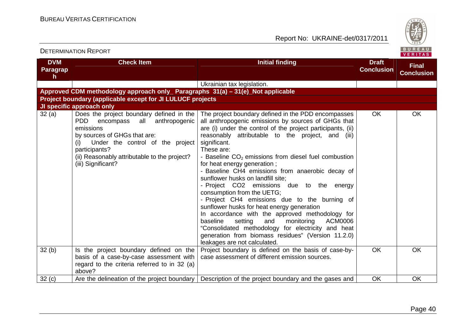

| <b>DETERMINATION REPORT</b>                                                     |                                                                                                                                                                                                                                                                      |                                                                                                                                                                                                                                                                                                                                                                                                                                                                                                                                                                                                                                                                                                                                                                                                                                                                                |                                   | BUREAU<br><b>VERITAS</b>          |  |
|---------------------------------------------------------------------------------|----------------------------------------------------------------------------------------------------------------------------------------------------------------------------------------------------------------------------------------------------------------------|--------------------------------------------------------------------------------------------------------------------------------------------------------------------------------------------------------------------------------------------------------------------------------------------------------------------------------------------------------------------------------------------------------------------------------------------------------------------------------------------------------------------------------------------------------------------------------------------------------------------------------------------------------------------------------------------------------------------------------------------------------------------------------------------------------------------------------------------------------------------------------|-----------------------------------|-----------------------------------|--|
| <b>DVM</b><br>Paragrap<br>$\mathsf{h}$                                          | <b>Check Item</b>                                                                                                                                                                                                                                                    | <b>Initial finding</b>                                                                                                                                                                                                                                                                                                                                                                                                                                                                                                                                                                                                                                                                                                                                                                                                                                                         | <b>Draft</b><br><b>Conclusion</b> | <b>Final</b><br><b>Conclusion</b> |  |
|                                                                                 |                                                                                                                                                                                                                                                                      | Ukrainian tax legislation.                                                                                                                                                                                                                                                                                                                                                                                                                                                                                                                                                                                                                                                                                                                                                                                                                                                     |                                   |                                   |  |
| Approved CDM methodology approach only_ Paragraphs 31(a) - 31(e)_Not applicable |                                                                                                                                                                                                                                                                      |                                                                                                                                                                                                                                                                                                                                                                                                                                                                                                                                                                                                                                                                                                                                                                                                                                                                                |                                   |                                   |  |
|                                                                                 | Project boundary (applicable except for JI LULUCF projects                                                                                                                                                                                                           |                                                                                                                                                                                                                                                                                                                                                                                                                                                                                                                                                                                                                                                                                                                                                                                                                                                                                |                                   |                                   |  |
|                                                                                 | JI specific approach only                                                                                                                                                                                                                                            |                                                                                                                                                                                                                                                                                                                                                                                                                                                                                                                                                                                                                                                                                                                                                                                                                                                                                |                                   |                                   |  |
| 32(a)                                                                           | Does the project boundary defined in the<br>encompass all anthropogenic<br><b>PDD</b><br>emissions<br>by sources of GHGs that are:<br>Under the control of the project<br>(i)<br>participants?<br>(ii) Reasonably attributable to the project?<br>(iii) Significant? | The project boundary defined in the PDD encompasses<br>all anthropogenic emissions by sources of GHGs that<br>are (i) under the control of the project participants, (ii)<br>reasonably attributable to the project, and (iii)<br>significant.<br>These are:<br>- Baseline $CO2$ emissions from diesel fuel combustion<br>for heat energy generation;<br>- Baseline CH4 emissions from anaerobic decay of<br>sunflower husks on landfill site;<br>- Project CO2 emissions due to the energy<br>consumption from the UETG;<br>- Project CH4 emissions due to the burning of<br>sunflower husks for heat energy generation<br>In accordance with the approved methodology for<br>baseline<br>setting<br>monitoring<br>and<br>ACM0006<br>"Consolidated methodology for electricity and heat<br>generation from biomass residues" (Version 11.2.0)<br>leakages are not calculated. | <b>OK</b>                         | <b>OK</b>                         |  |
| 32(b)                                                                           | Is the project boundary defined on the<br>basis of a case-by-case assessment with<br>regard to the criteria referred to in 32 (a)<br>above?                                                                                                                          | Project boundary is defined on the basis of case-by-<br>case assessment of different emission sources.                                                                                                                                                                                                                                                                                                                                                                                                                                                                                                                                                                                                                                                                                                                                                                         | <b>OK</b>                         | <b>OK</b>                         |  |
| 32 <sub>(c)</sub>                                                               | Are the delineation of the project boundary                                                                                                                                                                                                                          | Description of the project boundary and the gases and                                                                                                                                                                                                                                                                                                                                                                                                                                                                                                                                                                                                                                                                                                                                                                                                                          | OK                                | <b>OK</b>                         |  |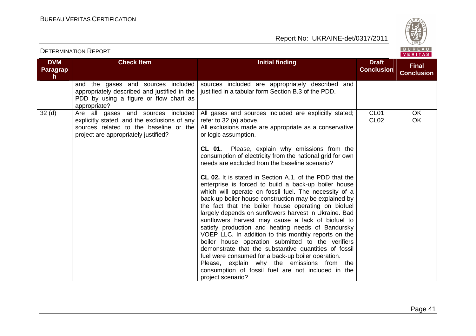Report No: UKRAINE-det/0317/2011



### **DVM Paragraph Check Item Initial finding Check Item Initial finding Check Item Initial finding Check Item Initial finding Check Item Initial finding Check Item Initial finding Check Item Initial finding Check Item Initial finding Check Conclusion Final Conclusion**and the gases and sources included appropriately described and justified in the PDD by using a figure or flow chart as appropriate? 32 (d) | Are all gases and sources included sources included are appropriately described and justified in a tabular form Section B.3 of the PDD. explicitly stated, and the exclusions of any sources related to the baseline or the project are appropriately justified? All gases and sources included are explicitly stated; refer to 32 (a) above. All exclusions made are appropriate as a conservative or logic assumption. **CL 01.** Please, explain why emissions from the consumption of electricity from the national grid for own needs are excluded from the baseline scenario? **CL 02.** It is stated in Section A.1. of the PDD that the enterprise is forced to build a back-up boiler house which will operate on fossil fuel. The necessity of a back-up boiler house construction may be explained by the fact that the boiler house operating on biofuel largely depends on sunflowers harvest in Ukraine. Bad sunflowers harvest may cause a lack of biofuel to satisfy production and heating needs of Bandursky VOEP LLC. In addition to this monthly reports on the boiler house operation submitted to the verifiers demonstrate that the substantive quantities of fossil fuel were consumed for a back-up boiler operation. Please, explain why the emissions from the consumption of fossil fuel are not included in the project scenario? CL01 CL02 **OK** OK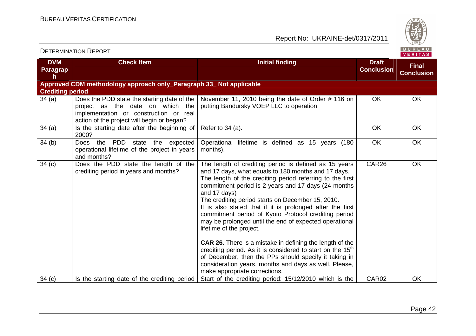

| <b>DVM</b><br>Paragrap<br>h | <b>Check Item</b>                                                                                                                                                       | <b>Initial finding</b>                                                                                                                                                                                                                                                                                                                                                                                                                                                                                                                                                                                                                                                                                                                                                                                           | <b>Draft</b><br><b>Conclusion</b> | <b>Final</b><br><b>Conclusion</b> |
|-----------------------------|-------------------------------------------------------------------------------------------------------------------------------------------------------------------------|------------------------------------------------------------------------------------------------------------------------------------------------------------------------------------------------------------------------------------------------------------------------------------------------------------------------------------------------------------------------------------------------------------------------------------------------------------------------------------------------------------------------------------------------------------------------------------------------------------------------------------------------------------------------------------------------------------------------------------------------------------------------------------------------------------------|-----------------------------------|-----------------------------------|
|                             | Approved CDM methodology approach only_Paragraph 33_ Not applicable                                                                                                     |                                                                                                                                                                                                                                                                                                                                                                                                                                                                                                                                                                                                                                                                                                                                                                                                                  |                                   |                                   |
| <b>Crediting period</b>     |                                                                                                                                                                         |                                                                                                                                                                                                                                                                                                                                                                                                                                                                                                                                                                                                                                                                                                                                                                                                                  |                                   |                                   |
| 34(a)                       | Does the PDD state the starting date of the<br>project as the date on which the<br>implementation or construction or real<br>action of the project will begin or began? | November 11, 2010 being the date of Order #116 on<br>putting Bandursky VOEP LLC to operation                                                                                                                                                                                                                                                                                                                                                                                                                                                                                                                                                                                                                                                                                                                     | <b>OK</b>                         | <b>OK</b>                         |
| 34(a)                       | Is the starting date after the beginning of<br>2000?                                                                                                                    | Refer to 34 (a).                                                                                                                                                                                                                                                                                                                                                                                                                                                                                                                                                                                                                                                                                                                                                                                                 | <b>OK</b>                         | <b>OK</b>                         |
| 34(b)                       | the<br>PDD<br><b>Does</b><br>state<br>the expected<br>operational lifetime of the project in years<br>and months?                                                       | Operational lifetime is defined as 15 years<br>(180<br>months).                                                                                                                                                                                                                                                                                                                                                                                                                                                                                                                                                                                                                                                                                                                                                  | <b>OK</b>                         | OK                                |
| 34(c)                       | Does the PDD state the length of the<br>crediting period in years and months?                                                                                           | The length of crediting period is defined as 15 years<br>and 17 days, what equals to 180 months and 17 days.<br>The length of the crediting period referring to the first<br>commitment period is 2 years and 17 days (24 months<br>and 17 days)<br>The crediting period starts on December 15, 2010.<br>It is also stated that if it is prolonged after the first<br>commitment period of Kyoto Protocol crediting period<br>may be prolonged until the end of expected operational<br>lifetime of the project.<br><b>CAR 26.</b> There is a mistake in defining the length of the<br>crediting period. As it is considered to start on the 15 <sup>th</sup><br>of December, then the PPs should specify it taking in<br>consideration years, months and days as well. Please,<br>make appropriate corrections. | CAR <sub>26</sub>                 | <b>OK</b>                         |
| 34(c)                       | Is the starting date of the crediting period                                                                                                                            | Start of the crediting period: 15/12/2010 which is the                                                                                                                                                                                                                                                                                                                                                                                                                                                                                                                                                                                                                                                                                                                                                           | CAR02                             | <b>OK</b>                         |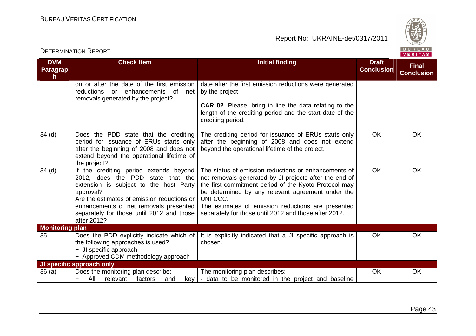Report No: UKRAINE-det/0317/2011



#### **DVM Paragraph Check Item Initial finding Check Item Initial finding Check Item Initial finding Initial finding Draft Conclusion Final Conclusion**on or after the date of the first emission reductions or enhancements of net removals generated by the project? date after the first emission reductions were generated by the project **CAR 02.** Please, bring in line the data relating to the length of the crediting period and the start date of the crediting period. 34 (d) Does the PDD state that the crediting period for issuance of ERUs starts only after the beginning of 2008 and does not extend beyond the operational lifetime of the project? 34 (d) If the crediting period extends beyond The crediting period for issuance of ERUs starts only after the beginning of 2008 and does not extend beyond the operational lifetime of the project. OK OK 2012, does the PDD state that the extension is subject to the host Party approval? Are the estimates of emission reductions or enhancements of net removals presented separately for those until 2012 and those after 2012? The status of emission reductions or enhancements of net removals generated by JI projects after the end of the first commitment period of the Kyoto Protocol may be determined by any relevant agreement under the UNFCCC. The estimates of emission reductions are presented separately for those until 2012 and those after 2012. OK OK **Monitoring plan**  35 Does the PDD explicitly indicate which of the following approaches is used? − JI specific approach − Approved CDM methodology approach It is explicitly indicated that a JI specific approach is chosen. OK OK **JI specific approach only**  36 (a) Does the monitoring plan describe: and − All relevant factors and key The monitoring plan describes: - data to be monitored in the project and baseline OK OK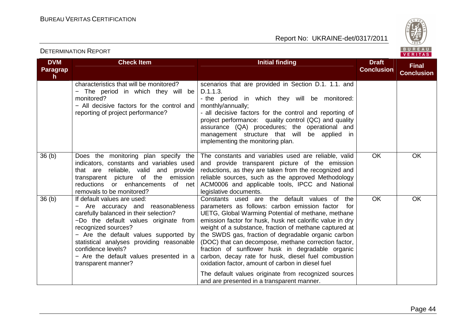

#### **DVM Paragraph Check Item Initial finding Check Item Initial finding Check Item Initial finding Check Item Initial finding Check Item Initial finding Check Item Initial finding Check Item Initial finding Check Item Initial finding Check Conclusion Final Conclusion**characteristics that will be monitored? − The period in which they will be monitored? − All decisive factors for the control and reporting of project performance? scenarios that are provided in Section D.1. 1.1. and D.1.1.3. - the period in which they will be monitored: monthly/annually; - all decisive factors for the control and reporting of project performance: quality control (QC) and quality assurance (QA) procedures; the operational and management structure that will be applied in implementing the monitoring plan. 36 (b) Does the monitoring plan specify the indicators, constants and variables used that are reliable, valid and provide transparent picture of the emission reductions or enhancements of net removals to be monitored? The constants and variables used are reliable, valid and provide transparent picture of the emission reductions, as they are taken from the recognized and reliable sources, such as the approved Methodology ACM0006 and applicable tools, IPCC and National legislative documents. Constants used are the default values of the OK OK 36 (b) If default values are used: − Are accuracy and reasonableness carefully balanced in their selection? −Do the default values originate from recognized sources? − Are the default values supported by statistical analyses providing reasonable confidence levels? − Are the default values presented in a transparent manner? parameters as follows: carbon emission factor for UETG, Global Warming Potential of methane, methane emission factor for husk, husk net calorific value in dry weight of a substance, fraction of methane captured at the SWDS gas, fraction of degradable organic carbon (DOC) that can decompose, methane correction factor, fraction of sunflower husk in degradable organic carbon, decay rate for husk, diesel fuel combustionoxidation factor, amount of carbon in diesel fuel The default values originate from recognized sources and are presented in a transparent manner. OK OK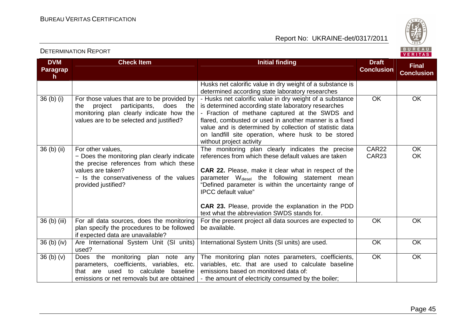

| <b>DVM</b>                       | <b>Check Item</b>                                                                                                                                                                                  | <b>Initial finding</b>                                                                                                                                                                                                                                                                                                                                                                                                             | <b>Draft</b>      | <b>Final</b>           |
|----------------------------------|----------------------------------------------------------------------------------------------------------------------------------------------------------------------------------------------------|------------------------------------------------------------------------------------------------------------------------------------------------------------------------------------------------------------------------------------------------------------------------------------------------------------------------------------------------------------------------------------------------------------------------------------|-------------------|------------------------|
| <b>Paragrap</b><br>h.            |                                                                                                                                                                                                    |                                                                                                                                                                                                                                                                                                                                                                                                                                    | <b>Conclusion</b> | <b>Conclusion</b>      |
|                                  |                                                                                                                                                                                                    | Husks net calorific value in dry weight of a substance is<br>determined according state laboratory researches                                                                                                                                                                                                                                                                                                                      |                   |                        |
| $36$ (b) (i)                     | For those values that are to be provided by<br>project<br>participants,<br>does<br>the<br>the<br>monitoring plan clearly indicate how the<br>values are to be selected and justified?              | - Husks net calorific value in dry weight of a substance<br>is determined according state laboratory researches<br>- Fraction of methane captured at the SWDS and<br>flared, combusted or used in another manner is a fixed<br>value and is determined by collection of statistic data<br>on landfill site operation, where husk to be stored<br>without project activity                                                          | OK                | <b>OK</b>              |
| 36 (b) (ii)                      | For other values,<br>- Does the monitoring plan clearly indicate<br>the precise references from which these<br>values are taken?<br>- Is the conservativeness of the values<br>provided justified? | The monitoring plan clearly indicates the precise<br>references from which these default values are taken<br>CAR 22. Please, make it clear what in respect of the<br>parameter W <sub>diesel</sub> the following statement mean<br>"Defined parameter is within the uncertainty range of<br><b>IPCC</b> default value"<br><b>CAR 23.</b> Please, provide the explanation in the PDD<br>text what the abbreviation SWDS stands for. | CAR22<br>CAR23    | <b>OK</b><br><b>OK</b> |
| 36 (b) (iii)                     | For all data sources, does the monitoring<br>plan specify the procedures to be followed<br>if expected data are unavailable?                                                                       | For the present project all data sources are expected to<br>be available.                                                                                                                                                                                                                                                                                                                                                          | <b>OK</b>         | <b>OK</b>              |
| $36$ (b) (iv)                    | Are International System Unit (SI units)<br>used?                                                                                                                                                  | International System Units (SI units) are used.                                                                                                                                                                                                                                                                                                                                                                                    | <b>OK</b>         | OK                     |
| 36 <sub>(b)</sub> <sub>(v)</sub> | Does the monitoring plan note<br>any<br>parameters, coefficients, variables, etc.<br>that are used to calculate<br>baseline<br>emissions or net removals but are obtained                          | The monitoring plan notes parameters, coefficients,<br>variables, etc. that are used to calculate baseline<br>emissions based on monitored data of:<br>- the amount of electricity consumed by the boiler;                                                                                                                                                                                                                         | <b>OK</b>         | <b>OK</b>              |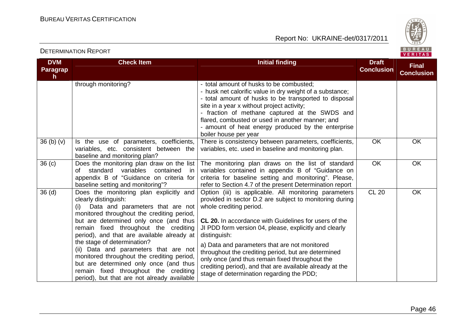

| <b>DVM</b>                       | <b>Check Item</b>                                                                                                                                                                                                                                                                                                                                                                                                                                                                                                                                 | <b>Initial finding</b>                                                                                                                                                                                                                                                                                                                                                                                                                                                                                                                                    | <b>Draft</b>      | <b>Final</b>      |
|----------------------------------|---------------------------------------------------------------------------------------------------------------------------------------------------------------------------------------------------------------------------------------------------------------------------------------------------------------------------------------------------------------------------------------------------------------------------------------------------------------------------------------------------------------------------------------------------|-----------------------------------------------------------------------------------------------------------------------------------------------------------------------------------------------------------------------------------------------------------------------------------------------------------------------------------------------------------------------------------------------------------------------------------------------------------------------------------------------------------------------------------------------------------|-------------------|-------------------|
| Paragrap<br>h.                   |                                                                                                                                                                                                                                                                                                                                                                                                                                                                                                                                                   |                                                                                                                                                                                                                                                                                                                                                                                                                                                                                                                                                           | <b>Conclusion</b> | <b>Conclusion</b> |
|                                  | through monitoring?                                                                                                                                                                                                                                                                                                                                                                                                                                                                                                                               | - total amount of husks to be combusted;<br>- husk net calorific value in dry weight of a substance;<br>- total amount of husks to be transported to disposal<br>site in a year x without project activity;<br>- fraction of methane captured at the SWDS and<br>flared, combusted or used in another manner; and<br>- amount of heat energy produced by the enterprise<br>boiler house per year                                                                                                                                                          |                   |                   |
| 36 <sub>(b)</sub> <sub>(v)</sub> | Is the use of parameters, coefficients,<br>variables, etc. consistent between the<br>baseline and monitoring plan?                                                                                                                                                                                                                                                                                                                                                                                                                                | There is consistency between parameters, coefficients,<br>variables, etc. used in baseline and monitoring plan.                                                                                                                                                                                                                                                                                                                                                                                                                                           | OK                | OK                |
| 36 <sub>(c)</sub>                | Does the monitoring plan draw on the list<br>standard variables<br>contained<br>of<br>in<br>appendix B of "Guidance on criteria for<br>baseline setting and monitoring"?                                                                                                                                                                                                                                                                                                                                                                          | The monitoring plan draws on the list of standard<br>variables contained in appendix B of "Guidance on<br>criteria for baseline setting and monitoring". Please,<br>refer to Section 4.7 of the present Determination report                                                                                                                                                                                                                                                                                                                              | <b>OK</b>         | <b>OK</b>         |
| 36 <sub>(d)</sub>                | Does the monitoring plan explicitly and<br>clearly distinguish:<br>Data and parameters that are not<br>(i)<br>monitored throughout the crediting period,<br>but are determined only once (and thus<br>remain fixed throughout the crediting<br>period), and that are available already at<br>the stage of determination?<br>(ii) Data and parameters that are not<br>monitored throughout the crediting period,<br>but are determined only once (and thus<br>remain fixed throughout the crediting<br>period), but that are not already available | Option (iii) is applicable. All monitoring parameters<br>provided in sector D.2 are subject to monitoring during<br>whole crediting period.<br><b>CL 20.</b> In accordance with Guidelines for users of the<br>JI PDD form version 04, please, explicitly and clearly<br>distinguish:<br>a) Data and parameters that are not monitored<br>throughout the crediting period, but are determined<br>only once (and thus remain fixed throughout the<br>crediting period), and that are available already at the<br>stage of determination regarding the PDD; | <b>CL 20</b>      | OK                |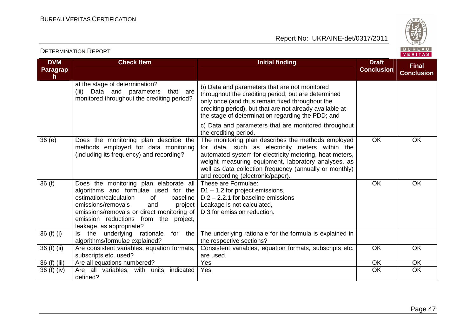

| <b>DVM</b>           | <b>Check Item</b>                                                                                                                                                                                                                                                                     | <b>Initial finding</b>                                                                                                                                                                                                                                                                                                  | <b>Draft</b>      | <b>Final</b>      |
|----------------------|---------------------------------------------------------------------------------------------------------------------------------------------------------------------------------------------------------------------------------------------------------------------------------------|-------------------------------------------------------------------------------------------------------------------------------------------------------------------------------------------------------------------------------------------------------------------------------------------------------------------------|-------------------|-------------------|
| <b>Paragrap</b><br>h |                                                                                                                                                                                                                                                                                       |                                                                                                                                                                                                                                                                                                                         | <b>Conclusion</b> | <b>Conclusion</b> |
|                      | at the stage of determination?<br>(iii) Data and parameters<br>that are<br>monitored throughout the crediting period?                                                                                                                                                                 | b) Data and parameters that are not monitored<br>throughout the crediting period, but are determined<br>only once (and thus remain fixed throughout the<br>crediting period), but that are not already available at<br>the stage of determination regarding the PDD; and                                                |                   |                   |
|                      |                                                                                                                                                                                                                                                                                       | c) Data and parameters that are monitored throughout<br>the crediting period.                                                                                                                                                                                                                                           |                   |                   |
| 36(e)                | Does the monitoring plan describe the<br>methods employed for data monitoring<br>(including its frequency) and recording?                                                                                                                                                             | The monitoring plan describes the methods employed<br>for data, such as electricity meters within the<br>automated system for electricity metering, heat meters,<br>weight measuring equipment, laboratory analyses, as<br>well as data collection frequency (annually or monthly)<br>and recording (electronic/paper). | <b>OK</b>         | OK                |
| 36(f)                | Does the monitoring plan elaborate all<br>algorithms and formulae used for the<br>estimation/calculation<br>baseline<br>of<br>emissions/removals<br>and<br>project<br>emissions/removals or direct monitoring of<br>emission reductions from the project,<br>leakage, as appropriate? | These are Formulae:<br>$D1 - 1.2$ for project emissions,<br>D $2 - 2.2.1$ for baseline emissions<br>Leakage is not calculated,<br>D 3 for emission reduction.                                                                                                                                                           | OK                | <b>OK</b>         |
| 36 (f) (i)           | underlying<br>the<br>rationale<br>for<br>the<br>ls.<br>algorithms/formulae explained?                                                                                                                                                                                                 | The underlying rationale for the formula is explained in<br>the respective sections?                                                                                                                                                                                                                                    |                   |                   |
| 36 (f) (ii)          | Are consistent variables, equation formats,<br>subscripts etc. used?                                                                                                                                                                                                                  | Consistent variables, equation formats, subscripts etc.<br>are used.                                                                                                                                                                                                                                                    | <b>OK</b>         | OK                |
| 36 (f) (iii)         | Are all equations numbered?                                                                                                                                                                                                                                                           | Yes                                                                                                                                                                                                                                                                                                                     | OK                | <b>OK</b>         |
| 36 (f) (iv)          | Are all variables, with units indicated<br>defined?                                                                                                                                                                                                                                   | Yes                                                                                                                                                                                                                                                                                                                     | OK                | <b>OK</b>         |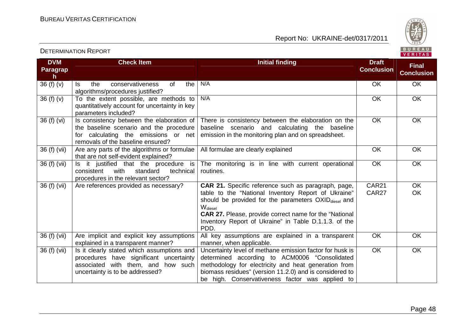Report No: UKRAINE-det/0317/2011



#### **DVM Paragraph**  $36(f)(v)$ **Check Item Initial finding Check Item Initial finding Check Item Initial finding Check Item Initial finding Check Item Initial finding Check Item Initial finding Check Item Initial finding Check Item Initial finding Check Conclusion Final Conclusion**Is the conservativeness of the algorithms/procedures justified? 36 (f)  $(v)$  To the extent possible, are methods to N/AA OK OK quantitatively account for uncertainty in key parameters included? 36 (f) (vi)  $\vert$  is consistency between the elaboration of N/AA OK OK the baseline scenario and the procedure for calculating the emissions or net removals of the baseline ensured? 36 (f) (vii)  $\vert$  Are any parts of the algorithms or formulae There is consistency between the elaboration on the baseline scenario and calculating the baseline emission in the monitoring plan and on spreadsheet.OK OK that are not self-evident explained? 36 (f) (vii)  $\vert$  is it justified that the procedure is All formulae are clearly explained  $\overline{O}$  OK  $\overline{O}$  OK technical consistent with standard procedures in the relevant sector? Are references provided as necessary? The monitoring is in line with current operational routines. OK OK 36 (f) (vii) Are references provided as necessary? **CAR 21.** Specific reference such as paragraph, page, table to the "National Inventory Report of Ukraine"should be provided for the parameters OXID<sub>diesel</sub> and  $W_{\text{diesel}}$  **CAR 27.** Please, provide correct name for the "National Inventory Report of Ukraine" in Table D.1.1.3. of the PDD. All key assumptions are explained in a transparent CAR21 CAR27 OK OK 36 (f) (vii) Are implicit and explicit key assumptions explained in a transparent manner? 36 (f) (vii)  $\vert$  is it clearly stated which assumptions and manner, when applicable. Uncertainty level of methane emission factor for husk is OK OK procedures have significant uncertainty associated with them, and how such uncertainty is to be addressed? determined according to ACM0006 "Consolidated methodology for electricity and heat generation from biomass residues" (version 11.2.0) and is considered to be high. Conservativeness factor was applied to OK OK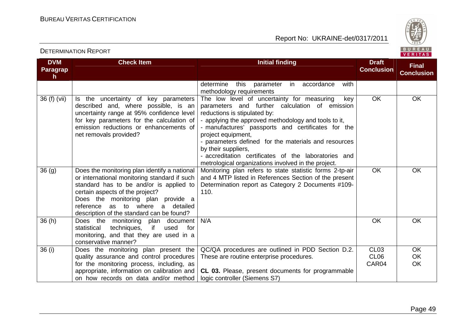Report No: UKRAINE-det/0317/2011



#### **DVM Paragraph Check Item Initial finding Check Item Initial finding Check Item Initial finding Initial finding Draft Conclusion Final Conclusion**determine this parameter in accordance with methodology requirements The low level of uncertainty for measuring key 36 (f) (vii)  $\vert$  is the uncertainty of key parameters described and, where possible, is an uncertainty range at 95% confidence level for key parameters for the calculation of emission reductions or enhancements of net removals provided? parameters and further calculation of emission reductions is stipulated by: - applying the approved methodology and tools to it, - manufactures' passports and certificates for the project equipment, - parameters defined for the materials and resources by their suppliers, - accreditation certificates of the laboratories and metrological organizations involved in the project. Monitoring plan refers to state statistic forms 2-tp-air OK OK  $36$  (g)  $\Box$  Does the monitoring plan identify a national or international monitoring standard if such standard has to be and/or is applied to certain aspects of the project? Does the monitoring plan provide a reference as to where a detailed description of the standard can be found? 36 (h) Does the monitoring plan document and 4 МТP listed in References Section of the present Determination report as Category 2 Documents #109-110. OK OK for statistical techniques, if used monitoring, and that they are used in a conservative manner? 36 (i) Does the monitoring plan present the N/A OK OK OK quality assurance and control procedures for the monitoring process, including, as appropriate, information on calibration and on how records on data and/or method QC/QA procedures are outlined in PDD Section D.2. These are routine enterprise procedures. **CL 03.** Please, present documents for programmable logic controller (Siemens S7) CL<sub>03</sub> CL06 CAR04 **OK**  OK OK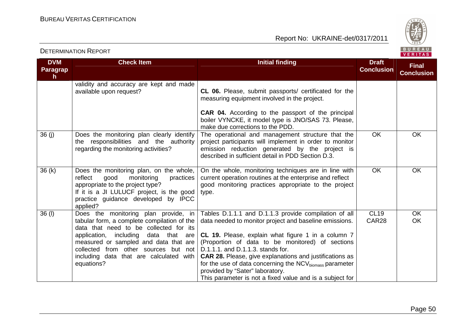

#### **DVM Paragraph Check Item Initial finding Check Item Initial finding Check Item Initial finding Check Item Initial finding Check Item Initial finding Check Item Initial finding Check Item Initial finding Check Item Initial finding Check Conclusion Final Conclusion**validity and accuracy are kept and made available upon request? **CL 06.** Please, submit passports/ certificated for the measuring equipment involved in the project. **CAR 04.** According to the passport of the principal boiler VYNCKE, it model type is JNO/SAS 73. Please,make due corrections to the PDD. The operational and management structure that the 36 (j) Does the monitoring plan clearly identify the responsibilities and the authority regarding the monitoring activities? project participants will implement in order to monitor emission reduction generated by the project is described in sufficient detail in PDD Section D.3. OK OK  $36 (k)$  Does the monitoring plan, on the whole, practices reflect good monitoring appropriate to the project type? If it is a JI LULUCF project, is the good practice guidance developed by IPCC applied? 36 (l) Does the monitoring plan provide, in On the whole, monitoring techniques are in line with current operation routines at the enterprise and reflect good monitoring practices appropriate to the project type. OK OK tabular form, a complete compilation of the data that need to be collected for its application, including data that are measured or sampled and data that are collected from other sources but not including data that are calculated with equations? Tables D.1.1.1 and D.1.1.3 provide compilation of all data needed to monitor project and baseline emissions. **CL 19.** Please, explain what figure 1 in a column 7 (Proportion of data to be monitored) of sections D.1.1.1. and D.1.1.3. stands for. **CAR 28.** Please, give explanations and justifications as for the use of data concerning the  $\text{NCV}_{\text{biomass}}$  parameter provided by "Sater" laboratory. This parameter is not a fixed value and is a subject for CL19 CAR28

### DETERMINATION REPORT

**OK** OK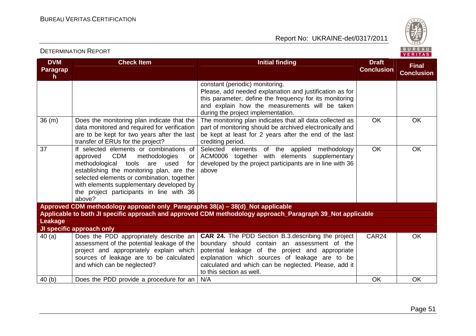

| <b>DVM</b>            | <b>Check Item</b>                                                                                                                                                                                                                                                                                                                             | <b>Initial finding</b>                                                                                                                                                                                                                                                                                | <b>Draft</b>      |                                   |
|-----------------------|-----------------------------------------------------------------------------------------------------------------------------------------------------------------------------------------------------------------------------------------------------------------------------------------------------------------------------------------------|-------------------------------------------------------------------------------------------------------------------------------------------------------------------------------------------------------------------------------------------------------------------------------------------------------|-------------------|-----------------------------------|
| <b>Paragrap</b><br>h. |                                                                                                                                                                                                                                                                                                                                               |                                                                                                                                                                                                                                                                                                       | <b>Conclusion</b> | <b>Final</b><br><b>Conclusion</b> |
|                       |                                                                                                                                                                                                                                                                                                                                               | constant (periodic) monitoring.<br>Please, add needed explanation and justification as for<br>this parameter, define the frequency for its monitoring<br>and explain how the measurements will be taken<br>during the project implementation.                                                         |                   |                                   |
| 36 (m)                | Does the monitoring plan indicate that the<br>data monitored and required for verification<br>are to be kept for two years after the last<br>transfer of ERUs for the project?                                                                                                                                                                | The monitoring plan indicates that all data collected as<br>part of monitoring should be archived electronically and<br>be kept at least for 2 years after the end of the last<br>crediting period.                                                                                                   | <b>OK</b>         | OK                                |
| $\overline{37}$       | If selected elements or combinations of<br><b>CDM</b><br>methodologies<br>approved<br><b>or</b><br>methodological<br>tools<br>are<br>used<br>for<br>establishing the monitoring plan, are the<br>selected elements or combination, together<br>with elements supplementary developed by<br>the project participants in line with 36<br>above? | Selected elements of the applied methodology<br>ACM0006 together with elements supplementary<br>developed by the project participants are in line with 36<br>above                                                                                                                                    | <b>OK</b>         | OK                                |
|                       | Approved CDM methodology approach only_Paragraphs 38(a) - 38(d)_Not applicable                                                                                                                                                                                                                                                                |                                                                                                                                                                                                                                                                                                       |                   |                                   |
| Leakage               |                                                                                                                                                                                                                                                                                                                                               | Applicable to both JI specific approach and approved CDM methodology approach_Paragraph 39_Not applicable                                                                                                                                                                                             |                   |                                   |
|                       | JI specific approach only                                                                                                                                                                                                                                                                                                                     |                                                                                                                                                                                                                                                                                                       |                   |                                   |
| 40(a)                 | Does the PDD appropriately describe an<br>assessment of the potential leakage of the<br>project and appropriately explain which<br>sources of leakage are to be calculated<br>and which can be neglected?                                                                                                                                     | <b>CAR 24.</b> The PDD Section B.3. describing the project<br>boundary should contain an assessment of the<br>potential leakage of the project and appropriate<br>explanation which sources of leakage are to be<br>calculated and which can be neglected. Please, add it<br>to this section as well. | CAR <sub>24</sub> | <b>OK</b>                         |
| 40 <sub>(b)</sub>     | Does the PDD provide a procedure for an                                                                                                                                                                                                                                                                                                       | N/A                                                                                                                                                                                                                                                                                                   | OK                | OK                                |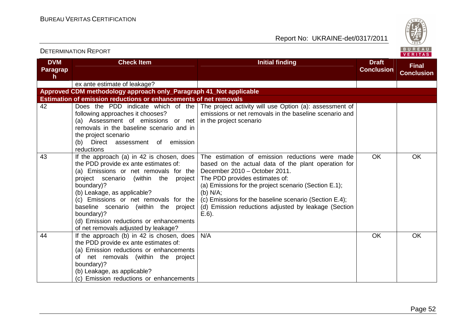

### **DVM Paragraph Check Item Initial finding Check Item Initial finding Check Item Initial finding Check Item Initial finding Check Item Initial finding Check Item Initial finding Check Item Initial finding Check Item Initial finding Check Conclusion Final Conclusion**ex ante estimate of leakage? **Approved CDM methodology approach only\_Paragraph 41\_Not applicable Estimation of emission reductions or enhancements of net removals**  The project activity will use Option (a): assessment of 42 Does the PDD indicate which of the following approaches it chooses? (a) Assessment of emissions or net in the project scenario removals in the baseline scenario and in the project scenario (b) Direct assessment of emission reductions 43 If the approach (a) in 42 is chosen, does emissions or net removals in the baseline scenario and the PDD provide ex ante estimates of: (a) Emissions or net removals for the project scenario (within the project boundary)? (b) Leakage, as applicable? (c) Emissions or net removals for the baseline scenario (within the project boundary)? (d) Emission reductions or enhancements of net removals adjusted by leakage? 44 | If the approach (b) in 42 is chosen, does The estimation of emission reductions were made based on the actual data of the plant operation forDecember 2010 – October 2011. The PDD provides estimates of: (a) Emissions for the project scenario (Section E.1); (b) N/A; (c) Emissions for the baseline scenario (Section E.4); (d) Emission reductions adjusted by leakage (Section E.6). OK OK the PDD provide ex ante estimates of: (a) Emission reductions or enhancements of net removals (within the project boundary)? (b) Leakage, as applicable? (c) Emission reductions or enhancements N/A OK OK OK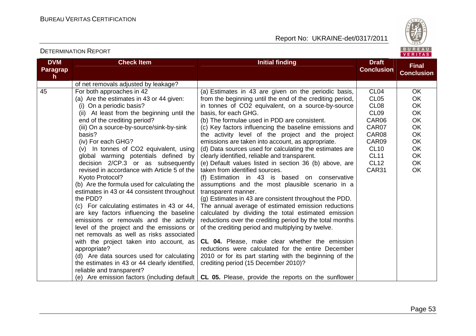Report No: UKRAINE-det/0317/2011



#### **DVM Paragraph Check Item Initial finding Check Item Initial finding Check Item Initial finding Check Item Initial finding Check Item Initial finding Check Item Initial finding Check Item Initial finding Check Item Initial finding Check Conclusion Final Conclusion**of net removals adjusted by leakage? 45 For both approaches in 42 (a) Are the estimates in 43 or 44 given: (i) On a periodic basis? (ii) At least from the beginning until the end of the crediting period? (iii) On a source-by-source/sink-by-sink basis? (iv) For each GHG? (v) In tonnes of CO2 equivalent, using global warming potentials defined by decision 2/CP.3 or as subsequently revised in accordance with Article 5 of the Kyoto Protocol? (b) Are the formula used for calculating the estimates in 43 or 44 consistent throughout the PDD? (c) For calculating estimates in 43 or 44, are key factors influencing the baseline emissions or removals and the activity level of the project and the emissions or net removals as well as risks associated with the project taken into account, as appropriate? (d) Are data sources used for calculating the estimates in 43 or 44 clearly identified, reliable and transparent? (e) Are emission factors (including default **CL 05.** Please, provide the reports on the sunflower (a) Estimates in 43 are given on the periodic basis, from the beginning until the end of the crediting period, in tonnes of CO2 equivalent, on a source-by-source basis, for each GHG. (b) The formulae used in PDD are consistent. (c) Key factors influencing the baseline emissions and the activity level of the project and the project emissions are taken into account, as appropriate. (d) Data sources used for calculating the estimates are clearly identified, reliable and transparent. (e) Default values listed in section 36 (b) above, are taken from identified sources. (f) Estimation in 43 is based on conservative assumptions and the most plausible scenario in a transparent manner. (g) Estimates in 43 are consistent throughout the PDD. The annual average of estimated emission reductions calculated by dividing the total estimated emission reductions over the crediting period by the total months of the crediting period and multiplying by twelve. **CL 04.** Please, make clear whether the emission reductions were calculated for the entire December 2010 or for its part starting with the beginning of the crediting period (15 December 2010)? CL04 CL05 CL08 CL09 CAR06 CAR07 CAR08 CAR09 CL10 CL11 CL12 CAR31 **OK**  OK OK OK OK OK OK OK OK OK OK OK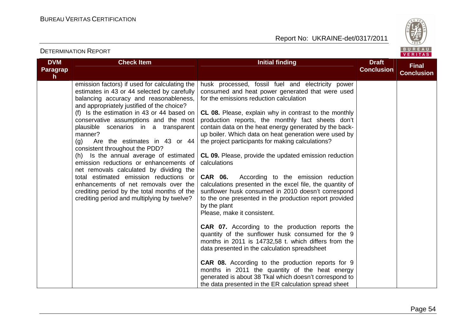

| <b>DETERMINATION REPORT</b>            |                                                                                                                                                                                                                                                                                                                                                                                                                                                                                                                                                                                                                                                                                                                          |                                                                                                                                                                                                                                                                                                                                                                                                                                                                                                                                                                                                                                                                                                                                                                                                                                                                                                                                                                                                                                                                                                                                                                                                                                                                   |                                   | BUREAU<br>VERITAS                 |
|----------------------------------------|--------------------------------------------------------------------------------------------------------------------------------------------------------------------------------------------------------------------------------------------------------------------------------------------------------------------------------------------------------------------------------------------------------------------------------------------------------------------------------------------------------------------------------------------------------------------------------------------------------------------------------------------------------------------------------------------------------------------------|-------------------------------------------------------------------------------------------------------------------------------------------------------------------------------------------------------------------------------------------------------------------------------------------------------------------------------------------------------------------------------------------------------------------------------------------------------------------------------------------------------------------------------------------------------------------------------------------------------------------------------------------------------------------------------------------------------------------------------------------------------------------------------------------------------------------------------------------------------------------------------------------------------------------------------------------------------------------------------------------------------------------------------------------------------------------------------------------------------------------------------------------------------------------------------------------------------------------------------------------------------------------|-----------------------------------|-----------------------------------|
| <b>DVM</b><br>Paragrap<br>$\mathsf{h}$ | <b>Check Item</b>                                                                                                                                                                                                                                                                                                                                                                                                                                                                                                                                                                                                                                                                                                        | <b>Initial finding</b>                                                                                                                                                                                                                                                                                                                                                                                                                                                                                                                                                                                                                                                                                                                                                                                                                                                                                                                                                                                                                                                                                                                                                                                                                                            | <b>Draft</b><br><b>Conclusion</b> | <b>Final</b><br><b>Conclusion</b> |
|                                        | emission factors) if used for calculating the<br>estimates in 43 or 44 selected by carefully<br>balancing accuracy and reasonableness,<br>and appropriately justified of the choice?<br>(f) Is the estimation in 43 or 44 based on<br>conservative assumptions and the most<br>plausible scenarios in a transparent<br>manner?<br>(q)<br>Are the estimates in 43 or 44<br>consistent throughout the PDD?<br>(h) Is the annual average of estimated<br>emission reductions or enhancements of<br>net removals calculated by dividing the<br>total estimated emission reductions or<br>enhancements of net removals over the<br>crediting period by the total months of the<br>crediting period and multiplying by twelve? | husk processed, fossil fuel and electricity power<br>consumed and heat power generated that were used<br>for the emissions reduction calculation<br><b>CL 08.</b> Please, explain why in contrast to the monthly<br>production reports, the monthly fact sheets don't<br>contain data on the heat energy generated by the back-<br>up boiler. Which data on heat generation were used by<br>the project participants for making calculations?<br>CL 09. Please, provide the updated emission reduction<br>calculations<br><b>CAR 06.</b> According to the emission reduction<br>calculations presented in the excel file, the quantity of<br>sunflower husk consumed in 2010 doesn't correspond<br>to the one presented in the production report provided<br>by the plant<br>Please, make it consistent.<br><b>CAR 07.</b> According to the production reports the<br>quantity of the sunflower husk consumed for the 9<br>months in 2011 is 14732,58 t. which differs from the<br>data presented in the calculation spreadsheet<br><b>CAR 08.</b> According to the production reports for 9<br>months in 2011 the quantity of the heat energy<br>generated is about 38 Tkal which doesn't correspond to<br>the data presented in the ER calculation spread sheet |                                   |                                   |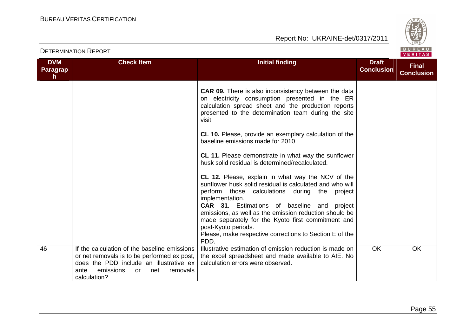

| <b>DVM</b><br><b>Paragrap</b><br>$\mathsf{h}$ | <b>Check Item</b>                                                                                                                                                                                           | <b>Initial finding</b>                                                                                                                                                                                                                                                                                                                                                                                                    | <b>Draft</b><br><b>Conclusion</b> | <b>Final</b><br><b>Conclusion</b> |
|-----------------------------------------------|-------------------------------------------------------------------------------------------------------------------------------------------------------------------------------------------------------------|---------------------------------------------------------------------------------------------------------------------------------------------------------------------------------------------------------------------------------------------------------------------------------------------------------------------------------------------------------------------------------------------------------------------------|-----------------------------------|-----------------------------------|
|                                               |                                                                                                                                                                                                             | <b>CAR 09.</b> There is also inconsistency between the data<br>on electricity consumption presented in the ER<br>calculation spread sheet and the production reports<br>presented to the determination team during the site<br>visit<br><b>CL 10.</b> Please, provide an exemplary calculation of the<br>baseline emissions made for 2010                                                                                 |                                   |                                   |
|                                               |                                                                                                                                                                                                             | <b>CL 11.</b> Please demonstrate in what way the sunflower<br>husk solid residual is determined/recalculated.<br><b>CL 12.</b> Please, explain in what way the NCV of the<br>sunflower husk solid residual is calculated and who will<br>perform those calculations during the project<br>implementation.<br><b>CAR 31.</b> Estimations of baseline and project<br>emissions, as well as the emission reduction should be |                                   |                                   |
|                                               |                                                                                                                                                                                                             | made separately for the Kyoto first commitment and<br>post-Kyoto periods.<br>Please, make respective corrections to Section E of the<br>PDD.                                                                                                                                                                                                                                                                              |                                   |                                   |
| 46                                            | If the calculation of the baseline emissions<br>or net removals is to be performed ex post,<br>does the PDD include an illustrative ex<br>emissions<br>ante<br>net<br>removals<br><b>or</b><br>calculation? | Illustrative estimation of emission reduction is made on<br>the excel spreadsheet and made available to AIE. No<br>calculation errors were observed.                                                                                                                                                                                                                                                                      | <b>OK</b>                         | <b>OK</b>                         |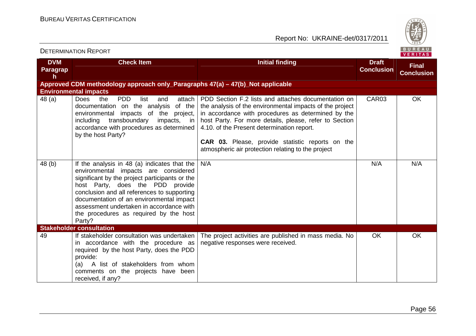

| <b>DVM</b><br><b>Paragrap</b><br>h | <b>Check Item</b>                                                                                                                                                                                                                                                                                                                                                     | <b>Initial finding</b>                                                                                                                                                                                                                                                                                                                                                                         | <b>Draft</b><br><b>Conclusion</b> | <b>Final</b><br><b>Conclusion</b> |
|------------------------------------|-----------------------------------------------------------------------------------------------------------------------------------------------------------------------------------------------------------------------------------------------------------------------------------------------------------------------------------------------------------------------|------------------------------------------------------------------------------------------------------------------------------------------------------------------------------------------------------------------------------------------------------------------------------------------------------------------------------------------------------------------------------------------------|-----------------------------------|-----------------------------------|
|                                    | Approved CDM methodology approach only_Paragraphs 47(a) - 47(b)_Not applicable                                                                                                                                                                                                                                                                                        |                                                                                                                                                                                                                                                                                                                                                                                                |                                   |                                   |
|                                    | <b>Environmental impacts</b>                                                                                                                                                                                                                                                                                                                                          |                                                                                                                                                                                                                                                                                                                                                                                                |                                   |                                   |
| 48 (a)                             | <b>Does</b><br><b>PDD</b><br>attach<br>the<br>list<br>and<br>documentation on the analysis<br>of the<br>environmental impacts of the project,<br>transboundary<br>including<br>$impacts,$ in<br>accordance with procedures as determined<br>by the host Party?                                                                                                        | PDD Section F.2 lists and attaches documentation on<br>the analysis of the environmental impacts of the project<br>in accordance with procedures as determined by the<br>host Party. For more details, please, refer to Section<br>4.10. of the Present determination report.<br><b>CAR 03.</b> Please, provide statistic reports on the<br>atmospheric air protection relating to the project | CAR <sub>03</sub>                 | <b>OK</b>                         |
| 48 (b)                             | If the analysis in 48 (a) indicates that the<br>environmental impacts are considered<br>significant by the project participants or the<br>host Party, does the PDD provide<br>conclusion and all references to supporting<br>documentation of an environmental impact<br>assessment undertaken in accordance with<br>the procedures as required by the host<br>Party? | N/A                                                                                                                                                                                                                                                                                                                                                                                            | N/A                               | N/A                               |
|                                    | <b>Stakeholder consultation</b>                                                                                                                                                                                                                                                                                                                                       |                                                                                                                                                                                                                                                                                                                                                                                                |                                   |                                   |
| 49                                 | If stakeholder consultation was undertaken<br>in accordance with the procedure as<br>required by the host Party, does the PDD<br>provide:<br>A list of stakeholders from whom<br>(a)<br>comments on the projects have been<br>received, if any?                                                                                                                       | The project activities are published in mass media. No<br>negative responses were received.                                                                                                                                                                                                                                                                                                    | <b>OK</b>                         | <b>OK</b>                         |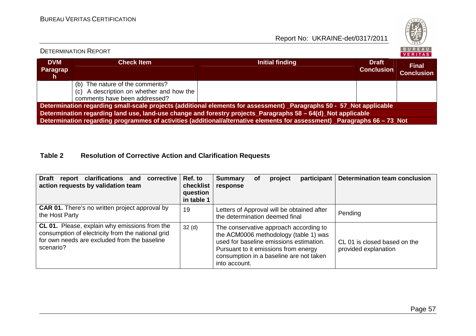Report No: UKRAINE-det/0317/2011



### **DVM Paragraph Check Item Check Item Initial finding Check Item Initial finding Check Item Initial finding Check Item Initial finding Conclusion Final Conclusion**(b) The nature of the comments? (c) A description on whether and how the comments have been addressed? **Determination regarding small-scale projects (additional elements for assessment) \_Paragraphs 50 - 57\_Not applicable Determination regarding land use, land-use change and forestry projects\_Paragraphs 58 – 64(d)\_Not applicable Determination regarding programmes of activities (additional/alternative elements for assessment) \_Paragraphs 66 – 73\_Not**

### **Table 2 Resolution of Corrective Action and Clarification Requests**

| <b>Draft</b><br>report clarifications and<br>corrective<br>action requests by validation team                                                                   | Ref. to<br>checklist<br>question<br>in table 1 | <b>Determination team conclusion</b><br>participant<br>project<br><b>Summary</b><br>Οf<br>response                                                                                                                                                                                     |
|-----------------------------------------------------------------------------------------------------------------------------------------------------------------|------------------------------------------------|----------------------------------------------------------------------------------------------------------------------------------------------------------------------------------------------------------------------------------------------------------------------------------------|
| <b>CAR 01.</b> There's no written project approval by<br>the Host Party                                                                                         | 19                                             | Letters of Approval will be obtained after<br>Pending<br>the determination deemed final                                                                                                                                                                                                |
| CL 01. Please, explain why emissions from the<br>consumption of electricity from the national grid<br>for own needs are excluded from the baseline<br>scenario? | 32 <sub>(d)</sub>                              | The conservative approach according to<br>the ACM0006 methodology (table 1) was<br>used for baseline emissions estimation.<br>CL 01 is closed based on the<br>Pursuant to it emissions from energy<br>provided explanation<br>consumption in a baseline are not taken<br>into account. |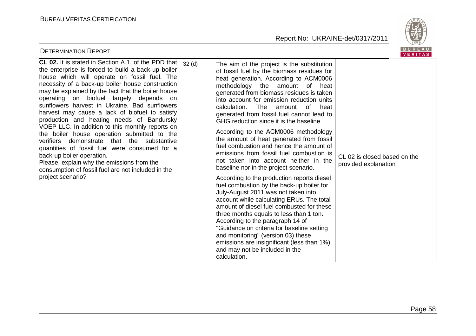

| <b>DETERMINATION REPORT</b>                                                                                                                                                                                                                                                                                                                                                                                                                                                                                                                                                                                                                                                                                                                                                                                            |                   |                                                                                                                                                                                                                                                                                                                                                                                                                                                                                                                                                                                                                                                                                                                                                                                                                                                                                                                                                                                                                                                                                                                                                                 | <b>BUREAU</b><br>VERITAS                             |
|------------------------------------------------------------------------------------------------------------------------------------------------------------------------------------------------------------------------------------------------------------------------------------------------------------------------------------------------------------------------------------------------------------------------------------------------------------------------------------------------------------------------------------------------------------------------------------------------------------------------------------------------------------------------------------------------------------------------------------------------------------------------------------------------------------------------|-------------------|-----------------------------------------------------------------------------------------------------------------------------------------------------------------------------------------------------------------------------------------------------------------------------------------------------------------------------------------------------------------------------------------------------------------------------------------------------------------------------------------------------------------------------------------------------------------------------------------------------------------------------------------------------------------------------------------------------------------------------------------------------------------------------------------------------------------------------------------------------------------------------------------------------------------------------------------------------------------------------------------------------------------------------------------------------------------------------------------------------------------------------------------------------------------|------------------------------------------------------|
| CL 02. It is stated in Section A.1. of the PDD that<br>the enterprise is forced to build a back-up boiler<br>house which will operate on fossil fuel. The<br>necessity of a back-up boiler house construction<br>may be explained by the fact that the boiler house<br>operating on biofuel largely depends on<br>sunflowers harvest in Ukraine. Bad sunflowers<br>harvest may cause a lack of biofuel to satisfy<br>production and heating needs of Bandursky<br>VOEP LLC. In addition to this monthly reports on<br>the boiler house operation submitted to the<br>verifiers demonstrate that the substantive<br>quantities of fossil fuel were consumed for a<br>back-up boiler operation.<br>Please, explain why the emissions from the<br>consumption of fossil fuel are not included in the<br>project scenario? | 32 <sub>(d)</sub> | The aim of the project is the substitution<br>of fossil fuel by the biomass residues for<br>heat generation. According to ACM0006<br>methodology the amount of heat<br>generated from biomass residues is taken<br>into account for emission reduction units<br>calculation.<br>The<br>amount<br>of<br>heat<br>generated from fossil fuel cannot lead to<br>GHG reduction since it is the baseline.<br>According to the ACM0006 methodology<br>the amount of heat generated from fossil<br>fuel combustion and hence the amount of<br>emissions from fossil fuel combustion is<br>not taken into account neither in the<br>baseline nor in the project scenario.<br>According to the production reports diesel<br>fuel combustion by the back-up boiler for<br>July-August 2011 was not taken into<br>account while calculating ERUs. The total<br>amount of diesel fuel combusted for these<br>three months equals to less than 1 ton.<br>According to the paragraph 14 of<br>"Guidance on criteria for baseline setting<br>and monitoring" (version 03) these<br>emissions are insignificant (less than 1%)<br>and may not be included in the<br>calculation. | CL 02 is closed based on the<br>provided explanation |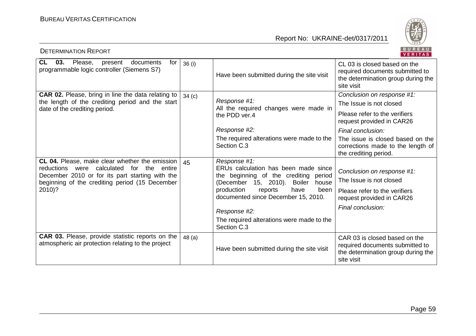

| BUREAU<br><b>DETERMINATION REPORT</b><br>VERITAS                                                       |                   |                                                                                                                                 |                                                                                                                      |  |  |
|--------------------------------------------------------------------------------------------------------|-------------------|---------------------------------------------------------------------------------------------------------------------------------|----------------------------------------------------------------------------------------------------------------------|--|--|
| <b>CL</b><br>Please, present<br>03.<br>documents<br>for<br>programmable logic controller (Siemens S7)  | 36(i)             | Have been submitted during the site visit                                                                                       | CL 03 is closed based on the<br>required documents submitted to<br>the determination group during the<br>site visit  |  |  |
| <b>CAR 02.</b> Please, bring in line the data relating to                                              | 34 <sub>(c)</sub> |                                                                                                                                 | Conclusion on response #1:                                                                                           |  |  |
| the length of the crediting period and the start<br>date of the crediting period.                      |                   | Response #1:<br>All the required changes were made in                                                                           | The Issue is not closed                                                                                              |  |  |
|                                                                                                        |                   | the PDD ver.4                                                                                                                   | Please refer to the verifiers<br>request provided in CAR26                                                           |  |  |
|                                                                                                        |                   | Response #2:                                                                                                                    | Final conclusion:                                                                                                    |  |  |
|                                                                                                        |                   | The required alterations were made to the<br>Section C.3                                                                        | The issue is closed based on the<br>corrections made to the length of<br>the crediting period.                       |  |  |
| CL 04. Please, make clear whether the emission                                                         | 45                | Response #1:                                                                                                                    |                                                                                                                      |  |  |
| reductions were calculated for the<br>entire<br>December 2010 or for its part starting with the        |                   | ERUs calculation has been made since<br>the beginning of the crediting period<br>(December 15, 2010).<br><b>Boiler</b><br>house | Conclusion on response #1:                                                                                           |  |  |
| beginning of the crediting period (15 December                                                         |                   |                                                                                                                                 | The Issue is not closed                                                                                              |  |  |
| 2010)?                                                                                                 |                   | production<br>have<br>been<br>reports<br>documented since December 15, 2010.                                                    | Please refer to the verifiers<br>request provided in CAR26                                                           |  |  |
|                                                                                                        |                   | Response #2:                                                                                                                    | Final conclusion:                                                                                                    |  |  |
|                                                                                                        |                   | The required alterations were made to the<br>Section C.3                                                                        |                                                                                                                      |  |  |
| CAR 03. Please, provide statistic reports on the<br>atmospheric air protection relating to the project | 48(a)             | Have been submitted during the site visit                                                                                       | CAR 03 is closed based on the<br>required documents submitted to<br>the determination group during the<br>site visit |  |  |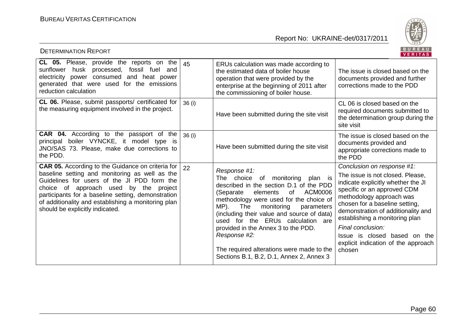

| BUREAU<br><b>DETERMINATION REPORT</b><br><b>VERITAS</b>                                                                                                                                                                                                                                                                                        |       |                                                                                                                                                                                                                                                                                                                                                                                                                                                                             |                                                                                                                                                                                                                                                                                                                                                                                 |  |  |
|------------------------------------------------------------------------------------------------------------------------------------------------------------------------------------------------------------------------------------------------------------------------------------------------------------------------------------------------|-------|-----------------------------------------------------------------------------------------------------------------------------------------------------------------------------------------------------------------------------------------------------------------------------------------------------------------------------------------------------------------------------------------------------------------------------------------------------------------------------|---------------------------------------------------------------------------------------------------------------------------------------------------------------------------------------------------------------------------------------------------------------------------------------------------------------------------------------------------------------------------------|--|--|
| <b>CL 05.</b> Please, provide the reports on the<br>husk processed,<br>fossil fuel and<br>sunflower<br>electricity power consumed and heat power<br>generated that were used for the emissions<br>reduction calculation                                                                                                                        | 45    | ERUs calculation was made according to<br>the estimated data of boiler house<br>operation that were provided by the<br>enterprise at the beginning of 2011 after<br>the commissioning of boiler house.                                                                                                                                                                                                                                                                      | The issue is closed based on the<br>documents provided and further<br>corrections made to the PDD                                                                                                                                                                                                                                                                               |  |  |
| CL 06. Please, submit passports/ certificated for<br>the measuring equipment involved in the project.                                                                                                                                                                                                                                          | 36(i) | Have been submitted during the site visit                                                                                                                                                                                                                                                                                                                                                                                                                                   | CL 06 is closed based on the<br>required documents submitted to<br>the determination group during the<br>site visit                                                                                                                                                                                                                                                             |  |  |
| CAR 04. According to the passport of the<br>principal boiler VYNCKE, it model type is<br>JNO/SAS 73. Please, make due corrections to<br>the PDD.                                                                                                                                                                                               | 36(i) | Have been submitted during the site visit                                                                                                                                                                                                                                                                                                                                                                                                                                   | The issue is closed based on the<br>documents provided and<br>appropriate corrections made to<br>the PDD                                                                                                                                                                                                                                                                        |  |  |
| CAR 05. According to the Guidance on criteria for  <br>baseline setting and monitoring as well as the<br>Guidelines for users of the JI PDD form the<br>choice of approach used by the project<br>participants for a baseline setting, demonstration<br>of additionality and establishing a monitoring plan<br>should be explicitly indicated. | 22    | Response #1:<br>monitoring<br>The choice of<br>plan is<br>described in the section D.1 of the PDD<br><b>ACM0006</b><br>of<br>(Separate<br>elements<br>methodology were used for the choice of<br>MP).<br>The<br>monitoring<br>parameters<br>(including their value and source of data)<br>used for the ERUs calculation are<br>provided in the Annex 3 to the PDD.<br>Response #2:<br>The required alterations were made to the<br>Sections B.1, B.2, D.1, Annex 2, Annex 3 | Conclusion on response #1:<br>The issue is not closed. Please,<br>indicate explicitly whether the JI<br>specific or an approved CDM<br>methodology approach was<br>chosen for a baseline setting,<br>demonstration of additionality and<br>establishing a monitoring plan<br>Final conclusion:<br>Issue is closed based on the<br>explicit indication of the approach<br>chosen |  |  |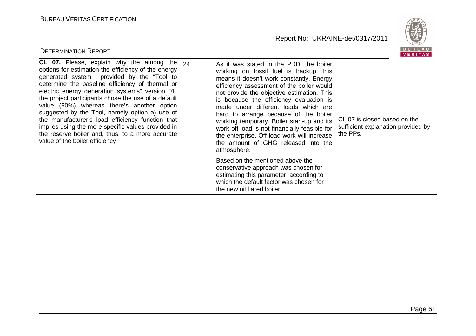

| <b>DETERMINATION REPORT</b>                                                                                                                                                                                                                                                                                                                                                                                                                                                                                                                                                                                      |                                                                                                                                                                                                                                                                                                                                                                                                                                                                                                                                                          | BUREAU<br><b>VERITAS</b>                                                       |
|------------------------------------------------------------------------------------------------------------------------------------------------------------------------------------------------------------------------------------------------------------------------------------------------------------------------------------------------------------------------------------------------------------------------------------------------------------------------------------------------------------------------------------------------------------------------------------------------------------------|----------------------------------------------------------------------------------------------------------------------------------------------------------------------------------------------------------------------------------------------------------------------------------------------------------------------------------------------------------------------------------------------------------------------------------------------------------------------------------------------------------------------------------------------------------|--------------------------------------------------------------------------------|
| CL 07. Please, explain why the among the $ 24 $<br>options for estimation the efficiency of the energy<br>generated system provided by the "Tool to<br>determine the baseline efficiency of thermal or<br>electric energy generation systems" version 01,<br>the project participants chose the use of a default<br>value (90%) whereas there's another option<br>suggested by the Tool, namely option a) use of<br>the manufacturer's load efficiency function that<br>implies using the more specific values provided in<br>the reserve boiler and, thus, to a more accurate<br>value of the boiler efficiency | As it was stated in the PDD, the boiler<br>working on fossil fuel is backup, this<br>means it doesn't work constantly. Energy<br>efficiency assessment of the boiler would<br>not provide the objective estimation. This<br>is because the efficiency evaluation is<br>made under different loads which are<br>hard to arrange because of the boiler<br>working temporary. Boiler start-up and its<br>work off-load is not financially feasible for<br>the enterprise. Off-load work will increase<br>the amount of GHG released into the<br>atmosphere. | CL 07 is closed based on the<br>sufficient explanation provided by<br>the PPs. |
|                                                                                                                                                                                                                                                                                                                                                                                                                                                                                                                                                                                                                  | Based on the mentioned above the<br>conservative approach was chosen for<br>estimating this parameter, according to<br>which the default factor was chosen for<br>the new oil flared boiler.                                                                                                                                                                                                                                                                                                                                                             |                                                                                |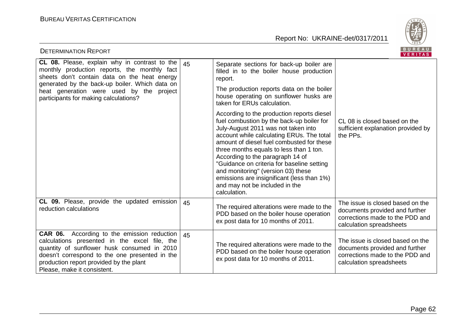

| <b>DETERMINATION REPORT</b>                                                                                                                                                                                                                                                                 |    |                                                                                                                                                                                                                                                                                                                                                                                                                                                                                             | <b>BUREAU</b><br>VERITAS                                                                                                          |
|---------------------------------------------------------------------------------------------------------------------------------------------------------------------------------------------------------------------------------------------------------------------------------------------|----|---------------------------------------------------------------------------------------------------------------------------------------------------------------------------------------------------------------------------------------------------------------------------------------------------------------------------------------------------------------------------------------------------------------------------------------------------------------------------------------------|-----------------------------------------------------------------------------------------------------------------------------------|
| <b>CL 08.</b> Please, explain why in contrast to the<br>monthly production reports, the monthly fact<br>sheets don't contain data on the heat energy<br>generated by the back-up boiler. Which data on<br>heat generation were used by the project<br>participants for making calculations? | 45 | Separate sections for back-up boiler are<br>filled in to the boiler house production<br>report.<br>The production reports data on the boiler<br>house operating on sunflower husks are<br>taken for ERUs calculation.                                                                                                                                                                                                                                                                       |                                                                                                                                   |
|                                                                                                                                                                                                                                                                                             |    | According to the production reports diesel<br>fuel combustion by the back-up boiler for<br>July-August 2011 was not taken into<br>account while calculating ERUs. The total<br>amount of diesel fuel combusted for these<br>three months equals to less than 1 ton.<br>According to the paragraph 14 of<br>"Guidance on criteria for baseline setting<br>and monitoring" (version 03) these<br>emissions are insignificant (less than 1%)<br>and may not be included in the<br>calculation. | CL 08 is closed based on the<br>sufficient explanation provided by<br>the PPs.                                                    |
| <b>CL 09.</b> Please, provide the updated emission<br>reduction calculations                                                                                                                                                                                                                | 45 | The required alterations were made to the<br>PDD based on the boiler house operation<br>ex post data for 10 months of 2011.                                                                                                                                                                                                                                                                                                                                                                 | The issue is closed based on the<br>documents provided and further<br>corrections made to the PDD and<br>calculation spreadsheets |
| <b>CAR 06.</b> According to the emission reduction<br>calculations presented in the excel file, the<br>quantity of sunflower husk consumed in 2010<br>doesn't correspond to the one presented in the<br>production report provided by the plant<br>Please, make it consistent.              | 45 | The required alterations were made to the<br>PDD based on the boiler house operation<br>ex post data for 10 months of 2011.                                                                                                                                                                                                                                                                                                                                                                 | The issue is closed based on the<br>documents provided and further<br>corrections made to the PDD and<br>calculation spreadsheets |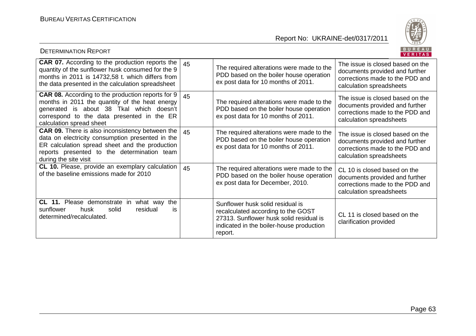

| <b>DETERMINATION REPORT</b>                                                                                                                                                                                                          |    |                                                                                                                                                                          | BUREAU<br><b>VERITAS</b>                                                                                                          |
|--------------------------------------------------------------------------------------------------------------------------------------------------------------------------------------------------------------------------------------|----|--------------------------------------------------------------------------------------------------------------------------------------------------------------------------|-----------------------------------------------------------------------------------------------------------------------------------|
| <b>CAR 07.</b> According to the production reports the<br>quantity of the sunflower husk consumed for the 9<br>months in 2011 is 14732,58 t. which differs from<br>the data presented in the calculation spreadsheet                 | 45 | The required alterations were made to the<br>PDD based on the boiler house operation<br>ex post data for 10 months of 2011.                                              | The issue is closed based on the<br>documents provided and further<br>corrections made to the PDD and<br>calculation spreadsheets |
| <b>CAR 08.</b> According to the production reports for 9<br>months in 2011 the quantity of the heat energy<br>generated is about 38 Tkal which doesn't<br>correspond to the data presented in the ER<br>calculation spread sheet     | 45 | The required alterations were made to the<br>PDD based on the boiler house operation<br>ex post data for 10 months of 2011.                                              | The issue is closed based on the<br>documents provided and further<br>corrections made to the PDD and<br>calculation spreadsheets |
| <b>CAR 09.</b> There is also inconsistency between the<br>data on electricity consumption presented in the<br>ER calculation spread sheet and the production<br>reports presented to the determination team<br>during the site visit | 45 | The required alterations were made to the<br>PDD based on the boiler house operation<br>ex post data for 10 months of 2011.                                              | The issue is closed based on the<br>documents provided and further<br>corrections made to the PDD and<br>calculation spreadsheets |
| CL 10. Please, provide an exemplary calculation<br>of the baseline emissions made for 2010                                                                                                                                           | 45 | The required alterations were made to the<br>PDD based on the boiler house operation<br>ex post data for December, 2010.                                                 | CL 10 is closed based on the<br>documents provided and further<br>corrections made to the PDD and<br>calculation spreadsheets     |
| CL 11. Please demonstrate<br>the<br>in<br>what way<br>sunflower<br>solid<br>residual<br>husk<br>is<br>determined/recalculated.                                                                                                       |    | Sunflower husk solid residual is<br>recalculated according to the GOST<br>27313. Sunflower husk solid residual is<br>indicated in the boiler-house production<br>report. | CL 11 is closed based on the<br>clarification provided                                                                            |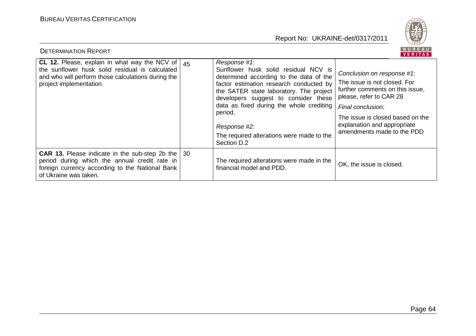

| BUREAU<br><b>DETERMINATION REPORT</b><br><b>VERITAS</b>                                                                                                                                             |  |                                                                                                                                                                                                                                                                                                                                                                  |                                                                                                                                                                                                                                                |  |  |
|-----------------------------------------------------------------------------------------------------------------------------------------------------------------------------------------------------|--|------------------------------------------------------------------------------------------------------------------------------------------------------------------------------------------------------------------------------------------------------------------------------------------------------------------------------------------------------------------|------------------------------------------------------------------------------------------------------------------------------------------------------------------------------------------------------------------------------------------------|--|--|
| <b>CL 12.</b> Please, explain in what way the NCV of $\vert$ 45<br>the sunflower husk solid residual is calculated<br>and who will perform those calculations during the<br>project implementation. |  | Response #1:<br>Sunflower husk solid residual NCV is<br>determined according to the data of the<br>factor estimation research conducted by<br>the SATER state laboratory. The project<br>developers suggest to consider these<br>data as fixed during the whole crediting<br>period.<br>Response #2:<br>The required alterations were made to the<br>Section D.2 | Conclusion on response #1:<br>The issue is not closed. For<br>further comments on this issue,<br>please, refer to CAR 28<br>Final conclusion:<br>The issue is closed based on the<br>explanation and appropriate<br>amendments made to the PDD |  |  |
| <b>CAR 13.</b> Please indicate in the sub-step 2b the   30<br>period during which the annual credit rate in<br>foreign currency according to the National Bank<br>of Ukraine was taken.             |  | The required alterations were made in the<br>financial model and PDD.                                                                                                                                                                                                                                                                                            | OK, the issue is closed.                                                                                                                                                                                                                       |  |  |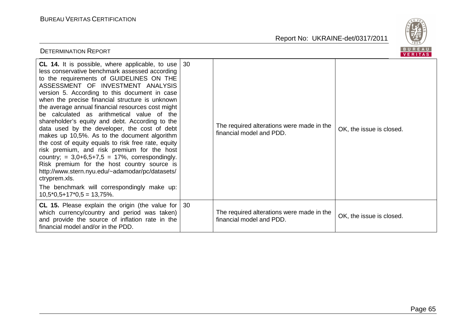

| BUREAU<br><b>DETERMINATION REPORT</b><br><b>VERITAS</b>                                                                                                                                                                                                                                                                                                                                                                                                                                                                                                                                                                                                                                                                                                                                                                                                                                                            |    |                                                                       |                          |  |  |
|--------------------------------------------------------------------------------------------------------------------------------------------------------------------------------------------------------------------------------------------------------------------------------------------------------------------------------------------------------------------------------------------------------------------------------------------------------------------------------------------------------------------------------------------------------------------------------------------------------------------------------------------------------------------------------------------------------------------------------------------------------------------------------------------------------------------------------------------------------------------------------------------------------------------|----|-----------------------------------------------------------------------|--------------------------|--|--|
| <b>CL 14.</b> It is possible, where applicable, to use<br>less conservative benchmark assessed according<br>to the requirements of GUIDELINES ON THE<br>ASSESSMENT OF INVESTMENT ANALYSIS<br>version 5. According to this document in case<br>when the precise financial structure is unknown<br>the average annual financial resources cost might<br>be calculated as arithmetical value of the<br>shareholder's equity and debt. According to the<br>data used by the developer, the cost of debt<br>makes up 10,5%. As to the document algorithm<br>the cost of equity equals to risk free rate, equity<br>risk premium, and risk premium for the host<br>country; = $3,0+6,5+7,5 = 17\%$ , correspondingly.<br>Risk premium for the host country source is<br>http://www.stern.nyu.edu/~adamodar/pc/datasets/<br>ctryprem.xls.<br>The benchmark will correspondingly make up:<br>$10,5^*0,5+17^*0,5=13,75\%$ . | 30 | The required alterations were made in the<br>financial model and PDD. | OK, the issue is closed. |  |  |
| CL 15. Please explain the origin (the value for $\vert$ 30<br>which currency/country and period was taken)<br>and provide the source of inflation rate in the<br>financial model and/or in the PDD.                                                                                                                                                                                                                                                                                                                                                                                                                                                                                                                                                                                                                                                                                                                |    | The required alterations were made in the<br>financial model and PDD. | OK, the issue is closed. |  |  |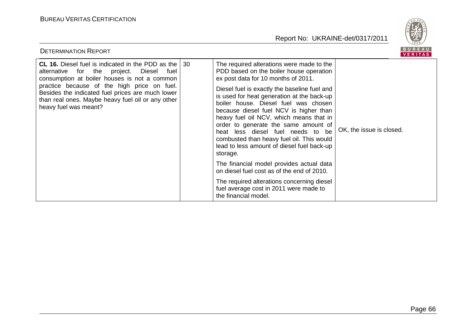

| <b>DETERMINATION REPORT</b>                                                                                                                                                                                                                                                                                                                      |                                                                                                                                                                                                                                                                                                                                                                                                                                                                                                                                            | B U K E A U<br>VERITAS   |
|--------------------------------------------------------------------------------------------------------------------------------------------------------------------------------------------------------------------------------------------------------------------------------------------------------------------------------------------------|--------------------------------------------------------------------------------------------------------------------------------------------------------------------------------------------------------------------------------------------------------------------------------------------------------------------------------------------------------------------------------------------------------------------------------------------------------------------------------------------------------------------------------------------|--------------------------|
| <b>CL 16.</b> Diesel fuel is indicated in the PDD as the   30<br>alternative for the project.<br>Diesel<br>fuel<br>consumption at boiler houses is not a common<br>practice because of the high price on fuel.<br>Besides the indicated fuel prices are much lower<br>than real ones. Maybe heavy fuel oil or any other<br>heavy fuel was meant? | The required alterations were made to the<br>PDD based on the boiler house operation<br>ex post data for 10 months of 2011.<br>Diesel fuel is exactly the baseline fuel and<br>is used for heat generation at the back-up<br>boiler house. Diesel fuel was chosen<br>because diesel fuel NCV is higher than<br>heavy fuel oil NCV, which means that in<br>order to generate the same amount of<br>heat less diesel fuel needs to be<br>combusted than heavy fuel oil. This would<br>lead to less amount of diesel fuel back-up<br>storage. | OK, the issue is closed. |
|                                                                                                                                                                                                                                                                                                                                                  | The financial model provides actual data<br>on diesel fuel cost as of the end of 2010.                                                                                                                                                                                                                                                                                                                                                                                                                                                     |                          |
|                                                                                                                                                                                                                                                                                                                                                  | The required alterations concerning diesel<br>fuel average cost in 2011 were made to<br>the financial model.                                                                                                                                                                                                                                                                                                                                                                                                                               |                          |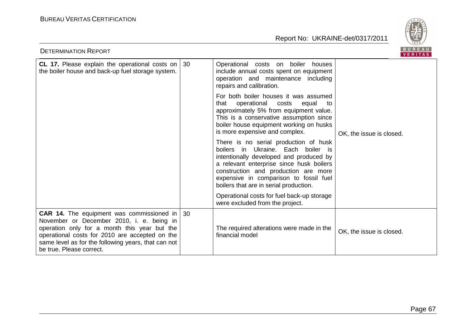

| BUREAU<br><b>DETERMINATION REPORT</b><br><b>VERITAS</b>                                                                                                                                                                                                                                       |    |                                                                                                                                                                                                                                                                                                |                          |
|-----------------------------------------------------------------------------------------------------------------------------------------------------------------------------------------------------------------------------------------------------------------------------------------------|----|------------------------------------------------------------------------------------------------------------------------------------------------------------------------------------------------------------------------------------------------------------------------------------------------|--------------------------|
| CL 17. Please explain the operational costs on<br>the boiler house and back-up fuel storage system.                                                                                                                                                                                           | 30 | Operational costs on boiler houses<br>include annual costs spent on equipment<br>operation and maintenance including<br>repairs and calibration.                                                                                                                                               |                          |
|                                                                                                                                                                                                                                                                                               |    | For both boiler houses it was assumed<br>operational<br>that<br>costs<br>equal<br>to<br>approximately 5% from equipment value.<br>This is a conservative assumption since<br>boiler house equipment working on husks<br>is more expensive and complex.                                         | OK, the issue is closed. |
|                                                                                                                                                                                                                                                                                               |    | There is no serial production of husk<br>boilers in Ukraine. Each boiler is<br>intentionally developed and produced by<br>a relevant enterprise since husk boilers<br>construction and production are more<br>expensive in comparison to fossil fuel<br>boilers that are in serial production. |                          |
|                                                                                                                                                                                                                                                                                               |    | Operational costs for fuel back-up storage<br>were excluded from the project.                                                                                                                                                                                                                  |                          |
| <b>CAR 14.</b> The equipment was commissioned in $\vert$ 30<br>November or December 2010, i. e. being in<br>operation only for a month this year but the<br>operational costs for 2010 are accepted on the<br>same level as for the following years, that can not<br>be true. Please correct. |    | The required alterations were made in the<br>financial model                                                                                                                                                                                                                                   | OK, the issue is closed. |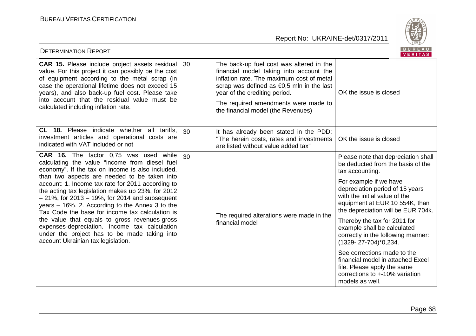

| <b>DETERMINATION REPORT</b>                                                                                                                                                                                                                                                                                                                                                                                                                                                                                                                                                                                                                                            |    |                                                                                                                                                                                                                                                                                              | <b>BUREAU</b><br>VERITAS                                                                                                                                           |
|------------------------------------------------------------------------------------------------------------------------------------------------------------------------------------------------------------------------------------------------------------------------------------------------------------------------------------------------------------------------------------------------------------------------------------------------------------------------------------------------------------------------------------------------------------------------------------------------------------------------------------------------------------------------|----|----------------------------------------------------------------------------------------------------------------------------------------------------------------------------------------------------------------------------------------------------------------------------------------------|--------------------------------------------------------------------------------------------------------------------------------------------------------------------|
| CAR 15. Please include project assets residual<br>value. For this project it can possibly be the cost<br>of equipment according to the metal scrap (in<br>case the operational lifetime does not exceed 15<br>years), and also back-up fuel cost. Please take<br>into account that the residual value must be<br>calculated including inflation rate.                                                                                                                                                                                                                                                                                                                  | 30 | The back-up fuel cost was altered in the<br>financial model taking into account the<br>inflation rate. The maximum cost of metal<br>scrap was defined as €0,5 mln in the last<br>year of the crediting period.<br>The required amendments were made to<br>the financial model (the Revenues) | OK the issue is closed                                                                                                                                             |
| CL 18. Please indicate whether all tariffs,<br>investment articles and operational costs are<br>indicated with VAT included or not                                                                                                                                                                                                                                                                                                                                                                                                                                                                                                                                     | 30 | It has already been stated in the PDD:<br>"The herein costs, rates and investments<br>are listed without value added tax"                                                                                                                                                                    | OK the issue is closed                                                                                                                                             |
| <b>CAR 16.</b> The factor 0,75 was used while<br>calculating the value "income from diesel fuel<br>economy". If the tax on income is also included,<br>than two aspects are needed to be taken into<br>account: 1. Income tax rate for 2011 according to<br>the acting tax legislation makes up 23%, for 2012<br>$-21\%$ , for 2013 $-19\%$ , for 2014 and subsequent<br>years $-16\%$ . 2. According to the Annex 3 to the<br>Tax Code the base for income tax calculation is<br>the value that equals to gross revenues-gross<br>expenses-depreciation. Income tax calculation<br>under the project has to be made taking into<br>account Ukrainian tax legislation. | 30 | The required alterations were made in the<br>financial model                                                                                                                                                                                                                                 | Please note that depreciation shall<br>be deducted from the basis of the<br>tax accounting.                                                                        |
|                                                                                                                                                                                                                                                                                                                                                                                                                                                                                                                                                                                                                                                                        |    |                                                                                                                                                                                                                                                                                              | For example if we have<br>depreciation period of 15 years<br>with the initial value of the<br>equipment at EUR 10 554K, than<br>the depreciation will be EUR 704k. |
|                                                                                                                                                                                                                                                                                                                                                                                                                                                                                                                                                                                                                                                                        |    |                                                                                                                                                                                                                                                                                              | Thereby the tax for 2011 for<br>example shall be calculated<br>correctly in the following manner:<br>(1329-27-704)*0,234.                                          |
|                                                                                                                                                                                                                                                                                                                                                                                                                                                                                                                                                                                                                                                                        |    |                                                                                                                                                                                                                                                                                              | See corrections made to the<br>financial model in attached Excel<br>file. Please apply the same<br>corrections to +-10% variation<br>models as well.               |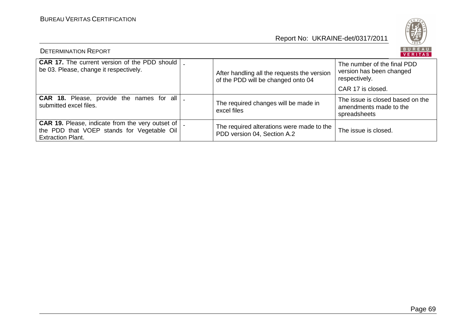

| <b>DETERMINATION REPORT</b>                                                                                                         |                                                                                   | BUREAU<br><b>VERITAS</b>                                                   |
|-------------------------------------------------------------------------------------------------------------------------------------|-----------------------------------------------------------------------------------|----------------------------------------------------------------------------|
| <b>CAR 17.</b> The current version of the PDD should<br>be 03. Please, change it respectively.                                      | After handling all the requests the version<br>of the PDD will be changed onto 04 | The number of the final PDD<br>version has been changed<br>respectively.   |
|                                                                                                                                     |                                                                                   | CAR 17 is closed.                                                          |
| <b>CAR 18.</b> Please, provide the names for all<br>submitted excel files.                                                          | The required changes will be made in<br>excel files                               | The issue is closed based on the<br>amendments made to the<br>spreadsheets |
| <b>CAR 19.</b> Please, indicate from the very outset of  <br>the PDD that VOEP stands for Vegetable Oil<br><b>Extraction Plant.</b> | The required alterations were made to the<br>PDD version 04, Section A.2          | The issue is closed.                                                       |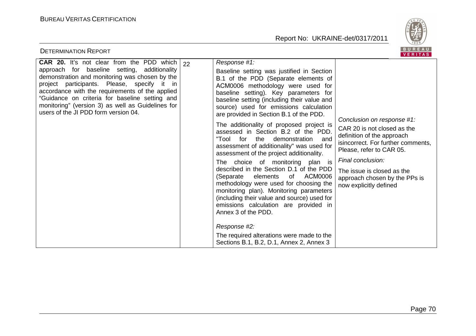

| <b>DETERMINATION REPORT</b>                                                                                                                                                                                                                                                                                                                                                                                |                                                                                                                                                                                                                                                                                                                                                                                                                                                                                                                                                                                                                                                                                                                                                                                                                                                                                                                                                                       | BUREAU<br><b>VERITAS</b>                                                                                                                                                                                                                                                |
|------------------------------------------------------------------------------------------------------------------------------------------------------------------------------------------------------------------------------------------------------------------------------------------------------------------------------------------------------------------------------------------------------------|-----------------------------------------------------------------------------------------------------------------------------------------------------------------------------------------------------------------------------------------------------------------------------------------------------------------------------------------------------------------------------------------------------------------------------------------------------------------------------------------------------------------------------------------------------------------------------------------------------------------------------------------------------------------------------------------------------------------------------------------------------------------------------------------------------------------------------------------------------------------------------------------------------------------------------------------------------------------------|-------------------------------------------------------------------------------------------------------------------------------------------------------------------------------------------------------------------------------------------------------------------------|
| <b>CAR 20.</b> It's not clear from the PDD which $ 22 $<br>approach for baseline setting, additionality<br>demonstration and monitoring was chosen by the<br>project participants. Please, specify it in<br>accordance with the requirements of the applied<br>"Guidance on criteria for baseline setting and<br>monitoring" (version 3) as well as Guidelines for<br>users of the JI PDD form version 04. | Response #1:<br>Baseline setting was justified in Section<br>B.1 of the PDD (Separate elements of<br>ACM0006 methodology were used for<br>baseline setting). Key parameters for<br>baseline setting (including their value and<br>source) used for emissions calculation<br>are provided in Section B.1 of the PDD.<br>The additionality of proposed project is<br>assessed in Section B.2 of the PDD.<br>"Tool for the demonstration<br>and<br>assessment of additionality" was used for<br>assessment of the project additionality.<br>The choice of monitoring plan is<br>described in the Section D.1 of the PDD<br>elements of ACM0006<br>(Separate<br>methodology were used for choosing the<br>monitoring plan). Monitoring parameters<br>(including their value and source) used for<br>emissions calculation are provided in<br>Annex 3 of the PDD.<br>Response #2:<br>The required alterations were made to the<br>Sections B.1, B.2, D.1, Annex 2, Annex 3 | Conclusion on response #1:<br>CAR 20 is not closed as the<br>definition of the approach<br>isincorrect. For further comments,<br>Please, refer to CAR 05.<br>Final conclusion:<br>The issue is closed as the<br>approach chosen by the PPs is<br>now explicitly defined |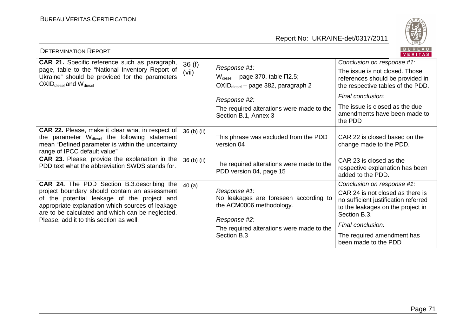

| <b>DETERMINATION REPORT</b>                                                                                                                                                                                                                                                                           |                |                                                                                                                                                               | BUREAU<br><b>VERITAS</b>                                                                                                                                    |
|-------------------------------------------------------------------------------------------------------------------------------------------------------------------------------------------------------------------------------------------------------------------------------------------------------|----------------|---------------------------------------------------------------------------------------------------------------------------------------------------------------|-------------------------------------------------------------------------------------------------------------------------------------------------------------|
| <b>CAR 21.</b> Specific reference such as paragraph,<br>page, table to the "National Inventory Report of<br>Ukraine" should be provided for the parameters<br>$OXID_{\text{diesel}}$ and $W_{\text{diesel}}$                                                                                          | 36(f)<br>(vii) | Response #1:<br>$W_{\text{diesel}}$ – page 370, table $\Pi$ 2.5;<br>OXID <sub>diesel</sub> - page 382, paragraph 2<br>Response #2:                            | Conclusion on response #1:<br>The issue is not closed. Those<br>references should be provided in<br>the respective tables of the PDD.<br>Final conclusion:  |
|                                                                                                                                                                                                                                                                                                       |                | The required alterations were made to the<br>Section B.1, Annex 3                                                                                             | The issue is closed as the due<br>amendments have been made to<br>the PDD                                                                                   |
| <b>CAR 22.</b> Please, make it clear what in respect of<br>the parameter W <sub>diesel</sub> the following statement<br>mean "Defined parameter is within the uncertainty<br>range of IPCC default value"                                                                                             | 36 (b) (ii)    | This phrase was excluded from the PDD<br>version 04                                                                                                           | CAR 22 is closed based on the<br>change made to the PDD.                                                                                                    |
| CAR 23. Please, provide the explanation in the<br>PDD text what the abbreviation SWDS stands for.                                                                                                                                                                                                     | 36 (b) (ii)    | The required alterations were made to the<br>PDD version 04, page 15                                                                                          | CAR 23 is closed as the<br>respective explanation has been<br>added to the PDD.                                                                             |
| <b>CAR 24.</b> The PDD Section B.3. describing the<br>project boundary should contain an assessment<br>of the potential leakage of the project and<br>appropriate explanation which sources of leakage<br>are to be calculated and which can be neglected.<br>Please, add it to this section as well. | 40(a)          | Response #1:<br>No leakages are foreseen according to<br>the ACM0006 methodology.<br>Response #2:<br>The required alterations were made to the<br>Section B.3 | Conclusion on response #1:<br>CAR 24 is not closed as there is<br>no sufficient justification referred<br>to the leakages on the project in<br>Section B.3. |
|                                                                                                                                                                                                                                                                                                       |                |                                                                                                                                                               | Final conclusion:                                                                                                                                           |
|                                                                                                                                                                                                                                                                                                       |                |                                                                                                                                                               | The required amendment has<br>been made to the PDD                                                                                                          |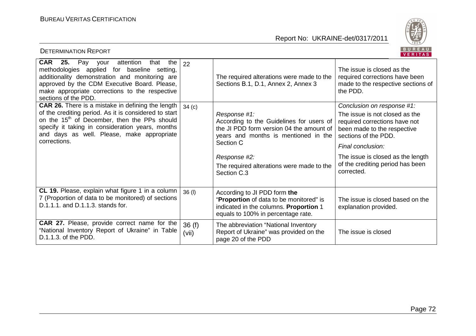

| BUREAU<br><b>DETERMINATION REPORT</b><br>VERITAS                                                                                                                                                                                                                                                |                   |                                                                                                                                                           |                                                                                                                        |  |
|-------------------------------------------------------------------------------------------------------------------------------------------------------------------------------------------------------------------------------------------------------------------------------------------------|-------------------|-----------------------------------------------------------------------------------------------------------------------------------------------------------|------------------------------------------------------------------------------------------------------------------------|--|
| <b>CAR</b><br>25.<br>Pay<br>attention<br>that<br>the<br>your<br>methodologies applied for baseline setting,<br>additionality demonstration and monitoring are<br>approved by the CDM Executive Board. Please,<br>make appropriate corrections to the respective<br>sections of the PDD.         | 22                | The required alterations were made to the<br>Sections B.1, D.1, Annex 2, Annex 3                                                                          | The issue is closed as the<br>required corrections have been<br>made to the respective sections of<br>the PDD.         |  |
| <b>CAR 26.</b> There is a mistake in defining the length<br>of the crediting period. As it is considered to start<br>on the 15 <sup>th</sup> of December, then the PPs should<br>specify it taking in consideration years, months<br>and days as well. Please, make appropriate<br>corrections. | 34 <sub>(c)</sub> |                                                                                                                                                           | Conclusion on response #1:                                                                                             |  |
|                                                                                                                                                                                                                                                                                                 |                   | Response #1:<br>According to the Guidelines for users of<br>the JI PDD form version 04 the amount of<br>years and months is mentioned in the<br>Section C | The issue is not closed as the<br>required corrections have not<br>been made to the respective<br>sections of the PDD. |  |
|                                                                                                                                                                                                                                                                                                 |                   |                                                                                                                                                           | Final conclusion:                                                                                                      |  |
|                                                                                                                                                                                                                                                                                                 |                   | Response #2:<br>The required alterations were made to the<br>Section C.3                                                                                  | The issue is closed as the length<br>of the crediting period has been<br>corrected.                                    |  |
| CL 19. Please, explain what figure 1 in a column<br>7 (Proportion of data to be monitored) of sections<br>D.1.1.1. and D.1.1.3. stands for.                                                                                                                                                     | 36 (I)            | According to JI PDD form the<br>"Proportion of data to be monitored" is<br>indicated in the columns. Proportion 1<br>equals to 100% in percentage rate.   | The issue is closed based on the<br>explanation provided.                                                              |  |
| CAR 27. Please, provide correct name for the<br>"National Inventory Report of Ukraine" in Table<br>D.1.1.3. of the PDD.                                                                                                                                                                         | 36(f)<br>(vii)    | The abbreviation "National Inventory<br>Report of Ukraine" was provided on the<br>page 20 of the PDD                                                      | The issue is closed                                                                                                    |  |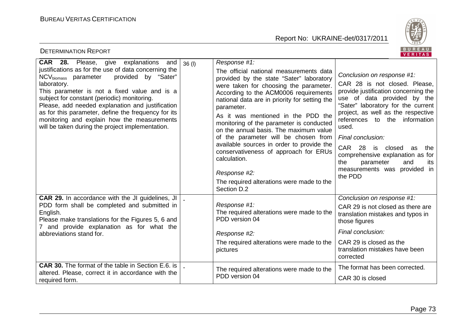

| BUREAU<br><b>DETERMINATION REPORT</b><br>VERITAS                                                                                                                                                                                                                                                                                                                                                                                                                                                     |                                                                                                                                                                                                                                                                                                                                                                                                                                                                                                                                                                                                             |                                                                                                                                                                                                                                                                                                                                                                                                                                 |  |  |  |
|------------------------------------------------------------------------------------------------------------------------------------------------------------------------------------------------------------------------------------------------------------------------------------------------------------------------------------------------------------------------------------------------------------------------------------------------------------------------------------------------------|-------------------------------------------------------------------------------------------------------------------------------------------------------------------------------------------------------------------------------------------------------------------------------------------------------------------------------------------------------------------------------------------------------------------------------------------------------------------------------------------------------------------------------------------------------------------------------------------------------------|---------------------------------------------------------------------------------------------------------------------------------------------------------------------------------------------------------------------------------------------------------------------------------------------------------------------------------------------------------------------------------------------------------------------------------|--|--|--|
| <b>CAR 28.</b> Please, give explanations and<br>36(1)<br>justifications as for the use of data concerning the<br>provided by "Sater"<br>NCV <sub>biomass</sub> parameter<br>laboratory.<br>This parameter is not a fixed value and is a<br>subject for constant (periodic) monitoring.<br>Please, add needed explanation and justification<br>as for this parameter, define the frequency for its<br>monitoring and explain how the measurements<br>will be taken during the project implementation. | Response #1:<br>The official national measurements data<br>provided by the state "Sater" laboratory<br>were taken for choosing the parameter.<br>According to the ACM0006 requirements<br>national data are in priority for setting the<br>parameter.<br>As it was mentioned in the PDD the<br>monitoring of the parameter is conducted<br>on the annual basis. The maximum value<br>of the parameter will be chosen from<br>available sources in order to provide the<br>conservativeness of approach for ERUs<br>calculation.<br>Response #2:<br>The required alterations were made to the<br>Section D.2 | Conclusion on response #1:<br>CAR 28 is not closed. Please,<br>provide justification concerning the<br>use of data provided by the<br>"Sater" laboratory for the current<br>project, as well as the respective<br>references to the information<br>used.<br>Final conclusion:<br>CAR 28 is closed<br>as<br>the<br>comprehensive explanation as for<br>the<br>parameter<br>and<br>its<br>measurements was provided in<br>the PDD |  |  |  |
| CAR 29. In accordance with the JI guidelines, JI<br>PDD form shall be completed and submitted in<br>English.<br>Please make translations for the Figures 5, 6 and<br>7 and provide explanation as for what the<br>abbreviations stand for.                                                                                                                                                                                                                                                           | Response #1:<br>The required alterations were made to the<br>PDD version 04<br>Response #2:<br>The required alterations were made to the<br>pictures                                                                                                                                                                                                                                                                                                                                                                                                                                                        | Conclusion on response #1:<br>CAR 29 is not closed as there are<br>translation mistakes and typos in<br>those figures<br>Final conclusion:<br>CAR 29 is closed as the<br>translation mistakes have been<br>corrected                                                                                                                                                                                                            |  |  |  |
| <b>CAR 30.</b> The format of the table in Section E.6. is<br>altered. Please, correct it in accordance with the<br>required form.                                                                                                                                                                                                                                                                                                                                                                    | The required alterations were made to the<br>PDD version 04                                                                                                                                                                                                                                                                                                                                                                                                                                                                                                                                                 | The format has been corrected.<br>CAR 30 is closed                                                                                                                                                                                                                                                                                                                                                                              |  |  |  |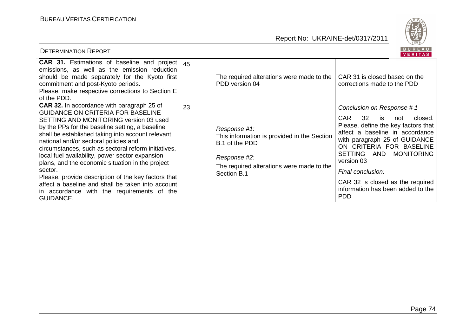

| <b>DETERMINATION REPORT</b>                                                                                                                                                                                                                                                                                                                                                                                                                                                                                                                                                                                                                     |    |                                                                                                                                                           | BUREAU<br>VERITAS                                                                                                                                                                                                                                                                                                                                                          |
|-------------------------------------------------------------------------------------------------------------------------------------------------------------------------------------------------------------------------------------------------------------------------------------------------------------------------------------------------------------------------------------------------------------------------------------------------------------------------------------------------------------------------------------------------------------------------------------------------------------------------------------------------|----|-----------------------------------------------------------------------------------------------------------------------------------------------------------|----------------------------------------------------------------------------------------------------------------------------------------------------------------------------------------------------------------------------------------------------------------------------------------------------------------------------------------------------------------------------|
| <b>CAR 31.</b> Estimations of baseline and project $ 45 $<br>emissions, as well as the emission reduction<br>should be made separately for the Kyoto first<br>commitment and post-Kyoto periods.<br>Please, make respective corrections to Section E<br>of the PDD.                                                                                                                                                                                                                                                                                                                                                                             |    | The required alterations were made to the<br>PDD version 04                                                                                               | CAR 31 is closed based on the<br>corrections made to the PDD                                                                                                                                                                                                                                                                                                               |
| <b>CAR 32.</b> In accordance with paragraph 25 of<br><b>GUIDANCE ON CRITERIA FOR BASELINE</b><br>SETTING AND MONITORING version 03 used<br>by the PPs for the baseline setting, a baseline<br>shall be established taking into account relevant<br>national and/or sectoral policies and<br>circumstances, such as sectoral reform initiatives,<br>local fuel availability, power sector expansion<br>plans, and the economic situation in the project<br>sector.<br>Please, provide description of the key factors that<br>affect a baseline and shall be taken into account<br>in accordance with the requirements of the<br><b>GUIDANCE.</b> | 23 | Response #1:<br>This information is provided in the Section<br>B.1 of the PDD<br>Response #2:<br>The required alterations were made to the<br>Section B.1 | Conclusion on Response #1<br><b>CAR</b><br>32<br>is<br>closed.<br>not<br>Please, define the key factors that<br>affect a baseline in accordance<br>with paragraph 25 of GUIDANCE<br>ON CRITERIA FOR BASELINE<br>SETTING AND<br><b>MONITORING</b><br>version 03<br>Final conclusion:<br>CAR 32 is closed as the required<br>information has been added to the<br><b>PDD</b> |